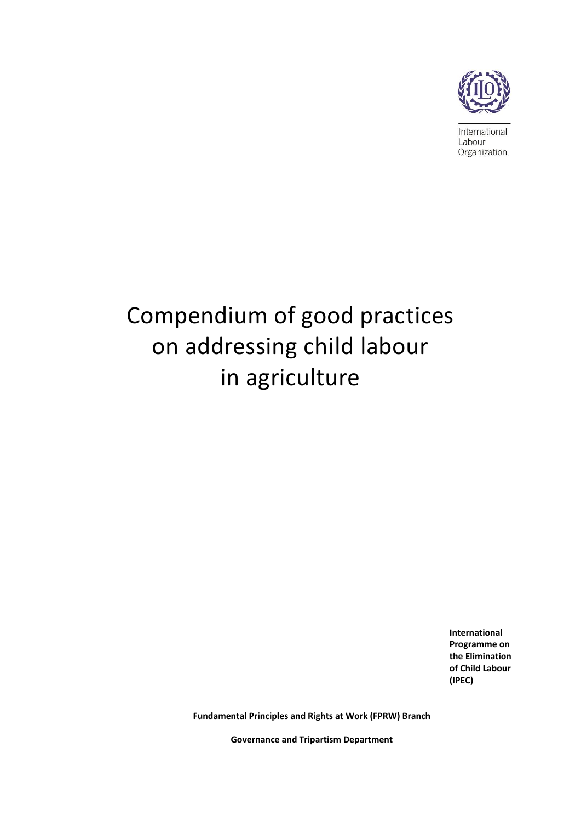

International Labour Organization

# Compendium of good practices on addressing child labour in agriculture

**International Programme on the Elimination of Child Labour (IPEC)**

**Fundamental Principles and Rights at Work (FPRW) Branch**

**Governance and Tripartism Department**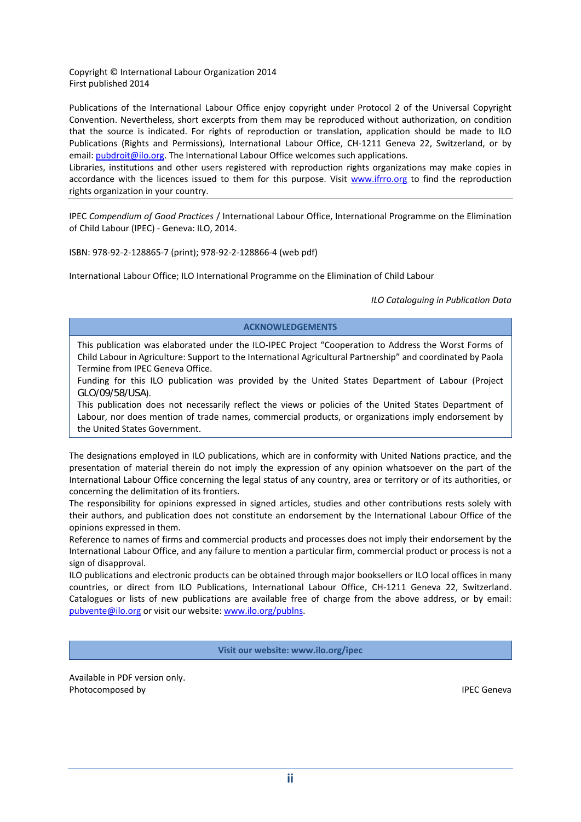Copyright © International Labour Organization 2014 First published 2014

Publications of the International Labour Office enjoy copyright under Protocol 2 of the Universal Copyright Convention. Nevertheless, short excerpts from them may be reproduced without authorization, on condition that the source is indicated. For rights of reproduction or translation, application should be made to ILO Publications (Rights and Permissions), International Labour Office, CH‐1211 Geneva 22, Switzerland, or by email: pubdroit@ilo.org. The International Labour Office welcomes such applications.

Libraries, institutions and other users registered with reproduction rights organizations may make copies in accordance with the licences issued to them for this purpose. Visit www.ifrro.org to find the reproduction rights organization in your country.

IPEC *Compendium of Good Practices* / International Labour Office, International Programme on the Elimination of Child Labour (IPEC) ‐ Geneva: ILO, 2014.

ISBN: 978‐92‐2‐128865‐7 (print); 978‐92‐2‐128866‐4 (web pdf)

International Labour Office; ILO International Programme on the Elimination of Child Labour

*ILO Cataloguing in Publication Data*

#### **ACKNOWLEDGEMENTS**

This publication was elaborated under the ILO-IPEC Project "Cooperation to Address the Worst Forms of Child Labour in Agriculture: Support to the International Agricultural Partnership" and coordinated by Paola Termine from IPEC Geneva Office.

Funding for this ILO publication was provided by the United States Department of Labour (Project GLO/09/58/USA).

This publication does not necessarily reflect the views or policies of the United States Department of Labour, nor does mention of trade names, commercial products, or organizations imply endorsement by the United States Government.

The designations employed in ILO publications, which are in conformity with United Nations practice, and the presentation of material therein do not imply the expression of any opinion whatsoever on the part of the International Labour Office concerning the legal status of any country, area or territory or of its authorities, or concerning the delimitation of its frontiers.

The responsibility for opinions expressed in signed articles, studies and other contributions rests solely with their authors, and publication does not constitute an endorsement by the International Labour Office of the opinions expressed in them.

Reference to names of firms and commercial products and processes does not imply their endorsement by the International Labour Office, and any failure to mention a particular firm, commercial product or process is not a sign of disapproval.

ILO publications and electronic products can be obtained through major booksellers or ILO local offices in many countries, or direct from ILO Publications, International Labour Office, CH‐1211 Geneva 22, Switzerland. Catalogues or lists of new publications are available free of charge from the above address, or by email: pubvente@ilo.org or visit our website: www.ilo.org/publns.

**Visit our website: www.ilo.org/ipec**

Available in PDF version only. Photocomposed by **interval and the control of the control of the control of the control of the control of the control of the control of the control of the control of the control of the control of the control of the control**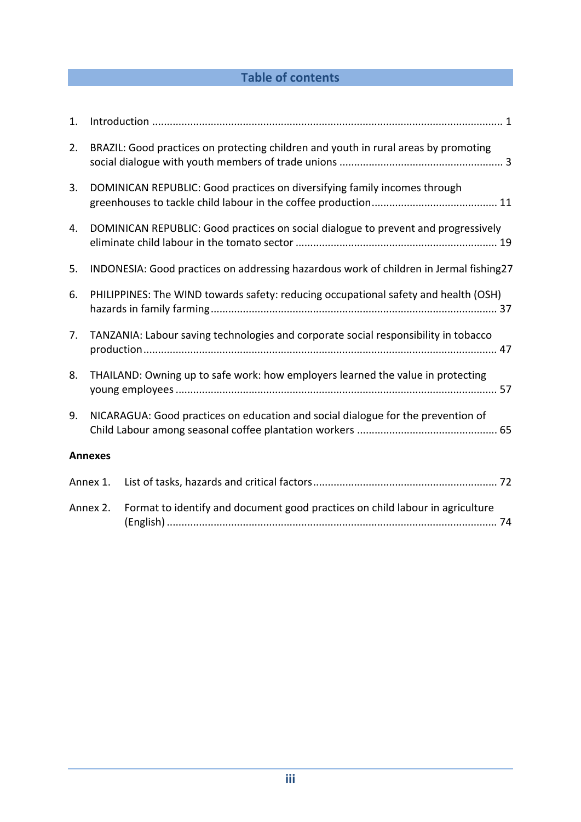# **Table of contents**

| 1. |                                                                                     |                                                                                        |
|----|-------------------------------------------------------------------------------------|----------------------------------------------------------------------------------------|
| 2. |                                                                                     | BRAZIL: Good practices on protecting children and youth in rural areas by promoting    |
| 3. |                                                                                     | DOMINICAN REPUBLIC: Good practices on diversifying family incomes through              |
| 4. |                                                                                     | DOMINICAN REPUBLIC: Good practices on social dialogue to prevent and progressively     |
| 5. |                                                                                     | INDONESIA: Good practices on addressing hazardous work of children in Jermal fishing27 |
| 6. | PHILIPPINES: The WIND towards safety: reducing occupational safety and health (OSH) |                                                                                        |
| 7. | TANZANIA: Labour saving technologies and corporate social responsibility in tobacco |                                                                                        |
| 8. | THAILAND: Owning up to safe work: how employers learned the value in protecting     |                                                                                        |
| 9. |                                                                                     | NICARAGUA: Good practices on education and social dialogue for the prevention of       |
|    | <b>Annexes</b>                                                                      |                                                                                        |
|    | Annex 1.                                                                            |                                                                                        |
|    | Annex 2.                                                                            | Format to identify and document good practices on child labour in agriculture          |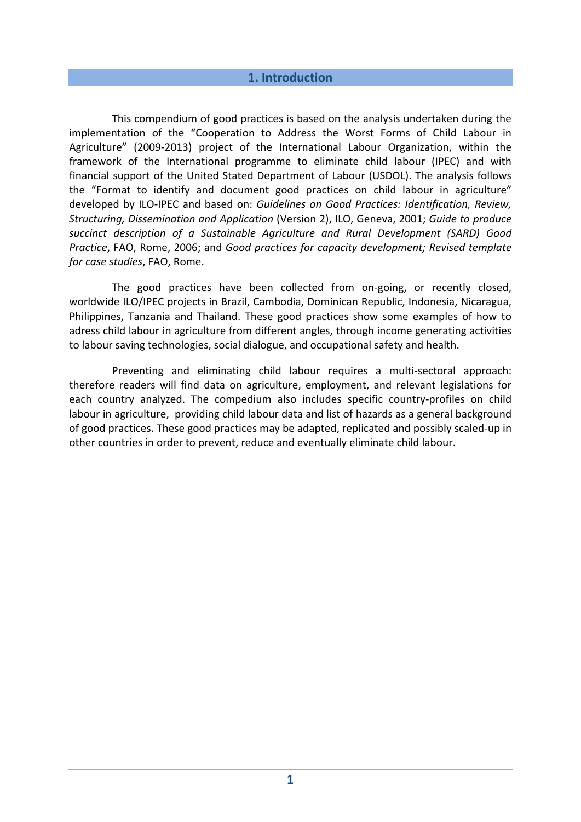## **1. Introduction**

This compendium of good practices is based on the analysis undertaken during the implementation of the "Cooperation to Address the Worst Forms of Child Labour in Agriculture" (2009‐2013) project of the International Labour Organization, within the framework of the International programme to eliminate child labour (IPEC) and with financial support of the United Stated Department of Labour (USDOL). The analysis follows the "Format to identify and document good practices on child labour in agriculture" developed by ILO‐IPEC and based on: *Guidelines on Good Practices: Identification, Review, Structuring, Dissemination and Application* (Version 2), ILO, Geneva, 2001; *Guide to produce succinct description of a Sustainable Agriculture and Rural Development (SARD) Good Practice*, FAO, Rome, 2006; and *Good practices for capacity development; Revised template for case studies*, FAO, Rome.

The good practices have been collected from on-going, or recently closed, worldwide ILO/IPEC projects in Brazil, Cambodia, Dominican Republic, Indonesia, Nicaragua, Philippines, Tanzania and Thailand. These good practices show some examples of how to adress child labour in agriculture from different angles, through income generating activities to labour saving technologies, social dialogue, and occupational safety and health.

Preventing and eliminating child labour requires a multi‐sectoral approach: therefore readers will find data on agriculture, employment, and relevant legislations for each country analyzed. The compedium also includes specific country‐profiles on child labour in agriculture, providing child labour data and list of hazards as a general background of good practices. These good practices may be adapted, replicated and possibly scaled‐up in other countries in order to prevent, reduce and eventually eliminate child labour.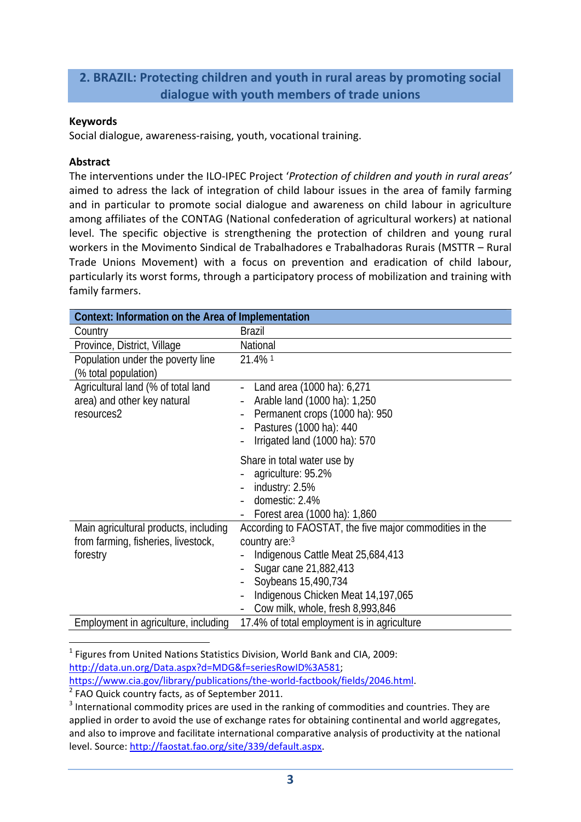# **2. BRAZIL: Protecting children and youth in rural areas by promoting social dialogue with youth members of trade unions**

#### **Keywords**

Social dialogue, awareness‐raising, youth, vocational training.

## **Abstract**

The interventions under the ILO‐IPEC Project '*Protection of children and youth in rural areas'* aimed to adress the lack of integration of child labour issues in the area of family farming and in particular to promote social dialogue and awareness on child labour in agriculture among affiliates of the CONTAG (National confederation of agricultural workers) at national level. The specific objective is strengthening the protection of children and young rural workers in the Movimento Sindical de Trabalhadores e Trabalhadoras Rurais (MSTTR – Rural Trade Unions Movement) with a focus on prevention and eradication of child labour, particularly its worst forms, through a participatory process of mobilization and training with family farmers.

| Context: Information on the Area of Implementation                                       |                                                                                                                                                                                                                                         |  |
|------------------------------------------------------------------------------------------|-----------------------------------------------------------------------------------------------------------------------------------------------------------------------------------------------------------------------------------------|--|
| Country                                                                                  | <b>Brazil</b>                                                                                                                                                                                                                           |  |
| Province, District, Village                                                              | National                                                                                                                                                                                                                                |  |
| Population under the poverty line<br>(% total population)                                | 21.4% 1                                                                                                                                                                                                                                 |  |
| Agricultural land (% of total land<br>area) and other key natural<br>resources2          | Land area (1000 ha): 6,271<br>Arable land (1000 ha): 1,250<br>Permanent crops (1000 ha): 950<br>Pastures (1000 ha): 440<br>Irrigated land (1000 ha): 570                                                                                |  |
|                                                                                          | Share in total water use by<br>agriculture: 95.2%<br>industry: 2.5%<br>domestic: 2.4%<br>Forest area (1000 ha): 1,860                                                                                                                   |  |
| Main agricultural products, including<br>from farming, fisheries, livestock,<br>forestry | According to FAOSTAT, the five major commodities in the<br>country are:3<br>Indigenous Cattle Meat 25,684,413<br>Sugar cane 21,882,413<br>Soybeans 15,490,734<br>Indigenous Chicken Meat 14,197,065<br>Cow milk, whole, fresh 8,993,846 |  |
| Employment in agriculture, including                                                     | 17.4% of total employment is in agriculture                                                                                                                                                                                             |  |

  $1$  Figures from United Nations Statistics Division, World Bank and CIA, 2009: http://data.un.org/Data.aspx?d=MDG&f=seriesRowID%3A581;

https://www.cia.gov/library/publications/the-world-factbook/fields/2046.html.

<sup>2</sup> FAO Quick country facts, as of September 2011.

<sup>3</sup> International commodity prices are used in the ranking of commodities and countries. They are applied in order to avoid the use of exchange rates for obtaining continental and world aggregates, and also to improve and facilitate international comparative analysis of productivity at the national level. Source: http://faostat.fao.org/site/339/default.aspx.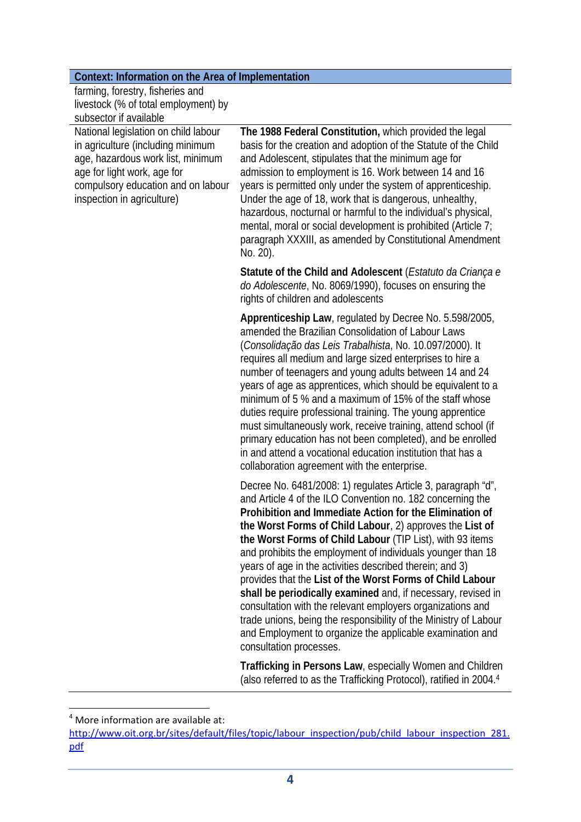| Context: Information on the Area of Implementation |  |
|----------------------------------------------------|--|
|----------------------------------------------------|--|

| farming, forestry, fisheries and     |
|--------------------------------------|
| livestock (% of total employment) by |
| subsector if available               |

National legislation on child labour in agriculture (including minimum age, hazardous work list, minimum age for light work, age for compulsory education and on labour inspection in agriculture)

**The 1988 Federal Constitution,** which provided the legal basis for the creation and adoption of the Statute of the Child and Adolescent, stipulates that the minimum age for admission to employment is 16. Work between 14 and 16 years is permitted only under the system of apprenticeship. Under the age of 18, work that is dangerous, unhealthy, hazardous, nocturnal or harmful to the individual's physical, mental, moral or social development is prohibited (Article 7; paragraph XXXIII, as amended by Constitutional Amendment No. 20).

**Statute of the Child and Adolescent** (*Estatuto da Criança e do Adolescente*, No. 8069/1990), focuses on ensuring the rights of children and adolescents

**Apprenticeship Law**, regulated by Decree No. 5.598/2005, amended the Brazilian Consolidation of Labour Laws (*Consolidação das Leis Trabalhista*, No. 10.097/2000). It requires all medium and large sized enterprises to hire a number of teenagers and young adults between 14 and 24 years of age as apprentices, which should be equivalent to a minimum of 5 % and a maximum of 15% of the staff whose duties require professional training. The young apprentice must simultaneously work, receive training, attend school (if primary education has not been completed), and be enrolled in and attend a vocational education institution that has a collaboration agreement with the enterprise.

Decree No. 6481/2008: 1) regulates Article 3, paragraph "d", and Article 4 of the ILO Convention no. 182 concerning the **Prohibition and Immediate Action for the Elimination of the Worst Forms of Child Labour**, 2) approves the **List of the Worst Forms of Child Labour** (TIP List), with 93 items and prohibits the employment of individuals younger than 18 years of age in the activities described therein; and 3) provides that the **List of the Worst Forms of Child Labour shall be periodically examined** and, if necessary, revised in consultation with the relevant employers organizations and trade unions, being the responsibility of the Ministry of Labour and Employment to organize the applicable examination and consultation processes.

**Trafficking in Persons Law**, especially Women and Children (also referred to as the Trafficking Protocol), ratified in 2004.4

  $4$  More information are available at:

http://www.oit.org.br/sites/default/files/topic/labour\_inspection/pub/child\_labour\_inspection\_281. pdf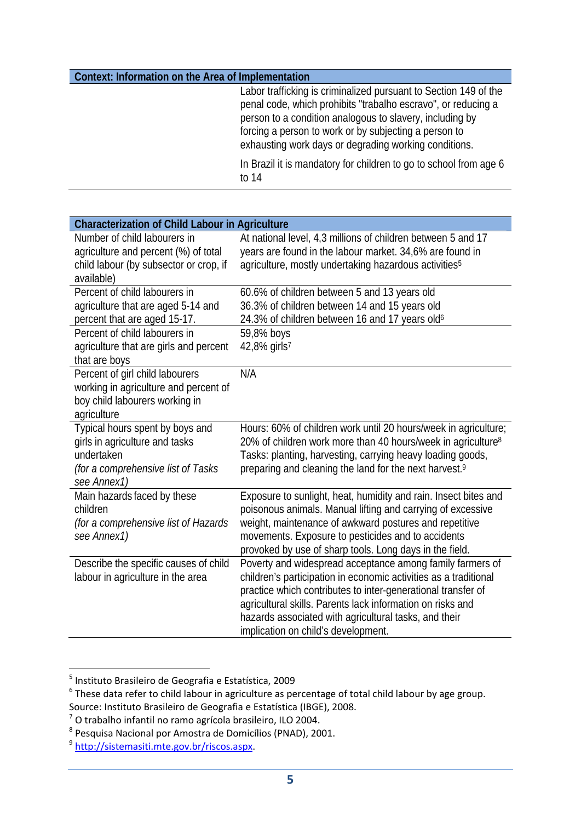#### **Context: Information on the Area of Implementation**

Labor trafficking is criminalized pursuant to Section 149 of the penal code, which prohibits "trabalho escravo", or reducing a person to a condition analogous to slavery, including by forcing a person to work or by subjecting a person to exhausting work days or degrading working conditions.

In Brazil it is mandatory for children to go to school from age 6 to 14

| <b>Characterization of Child Labour in Agriculture</b>                                                                               |                                                                                                                                                                                                                                                                                                                                                             |  |
|--------------------------------------------------------------------------------------------------------------------------------------|-------------------------------------------------------------------------------------------------------------------------------------------------------------------------------------------------------------------------------------------------------------------------------------------------------------------------------------------------------------|--|
| Number of child labourers in<br>agriculture and percent (%) of total<br>child labour (by subsector or crop, if                       | At national level, 4,3 millions of children between 5 and 17<br>years are found in the labour market. 34,6% are found in<br>agriculture, mostly undertaking hazardous activities <sup>5</sup>                                                                                                                                                               |  |
| available)<br>Percent of child labourers in                                                                                          |                                                                                                                                                                                                                                                                                                                                                             |  |
| agriculture that are aged 5-14 and<br>percent that are aged 15-17.                                                                   | 60.6% of children between 5 and 13 years old<br>36.3% of children between 14 and 15 years old<br>24.3% of children between 16 and 17 years old <sup>6</sup>                                                                                                                                                                                                 |  |
| Percent of child labourers in<br>agriculture that are girls and percent<br>that are boys                                             | 59,8% boys<br>42,8% girls <sup>7</sup>                                                                                                                                                                                                                                                                                                                      |  |
| Percent of girl child labourers<br>working in agriculture and percent of<br>boy child labourers working in<br>agriculture            | N/A                                                                                                                                                                                                                                                                                                                                                         |  |
| Typical hours spent by boys and<br>girls in agriculture and tasks<br>undertaken<br>(for a comprehensive list of Tasks<br>see Annex1) | Hours: 60% of children work until 20 hours/week in agriculture;<br>20% of children work more than 40 hours/week in agriculture <sup>8</sup><br>Tasks: planting, harvesting, carrying heavy loading goods,<br>preparing and cleaning the land for the next harvest. <sup>9</sup>                                                                             |  |
| Main hazards faced by these<br>children<br>(for a comprehensive list of Hazards<br>see Annex1)                                       | Exposure to sunlight, heat, humidity and rain. Insect bites and<br>poisonous animals. Manual lifting and carrying of excessive<br>weight, maintenance of awkward postures and repetitive<br>movements. Exposure to pesticides and to accidents<br>provoked by use of sharp tools. Long days in the field.                                                   |  |
| Describe the specific causes of child<br>labour in agriculture in the area                                                           | Poverty and widespread acceptance among family farmers of<br>children's participation in economic activities as a traditional<br>practice which contributes to inter-generational transfer of<br>agricultural skills. Parents lack information on risks and<br>hazards associated with agricultural tasks, and their<br>implication on child's development. |  |

<sup>&</sup>lt;sup>5</sup> Instituto Brasileiro de Geografia e Estatística, 2009

<sup>6</sup> These data refer to child labour in agriculture as percentage of total child labour by age group. Source: Instituto Brasileiro de Geografia e Estatística (IBGE), 2008.

<sup>7</sup> O trabalho infantil no ramo agrícola brasileiro, ILO 2004.

<sup>8</sup> Pesquisa Nacional por Amostra de Domicílios (PNAD), 2001.

<sup>9</sup> http://sistemasiti.mte.gov.br/riscos.aspx.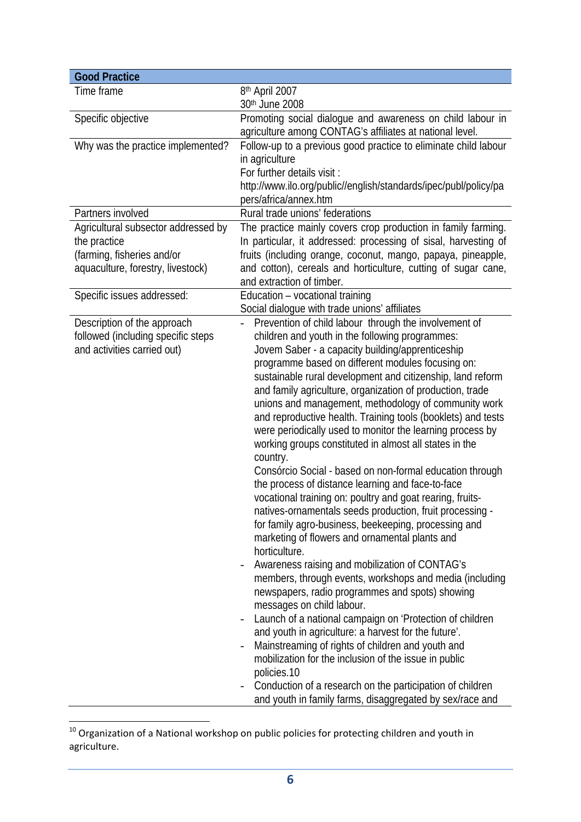| <b>Good Practice</b>                |                                                                                |
|-------------------------------------|--------------------------------------------------------------------------------|
| Time frame                          | 8th April 2007                                                                 |
|                                     | 30th June 2008                                                                 |
| Specific objective                  | Promoting social dialogue and awareness on child labour in                     |
|                                     | agriculture among CONTAG's affiliates at national level.                       |
| Why was the practice implemented?   | Follow-up to a previous good practice to eliminate child labour                |
|                                     | in agriculture                                                                 |
|                                     | For further details visit :                                                    |
|                                     | http://www.ilo.org/public//english/standards/ipec/publ/policy/pa               |
|                                     | pers/africa/annex.htm                                                          |
| Partners involved                   | Rural trade unions' federations                                                |
| Agricultural subsector addressed by | The practice mainly covers crop production in family farming.                  |
| the practice                        | In particular, it addressed: processing of sisal, harvesting of                |
| (farming, fisheries and/or          | fruits (including orange, coconut, mango, papaya, pineapple,                   |
| aquaculture, forestry, livestock)   | and cotton), cereals and horticulture, cutting of sugar cane,                  |
|                                     | and extraction of timber.                                                      |
| Specific issues addressed:          | Education - vocational training                                                |
|                                     | Social dialogue with trade unions' affiliates                                  |
| Description of the approach         | Prevention of child labour through the involvement of                          |
| followed (including specific steps  | children and youth in the following programmes:                                |
| and activities carried out)         | Jovem Saber - a capacity building/apprenticeship                               |
|                                     | programme based on different modules focusing on:                              |
|                                     | sustainable rural development and citizenship, land reform                     |
|                                     | and family agriculture, organization of production, trade                      |
|                                     | unions and management, methodology of community work                           |
|                                     | and reproductive health. Training tools (booklets) and tests                   |
|                                     | were periodically used to monitor the learning process by                      |
|                                     | working groups constituted in almost all states in the                         |
|                                     | country.                                                                       |
|                                     | Consórcio Social - based on non-formal education through                       |
|                                     | the process of distance learning and face-to-face                              |
|                                     | vocational training on: poultry and goat rearing, fruits-                      |
|                                     | natives-ornamentals seeds production, fruit processing -                       |
|                                     | for family agro-business, beekeeping, processing and                           |
|                                     | marketing of flowers and ornamental plants and                                 |
|                                     | horticulture.                                                                  |
|                                     | Awareness raising and mobilization of CONTAG's<br>$\qquad \qquad \blacksquare$ |
|                                     | members, through events, workshops and media (including                        |
|                                     | newspapers, radio programmes and spots) showing                                |
|                                     | messages on child labour.                                                      |
|                                     | Launch of a national campaign on 'Protection of children                       |
|                                     | and youth in agriculture: a harvest for the future'.                           |
|                                     | Mainstreaming of rights of children and youth and                              |
|                                     | mobilization for the inclusion of the issue in public                          |
|                                     | policies.10                                                                    |
|                                     | Conduction of a research on the participation of children                      |
|                                     | and youth in family farms, disaggregated by sex/race and                       |

  $^{10}$  Organization of a National workshop on public policies for protecting children and youth in agriculture.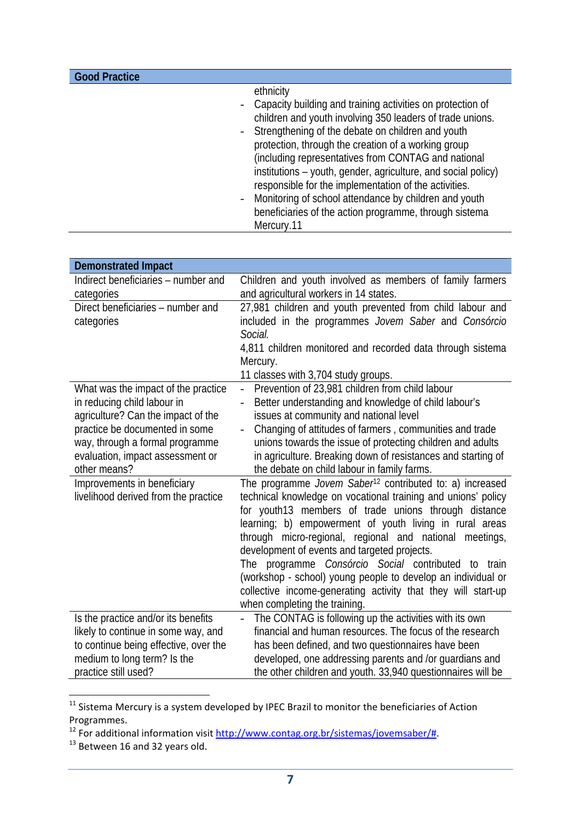| <b>Good Practice</b> |                                                               |
|----------------------|---------------------------------------------------------------|
|                      | ethnicity                                                     |
|                      | - Capacity building and training activities on protection of  |
|                      | children and youth involving 350 leaders of trade unions.     |
|                      | - Strengthening of the debate on children and youth           |
|                      | protection, through the creation of a working group           |
|                      | (including representatives from CONTAG and national           |
|                      | institutions – youth, gender, agriculture, and social policy) |
|                      | responsible for the implementation of the activities.         |
|                      | - Monitoring of school attendance by children and youth       |
|                      | beneficiaries of the action programme, through sistema        |
|                      | Mercury.11                                                    |

| <b>Demonstrated Impact</b>            |                                                                      |  |  |
|---------------------------------------|----------------------------------------------------------------------|--|--|
| Indirect beneficiaries - number and   | Children and youth involved as members of family farmers             |  |  |
| categories                            | and agricultural workers in 14 states.                               |  |  |
| Direct beneficiaries - number and     | 27,981 children and youth prevented from child labour and            |  |  |
| categories                            | included in the programmes Jovem Saber and Consórcio                 |  |  |
|                                       | Social.                                                              |  |  |
|                                       | 4,811 children monitored and recorded data through sistema           |  |  |
|                                       | Mercury.                                                             |  |  |
|                                       | 11 classes with 3,704 study groups.                                  |  |  |
| What was the impact of the practice   | Prevention of 23,981 children from child labour<br>$\overline{a}$    |  |  |
| in reducing child labour in           | Better understanding and knowledge of child labour's                 |  |  |
| agriculture? Can the impact of the    | issues at community and national level                               |  |  |
| practice be documented in some        | Changing of attitudes of farmers, communities and trade              |  |  |
| way, through a formal programme       | unions towards the issue of protecting children and adults           |  |  |
| evaluation, impact assessment or      | in agriculture. Breaking down of resistances and starting of         |  |  |
| other means?                          | the debate on child labour in family farms.                          |  |  |
| Improvements in beneficiary           | The programme Jovem Saber <sup>12</sup> contributed to: a) increased |  |  |
| livelihood derived from the practice  | technical knowledge on vocational training and unions' policy        |  |  |
|                                       | for youth13 members of trade unions through distance                 |  |  |
|                                       | learning; b) empowerment of youth living in rural areas              |  |  |
|                                       | through micro-regional, regional and national meetings,              |  |  |
|                                       | development of events and targeted projects.                         |  |  |
|                                       | The programme <i>Consórcio Social</i> contributed to train           |  |  |
|                                       | (workshop - school) young people to develop an individual or         |  |  |
|                                       | collective income-generating activity that they will start-up        |  |  |
|                                       | when completing the training.                                        |  |  |
| Is the practice and/or its benefits   | The CONTAG is following up the activities with its own               |  |  |
| likely to continue in some way, and   | financial and human resources. The focus of the research             |  |  |
| to continue being effective, over the | has been defined, and two questionnaires have been                   |  |  |
| medium to long term? Is the           | developed, one addressing parents and /or guardians and              |  |  |
| practice still used?                  | the other children and youth. 33,940 questionnaires will be          |  |  |

 $11$  Sistema Mercury is a system developed by IPEC Brazil to monitor the beneficiaries of Action Programmes.

<sup>&</sup>lt;sup>12</sup> For additional information visit http://www.contag.org.br/sistemas/jovemsaber/#.

<sup>&</sup>lt;sup>13</sup> Between 16 and 32 years old.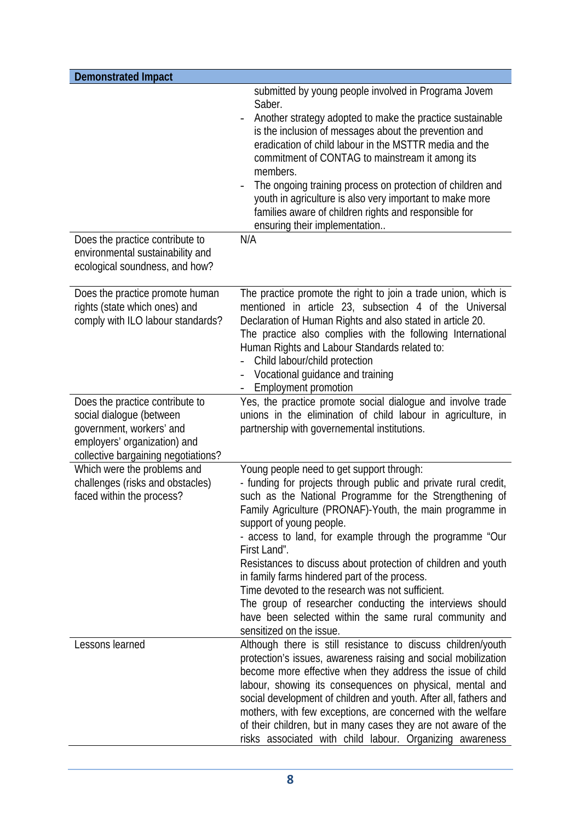| <b>Demonstrated Impact</b>                                                                                                                                     |                                                                                                                                                                                                                                                                                                                                                                                                                                                                                                                                                                                                                                                                     |
|----------------------------------------------------------------------------------------------------------------------------------------------------------------|---------------------------------------------------------------------------------------------------------------------------------------------------------------------------------------------------------------------------------------------------------------------------------------------------------------------------------------------------------------------------------------------------------------------------------------------------------------------------------------------------------------------------------------------------------------------------------------------------------------------------------------------------------------------|
|                                                                                                                                                                | submitted by young people involved in Programa Jovem<br>Saber.<br>Another strategy adopted to make the practice sustainable<br>is the inclusion of messages about the prevention and<br>eradication of child labour in the MSTTR media and the<br>commitment of CONTAG to mainstream it among its<br>members.<br>The ongoing training process on protection of children and<br>youth in agriculture is also very important to make more<br>families aware of children rights and responsible for<br>ensuring their implementation                                                                                                                                   |
| Does the practice contribute to<br>environmental sustainability and<br>ecological soundness, and how?                                                          | N/A                                                                                                                                                                                                                                                                                                                                                                                                                                                                                                                                                                                                                                                                 |
| Does the practice promote human<br>rights (state which ones) and<br>comply with ILO labour standards?                                                          | The practice promote the right to join a trade union, which is<br>mentioned in article 23, subsection 4 of the Universal<br>Declaration of Human Rights and also stated in article 20.<br>The practice also complies with the following International<br>Human Rights and Labour Standards related to:<br>Child labour/child protection<br>Vocational guidance and training<br><b>Employment promotion</b>                                                                                                                                                                                                                                                          |
| Does the practice contribute to<br>social dialogue (between<br>government, workers' and<br>employers' organization) and<br>collective bargaining negotiations? | Yes, the practice promote social dialogue and involve trade<br>unions in the elimination of child labour in agriculture, in<br>partnership with governemental institutions.                                                                                                                                                                                                                                                                                                                                                                                                                                                                                         |
| Which were the problems and<br>challenges (risks and obstacles)<br>faced within the process?                                                                   | Young people need to get support through:<br>- funding for projects through public and private rural credit,<br>such as the National Programme for the Strengthening of<br>Family Agriculture (PRONAF)-Youth, the main programme in<br>support of young people.<br>- access to land, for example through the programme "Our<br>First Land".<br>Resistances to discuss about protection of children and youth<br>in family farms hindered part of the process.<br>Time devoted to the research was not sufficient.<br>The group of researcher conducting the interviews should<br>have been selected within the same rural community and<br>sensitized on the issue. |
| Lessons learned                                                                                                                                                | Although there is still resistance to discuss children/youth<br>protection's issues, awareness raising and social mobilization<br>become more effective when they address the issue of child<br>labour, showing its consequences on physical, mental and<br>social development of children and youth. After all, fathers and<br>mothers, with few exceptions, are concerned with the welfare<br>of their children, but in many cases they are not aware of the<br>risks associated with child labour. Organizing awareness                                                                                                                                          |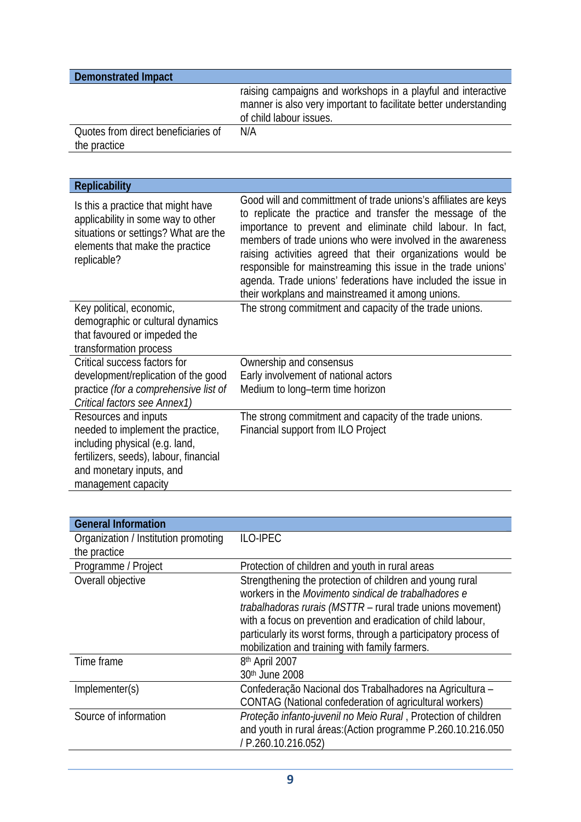| <b>Demonstrated Impact</b>                          |                                                                                                                                                             |  |
|-----------------------------------------------------|-------------------------------------------------------------------------------------------------------------------------------------------------------------|--|
|                                                     | raising campaigns and workshops in a playful and interactive<br>manner is also very important to facilitate better understanding<br>of child labour issues. |  |
| Quotes from direct beneficiaries of<br>the practice | N/A                                                                                                                                                         |  |

| <b>Replicability</b>                                                                                                                                               |                                                                                                                                                                                                                                                                                                                                                                                                                                                                                                               |  |  |
|--------------------------------------------------------------------------------------------------------------------------------------------------------------------|---------------------------------------------------------------------------------------------------------------------------------------------------------------------------------------------------------------------------------------------------------------------------------------------------------------------------------------------------------------------------------------------------------------------------------------------------------------------------------------------------------------|--|--|
| Is this a practice that might have<br>applicability in some way to other<br>situations or settings? What are the<br>elements that make the practice<br>replicable? | Good will and committment of trade unions's affiliates are keys<br>to replicate the practice and transfer the message of the<br>importance to prevent and eliminate child labour. In fact,<br>members of trade unions who were involved in the awareness<br>raising activities agreed that their organizations would be<br>responsible for mainstreaming this issue in the trade unions'<br>agenda. Trade unions' federations have included the issue in<br>their workplans and mainstreamed it among unions. |  |  |
| Key political, economic,                                                                                                                                           | The strong commitment and capacity of the trade unions.                                                                                                                                                                                                                                                                                                                                                                                                                                                       |  |  |
| demographic or cultural dynamics                                                                                                                                   |                                                                                                                                                                                                                                                                                                                                                                                                                                                                                                               |  |  |
| that favoured or impeded the                                                                                                                                       |                                                                                                                                                                                                                                                                                                                                                                                                                                                                                                               |  |  |
| transformation process                                                                                                                                             |                                                                                                                                                                                                                                                                                                                                                                                                                                                                                                               |  |  |
| Critical success factors for                                                                                                                                       | Ownership and consensus                                                                                                                                                                                                                                                                                                                                                                                                                                                                                       |  |  |
| development/replication of the good                                                                                                                                | Early involvement of national actors                                                                                                                                                                                                                                                                                                                                                                                                                                                                          |  |  |
| practice (for a comprehensive list of                                                                                                                              | Medium to long-term time horizon                                                                                                                                                                                                                                                                                                                                                                                                                                                                              |  |  |
| Critical factors see Annex1)                                                                                                                                       |                                                                                                                                                                                                                                                                                                                                                                                                                                                                                                               |  |  |
| Resources and inputs                                                                                                                                               | The strong commitment and capacity of the trade unions.                                                                                                                                                                                                                                                                                                                                                                                                                                                       |  |  |
| needed to implement the practice,                                                                                                                                  | Financial support from ILO Project                                                                                                                                                                                                                                                                                                                                                                                                                                                                            |  |  |
| including physical (e.g. land,                                                                                                                                     |                                                                                                                                                                                                                                                                                                                                                                                                                                                                                                               |  |  |
| fertilizers, seeds), labour, financial                                                                                                                             |                                                                                                                                                                                                                                                                                                                                                                                                                                                                                                               |  |  |
| and monetary inputs, and                                                                                                                                           |                                                                                                                                                                                                                                                                                                                                                                                                                                                                                                               |  |  |
| management capacity                                                                                                                                                |                                                                                                                                                                                                                                                                                                                                                                                                                                                                                                               |  |  |

| <b>General Information</b>           |                                                                  |  |  |
|--------------------------------------|------------------------------------------------------------------|--|--|
| Organization / Institution promoting | <b>ILO-IPEC</b>                                                  |  |  |
| the practice                         |                                                                  |  |  |
| Programme / Project                  | Protection of children and youth in rural areas                  |  |  |
| Overall objective                    | Strengthening the protection of children and young rural         |  |  |
|                                      | workers in the Movimento sindical de trabalhadores e             |  |  |
|                                      | trabalhadoras rurais (MSTTR - rural trade unions movement)       |  |  |
|                                      | with a focus on prevention and eradication of child labour,      |  |  |
|                                      | particularly its worst forms, through a participatory process of |  |  |
|                                      | mobilization and training with family farmers.                   |  |  |
| Time frame                           | 8th April 2007                                                   |  |  |
|                                      | 30th June 2008                                                   |  |  |
| Implementer(s)                       | Confederação Nacional dos Trabalhadores na Agricultura -         |  |  |
|                                      | CONTAG (National confederation of agricultural workers)          |  |  |
| Source of information                | Proteção infanto-juvenil no Meio Rural, Protection of children   |  |  |
|                                      | and youth in rural áreas: (Action programme P.260.10.216.050     |  |  |
|                                      | / P.260.10.216.052)                                              |  |  |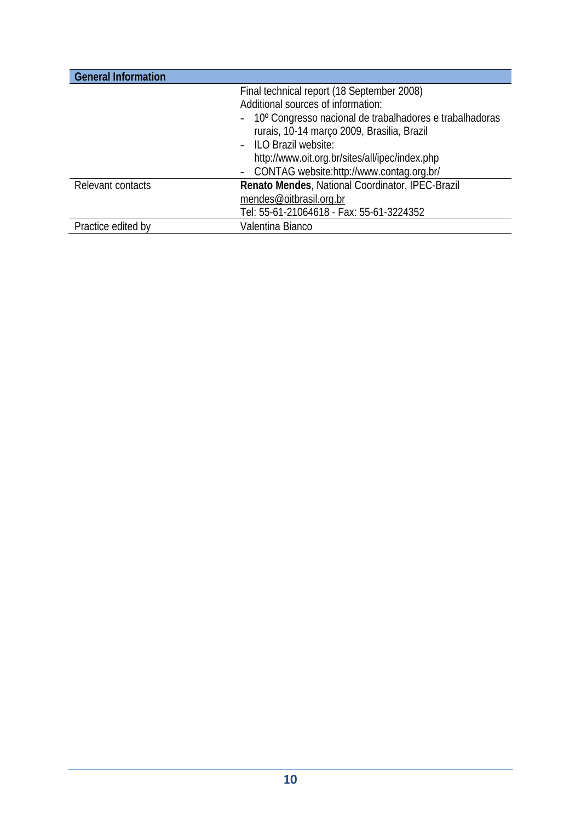| <b>General Information</b> |                                                           |
|----------------------------|-----------------------------------------------------------|
|                            | Final technical report (18 September 2008)                |
|                            | Additional sources of information:                        |
|                            | - 10° Congresso nacional de trabalhadores e trabalhadoras |
|                            | rurais, 10-14 março 2009, Brasilia, Brazil                |
|                            | - ILO Brazil website:                                     |
|                            | http://www.oit.org.br/sites/all/ipec/index.php            |
|                            | - CONTAG website:http://www.contag.org.br/                |
| Relevant contacts          | Renato Mendes, National Coordinator, IPEC-Brazil          |
|                            | mendes@oitbrasil.org.br                                   |
|                            | Tel: 55-61-21064618 - Fax: 55-61-3224352                  |
| Practice edited by         | Valentina Bianco                                          |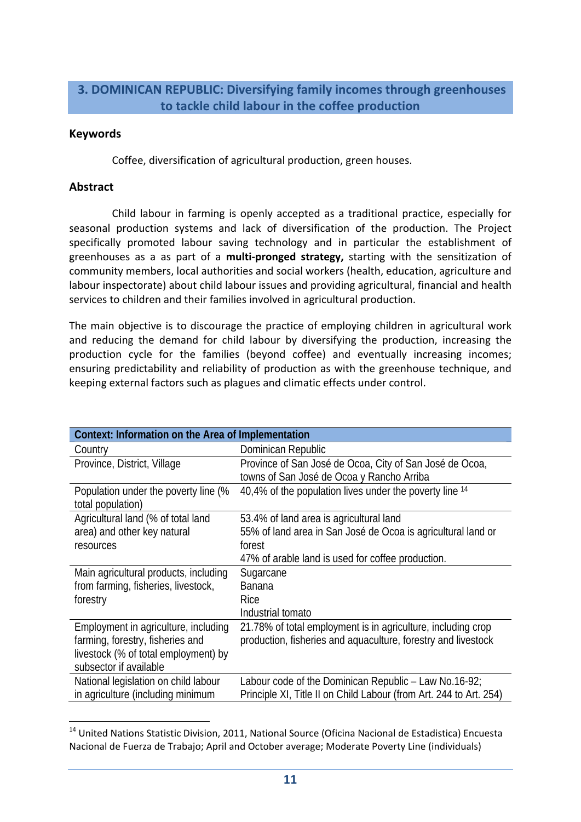# **3. DOMINICAN REPUBLIC: Diversifying family incomes through greenhouses to tackle child labour in the coffee production**

#### **Keywords**

Coffee, diversification of agricultural production, green houses.

# **Abstract**

Child labour in farming is openly accepted as a traditional practice, especially for seasonal production systems and lack of diversification of the production. The Project specifically promoted labour saving technology and in particular the establishment of greenhouses as a as part of a **multi‐pronged strategy,** starting with the sensitization of community members, local authorities and social workers (health, education, agriculture and labour inspectorate) about child labour issues and providing agricultural, financial and health services to children and their families involved in agricultural production.

The main objective is to discourage the practice of employing children in agricultural work and reducing the demand for child labour by diversifying the production, increasing the production cycle for the families (beyond coffee) and eventually increasing incomes; ensuring predictability and reliability of production as with the greenhouse technique, and keeping external factors such as plagues and climatic effects under control.

| Context: Information on the Area of Implementation |                                                                    |
|----------------------------------------------------|--------------------------------------------------------------------|
| Country                                            | Dominican Republic                                                 |
| Province, District, Village                        | Province of San José de Ocoa, City of San José de Ocoa,            |
|                                                    | towns of San José de Ocoa y Rancho Arriba                          |
| Population under the poverty line (%               | 40,4% of the population lives under the poverty line 14            |
| total population)                                  |                                                                    |
| Agricultural land (% of total land                 | 53.4% of land area is agricultural land                            |
| area) and other key natural                        | 55% of land area in San José de Ocoa is agricultural land or       |
| resources                                          | forest                                                             |
|                                                    | 47% of arable land is used for coffee production.                  |
| Main agricultural products, including              | Sugarcane                                                          |
| from farming, fisheries, livestock,                | <b>Banana</b>                                                      |
| forestry                                           | Rice                                                               |
|                                                    | Industrial tomato                                                  |
| Employment in agriculture, including               | 21.78% of total employment is in agriculture, including crop       |
| farming, forestry, fisheries and                   | production, fisheries and aquaculture, forestry and livestock      |
| livestock (% of total employment) by               |                                                                    |
| subsector if available                             |                                                                    |
| National legislation on child labour               | Labour code of the Dominican Republic - Law No.16-92;              |
| in agriculture (including minimum                  | Principle XI, Title II on Child Labour (from Art. 244 to Art. 254) |

 <sup>14</sup> United Nations Statistic Division, 2011, National Source (Oficina Nacional de Estadistica) Encuesta Nacional de Fuerza de Trabajo; April and October average; Moderate Poverty Line (individuals)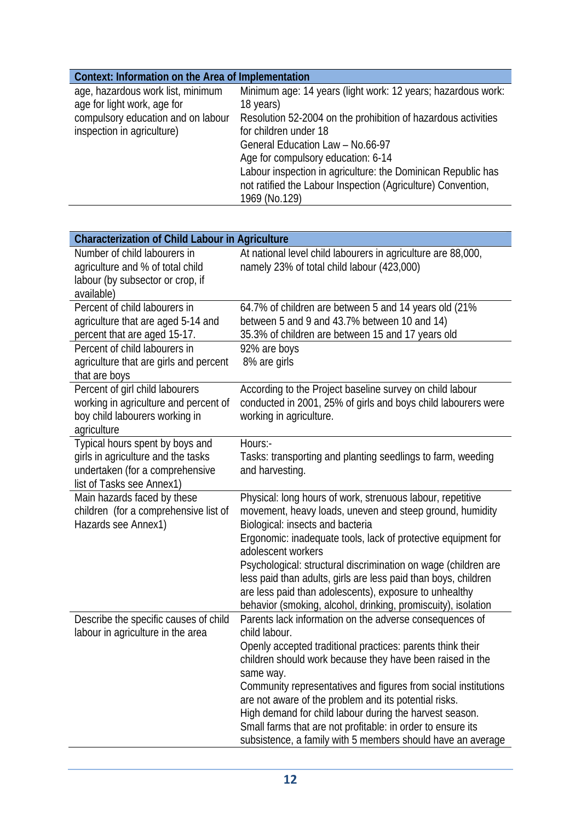| Context: Information on the Area of Implementation |                                                               |
|----------------------------------------------------|---------------------------------------------------------------|
| age, hazardous work list, minimum                  | Minimum age: 14 years (light work: 12 years; hazardous work:  |
| age for light work, age for                        | 18 years)                                                     |
| compulsory education and on labour                 | Resolution 52-2004 on the prohibition of hazardous activities |
| inspection in agriculture)                         | for children under 18                                         |
|                                                    | General Education Law - No.66-97                              |
|                                                    | Age for compulsory education: 6-14                            |
|                                                    | Labour inspection in agriculture: the Dominican Republic has  |
|                                                    | not ratified the Labour Inspection (Agriculture) Convention,  |
|                                                    | 1969 (No.129)                                                 |

| <b>Characterization of Child Labour in Agriculture</b>                                                                                |                                                                                                                                                                                                                                                                                                                                                                                                                                                                                                                                      |  |
|---------------------------------------------------------------------------------------------------------------------------------------|--------------------------------------------------------------------------------------------------------------------------------------------------------------------------------------------------------------------------------------------------------------------------------------------------------------------------------------------------------------------------------------------------------------------------------------------------------------------------------------------------------------------------------------|--|
| Number of child labourers in<br>agriculture and % of total child<br>labour (by subsector or crop, if<br>available)                    | At national level child labourers in agriculture are 88,000,<br>namely 23% of total child labour (423,000)                                                                                                                                                                                                                                                                                                                                                                                                                           |  |
| Percent of child labourers in<br>agriculture that are aged 5-14 and<br>percent that are aged 15-17.                                   | 64.7% of children are between 5 and 14 years old (21%<br>between 5 and 9 and 43.7% between 10 and 14)<br>35.3% of children are between 15 and 17 years old                                                                                                                                                                                                                                                                                                                                                                           |  |
| Percent of child labourers in<br>agriculture that are girls and percent<br>that are boys                                              | 92% are boys<br>8% are girls                                                                                                                                                                                                                                                                                                                                                                                                                                                                                                         |  |
| Percent of girl child labourers<br>working in agriculture and percent of<br>boy child labourers working in<br>agriculture             | According to the Project baseline survey on child labour<br>conducted in 2001, 25% of girls and boys child labourers were<br>working in agriculture.                                                                                                                                                                                                                                                                                                                                                                                 |  |
| Typical hours spent by boys and<br>girls in agriculture and the tasks<br>undertaken (for a comprehensive<br>list of Tasks see Annex1) | Hours:-<br>Tasks: transporting and planting seedlings to farm, weeding<br>and harvesting.                                                                                                                                                                                                                                                                                                                                                                                                                                            |  |
| Main hazards faced by these<br>children (for a comprehensive list of<br>Hazards see Annex1)                                           | Physical: long hours of work, strenuous labour, repetitive<br>movement, heavy loads, uneven and steep ground, humidity<br>Biological: insects and bacteria<br>Ergonomic: inadequate tools, lack of protective equipment for<br>adolescent workers<br>Psychological: structural discrimination on wage (children are<br>less paid than adults, girls are less paid than boys, children<br>are less paid than adolescents), exposure to unhealthy<br>behavior (smoking, alcohol, drinking, promiscuity), isolation                     |  |
| Describe the specific causes of child<br>labour in agriculture in the area                                                            | Parents lack information on the adverse consequences of<br>child labour.<br>Openly accepted traditional practices: parents think their<br>children should work because they have been raised in the<br>same way.<br>Community representatives and figures from social institutions<br>are not aware of the problem and its potential risks.<br>High demand for child labour during the harvest season.<br>Small farms that are not profitable: in order to ensure its<br>subsistence, a family with 5 members should have an average |  |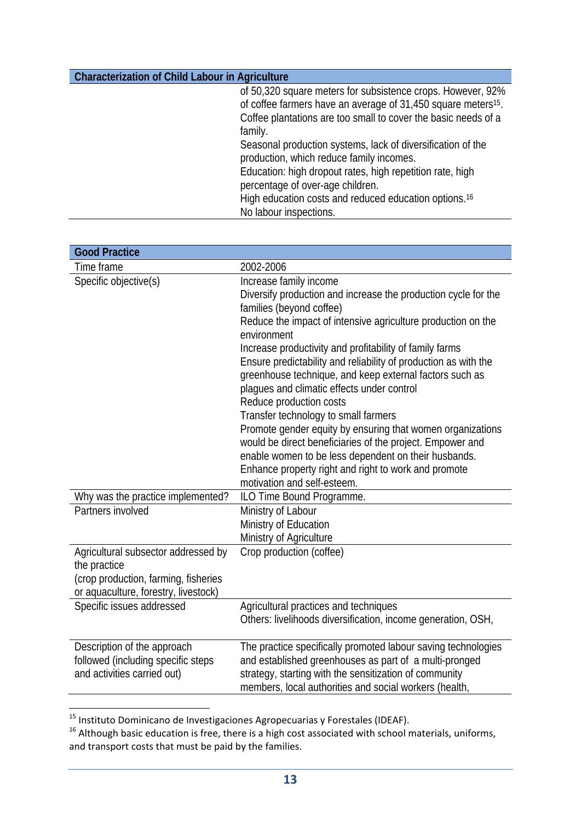of 50,320 square meters for subsistence crops. However, 92% of coffee farmers have an average of 31,450 square meters15. Coffee plantations are too small to cover the basic needs of a family. Seasonal production systems, lack of diversification of the production, which reduce family incomes. Education: high dropout rates, high repetition rate, high

percentage of over-age children. High education costs and reduced education options.16 No labour inspections.

| <b>Good Practice</b>                                                                                                                |                                                                                                                                                                                                                                                                                                                                                                                                                                                                                                                                                                                                                                                                                                                                                                                         |
|-------------------------------------------------------------------------------------------------------------------------------------|-----------------------------------------------------------------------------------------------------------------------------------------------------------------------------------------------------------------------------------------------------------------------------------------------------------------------------------------------------------------------------------------------------------------------------------------------------------------------------------------------------------------------------------------------------------------------------------------------------------------------------------------------------------------------------------------------------------------------------------------------------------------------------------------|
| Time frame                                                                                                                          | 2002-2006                                                                                                                                                                                                                                                                                                                                                                                                                                                                                                                                                                                                                                                                                                                                                                               |
| Specific objective(s)                                                                                                               | Increase family income<br>Diversify production and increase the production cycle for the<br>families (beyond coffee)<br>Reduce the impact of intensive agriculture production on the<br>environment<br>Increase productivity and profitability of family farms<br>Ensure predictability and reliability of production as with the<br>greenhouse technique, and keep external factors such as<br>plagues and climatic effects under control<br>Reduce production costs<br>Transfer technology to small farmers<br>Promote gender equity by ensuring that women organizations<br>would be direct beneficiaries of the project. Empower and<br>enable women to be less dependent on their husbands.<br>Enhance property right and right to work and promote<br>motivation and self-esteem. |
| Why was the practice implemented?                                                                                                   | ILO Time Bound Programme.                                                                                                                                                                                                                                                                                                                                                                                                                                                                                                                                                                                                                                                                                                                                                               |
| Partners involved                                                                                                                   | Ministry of Labour<br>Ministry of Education<br>Ministry of Agriculture                                                                                                                                                                                                                                                                                                                                                                                                                                                                                                                                                                                                                                                                                                                  |
| Agricultural subsector addressed by<br>the practice<br>(crop production, farming, fisheries<br>or aquaculture, forestry, livestock) | Crop production (coffee)                                                                                                                                                                                                                                                                                                                                                                                                                                                                                                                                                                                                                                                                                                                                                                |
| Specific issues addressed                                                                                                           | Agricultural practices and techniques<br>Others: livelihoods diversification, income generation, OSH,                                                                                                                                                                                                                                                                                                                                                                                                                                                                                                                                                                                                                                                                                   |
| Description of the approach<br>followed (including specific steps<br>and activities carried out)                                    | The practice specifically promoted labour saving technologies<br>and established greenhouses as part of a multi-pronged<br>strategy, starting with the sensitization of community<br>members, local authorities and social workers (health,                                                                                                                                                                                                                                                                                                                                                                                                                                                                                                                                             |

<sup>&</sup>lt;sup>15</sup> Instituto Dominicano de Investigaciones Agropecuarias y Forestales (IDEAF).

 $16$  Although basic education is free, there is a high cost associated with school materials, uniforms, and transport costs that must be paid by the families.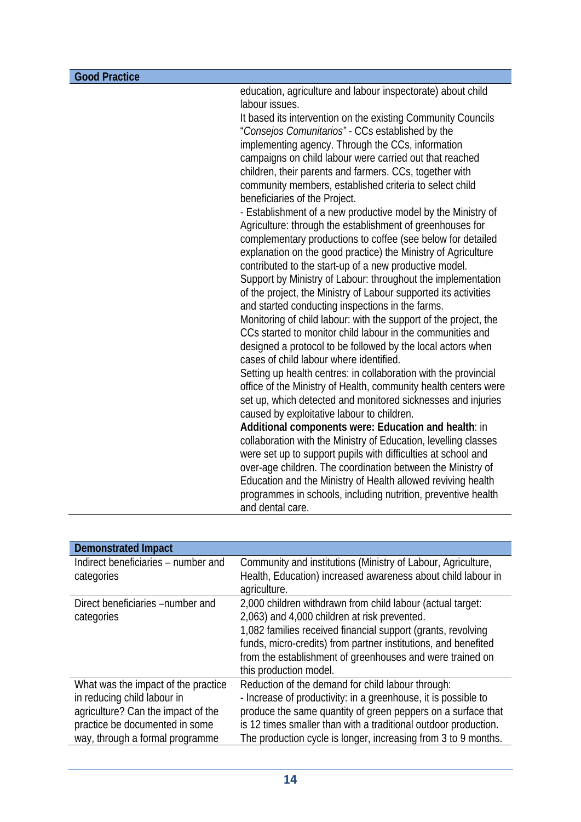education, agriculture and labour inspectorate) about child labour issues.

It based its intervention on the existing Community Councils "*Consejos Comunitarios" -* CCs established by the implementing agency. Through the CCs, information campaigns on child labour were carried out that reached children, their parents and farmers. CCs, together with community members, established criteria to select child beneficiaries of the Project.

- Establishment of a new productive model by the Ministry of Agriculture: through the establishment of greenhouses for complementary productions to coffee (see below for detailed explanation on the good practice) the Ministry of Agriculture contributed to the start-up of a new productive model. Support by Ministry of Labour: throughout the implementation of the project, the Ministry of Labour supported its activities

and started conducting inspections in the farms. Monitoring of child labour: with the support of the project, the CCs started to monitor child labour in the communities and designed a protocol to be followed by the local actors when cases of child labour where identified.

Setting up health centres: in collaboration with the provincial office of the Ministry of Health, community health centers were set up, which detected and monitored sicknesses and injuries caused by exploitative labour to children.

**Additional components were: Education and health**: in collaboration with the Ministry of Education, levelling classes were set up to support pupils with difficulties at school and over-age children. The coordination between the Ministry of Education and the Ministry of Health allowed reviving health programmes in schools, including nutrition, preventive health and dental care.

| <b>Demonstrated Impact</b>          |                                                                 |
|-------------------------------------|-----------------------------------------------------------------|
| Indirect beneficiaries – number and | Community and institutions (Ministry of Labour, Agriculture,    |
| categories                          | Health, Education) increased awareness about child labour in    |
|                                     | agriculture.                                                    |
| Direct beneficiaries -number and    | 2,000 children withdrawn from child labour (actual target:      |
| categories                          | 2,063) and 4,000 children at risk prevented.                    |
|                                     | 1,082 families received financial support (grants, revolving    |
|                                     | funds, micro-credits) from partner institutions, and benefited  |
|                                     | from the establishment of greenhouses and were trained on       |
|                                     | this production model.                                          |
| What was the impact of the practice | Reduction of the demand for child labour through:               |
| in reducing child labour in         | - Increase of productivity: in a greenhouse, it is possible to  |
| agriculture? Can the impact of the  | produce the same quantity of green peppers on a surface that    |
| practice be documented in some      | is 12 times smaller than with a traditional outdoor production. |
| way, through a formal programme     | The production cycle is longer, increasing from 3 to 9 months.  |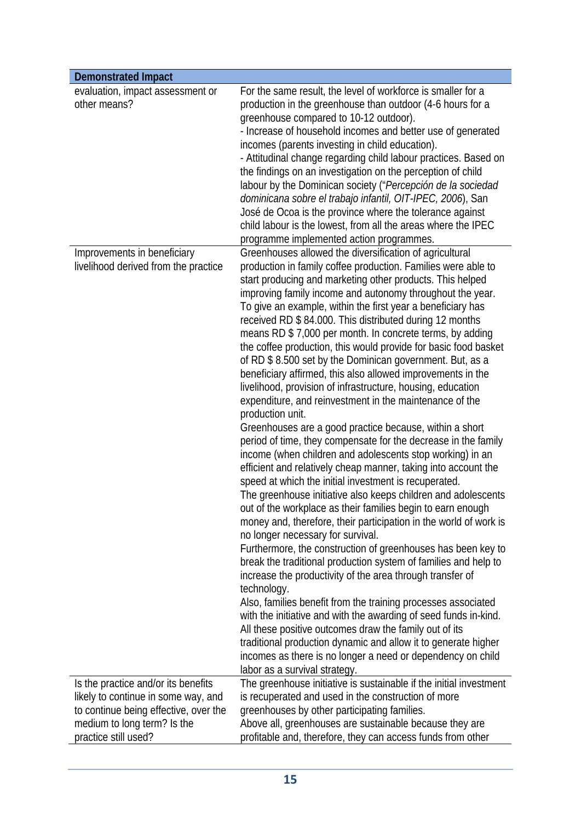| <b>Demonstrated Impact</b>                                           |                                                                                                                                                                                                                                                                                                                                                                                                                                                                                                                                                                                                                                                                                                                                                                                                                                                                                                                                                                                                                                                                                                                                                                                                                                                                                                                                                                                                                                                                                                                                                                                                                                                                                                                                                                                                                                                                                                    |
|----------------------------------------------------------------------|----------------------------------------------------------------------------------------------------------------------------------------------------------------------------------------------------------------------------------------------------------------------------------------------------------------------------------------------------------------------------------------------------------------------------------------------------------------------------------------------------------------------------------------------------------------------------------------------------------------------------------------------------------------------------------------------------------------------------------------------------------------------------------------------------------------------------------------------------------------------------------------------------------------------------------------------------------------------------------------------------------------------------------------------------------------------------------------------------------------------------------------------------------------------------------------------------------------------------------------------------------------------------------------------------------------------------------------------------------------------------------------------------------------------------------------------------------------------------------------------------------------------------------------------------------------------------------------------------------------------------------------------------------------------------------------------------------------------------------------------------------------------------------------------------------------------------------------------------------------------------------------------------|
| evaluation, impact assessment or<br>other means?                     | For the same result, the level of workforce is smaller for a<br>production in the greenhouse than outdoor (4-6 hours for a<br>greenhouse compared to 10-12 outdoor).<br>- Increase of household incomes and better use of generated<br>incomes (parents investing in child education).<br>- Attitudinal change regarding child labour practices. Based on<br>the findings on an investigation on the perception of child<br>labour by the Dominican society ("Percepción de la sociedad<br>dominicana sobre el trabajo infantil, OIT-IPEC, 2006), San<br>José de Ocoa is the province where the tolerance against<br>child labour is the lowest, from all the areas where the IPEC<br>programme implemented action programmes.                                                                                                                                                                                                                                                                                                                                                                                                                                                                                                                                                                                                                                                                                                                                                                                                                                                                                                                                                                                                                                                                                                                                                                     |
| Improvements in beneficiary<br>livelihood derived from the practice  | Greenhouses allowed the diversification of agricultural<br>production in family coffee production. Families were able to<br>start producing and marketing other products. This helped<br>improving family income and autonomy throughout the year.<br>To give an example, within the first year a beneficiary has<br>received RD \$84.000. This distributed during 12 months<br>means RD \$7,000 per month. In concrete terms, by adding<br>the coffee production, this would provide for basic food basket<br>of RD \$8.500 set by the Dominican government. But, as a<br>beneficiary affirmed, this also allowed improvements in the<br>livelihood, provision of infrastructure, housing, education<br>expenditure, and reinvestment in the maintenance of the<br>production unit.<br>Greenhouses are a good practice because, within a short<br>period of time, they compensate for the decrease in the family<br>income (when children and adolescents stop working) in an<br>efficient and relatively cheap manner, taking into account the<br>speed at which the initial investment is recuperated.<br>The greenhouse initiative also keeps children and adolescents<br>out of the workplace as their families begin to earn enough<br>money and, therefore, their participation in the world of work is<br>no longer necessary for survival.<br>Furthermore, the construction of greenhouses has been key to<br>break the traditional production system of families and help to<br>increase the productivity of the area through transfer of<br>technology.<br>Also, families benefit from the training processes associated<br>with the initiative and with the awarding of seed funds in-kind.<br>All these positive outcomes draw the family out of its<br>traditional production dynamic and allow it to generate higher<br>incomes as there is no longer a need or dependency on child |
| Is the practice and/or its benefits                                  | labor as a survival strategy.<br>The greenhouse initiative is sustainable if the initial investment                                                                                                                                                                                                                                                                                                                                                                                                                                                                                                                                                                                                                                                                                                                                                                                                                                                                                                                                                                                                                                                                                                                                                                                                                                                                                                                                                                                                                                                                                                                                                                                                                                                                                                                                                                                                |
| likely to continue in some way, and                                  | is recuperated and used in the construction of more                                                                                                                                                                                                                                                                                                                                                                                                                                                                                                                                                                                                                                                                                                                                                                                                                                                                                                                                                                                                                                                                                                                                                                                                                                                                                                                                                                                                                                                                                                                                                                                                                                                                                                                                                                                                                                                |
| to continue being effective, over the<br>medium to long term? Is the | greenhouses by other participating families.<br>Above all, greenhouses are sustainable because they are                                                                                                                                                                                                                                                                                                                                                                                                                                                                                                                                                                                                                                                                                                                                                                                                                                                                                                                                                                                                                                                                                                                                                                                                                                                                                                                                                                                                                                                                                                                                                                                                                                                                                                                                                                                            |
| practice still used?                                                 | profitable and, therefore, they can access funds from other                                                                                                                                                                                                                                                                                                                                                                                                                                                                                                                                                                                                                                                                                                                                                                                                                                                                                                                                                                                                                                                                                                                                                                                                                                                                                                                                                                                                                                                                                                                                                                                                                                                                                                                                                                                                                                        |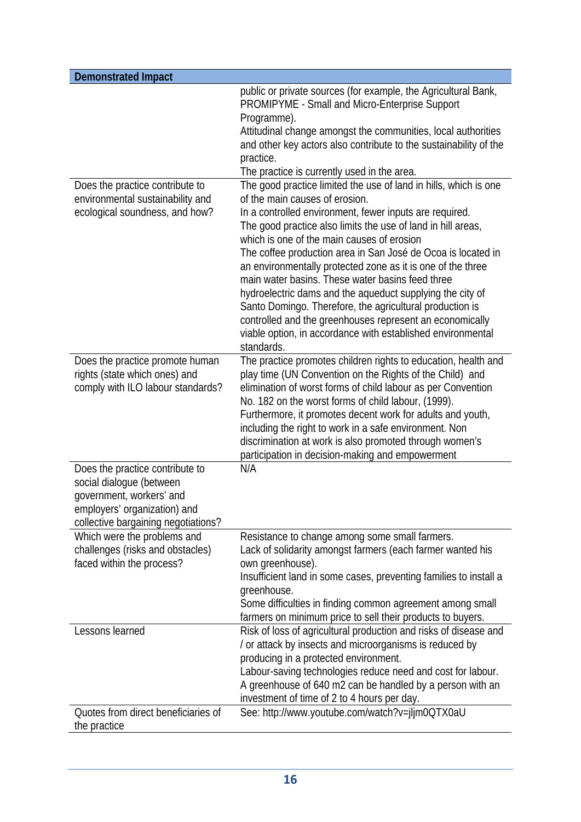| <b>Demonstrated Impact</b>                                                                                                                                     |                                                                                                                                                                                                                                                                                                                                                                                                                                                                                                                                                                                                                                                              |
|----------------------------------------------------------------------------------------------------------------------------------------------------------------|--------------------------------------------------------------------------------------------------------------------------------------------------------------------------------------------------------------------------------------------------------------------------------------------------------------------------------------------------------------------------------------------------------------------------------------------------------------------------------------------------------------------------------------------------------------------------------------------------------------------------------------------------------------|
| Does the practice contribute to                                                                                                                                | public or private sources (for example, the Agricultural Bank,<br>PROMIPYME - Small and Micro-Enterprise Support<br>Programme).<br>Attitudinal change amongst the communities, local authorities<br>and other key actors also contribute to the sustainability of the<br>practice.<br>The practice is currently used in the area.<br>The good practice limited the use of land in hills, which is one                                                                                                                                                                                                                                                        |
| environmental sustainability and<br>ecological soundness, and how?                                                                                             | of the main causes of erosion.<br>In a controlled environment, fewer inputs are required.<br>The good practice also limits the use of land in hill areas,<br>which is one of the main causes of erosion<br>The coffee production area in San José de Ocoa is located in<br>an environmentally protected zone as it is one of the three<br>main water basins. These water basins feed three<br>hydroelectric dams and the aqueduct supplying the city of<br>Santo Domingo. Therefore, the agricultural production is<br>controlled and the greenhouses represent an economically<br>viable option, in accordance with established environmental<br>standards. |
| Does the practice promote human<br>rights (state which ones) and<br>comply with ILO labour standards?                                                          | The practice promotes children rights to education, health and<br>play time (UN Convention on the Rights of the Child) and<br>elimination of worst forms of child labour as per Convention<br>No. 182 on the worst forms of child labour, (1999).<br>Furthermore, it promotes decent work for adults and youth,<br>including the right to work in a safe environment. Non<br>discrimination at work is also promoted through women's<br>participation in decision-making and empowerment                                                                                                                                                                     |
| Does the practice contribute to<br>social dialogue (between<br>government, workers' and<br>employers' organization) and<br>collective bargaining negotiations? | N/A                                                                                                                                                                                                                                                                                                                                                                                                                                                                                                                                                                                                                                                          |
| Which were the problems and<br>challenges (risks and obstacles)<br>faced within the process?                                                                   | Resistance to change among some small farmers.<br>Lack of solidarity amongst farmers (each farmer wanted his<br>own greenhouse).<br>Insufficient land in some cases, preventing families to install a<br>greenhouse.<br>Some difficulties in finding common agreement among small<br>farmers on minimum price to sell their products to buyers.                                                                                                                                                                                                                                                                                                              |
| Lessons learned                                                                                                                                                | Risk of loss of agricultural production and risks of disease and<br>/ or attack by insects and microorganisms is reduced by<br>producing in a protected environment.<br>Labour-saving technologies reduce need and cost for labour.<br>A greenhouse of 640 m2 can be handled by a person with an<br>investment of time of 2 to 4 hours per day.                                                                                                                                                                                                                                                                                                              |
| Quotes from direct beneficiaries of<br>the practice                                                                                                            | See: http://www.youtube.com/watch?v=jljm0QTX0aU                                                                                                                                                                                                                                                                                                                                                                                                                                                                                                                                                                                                              |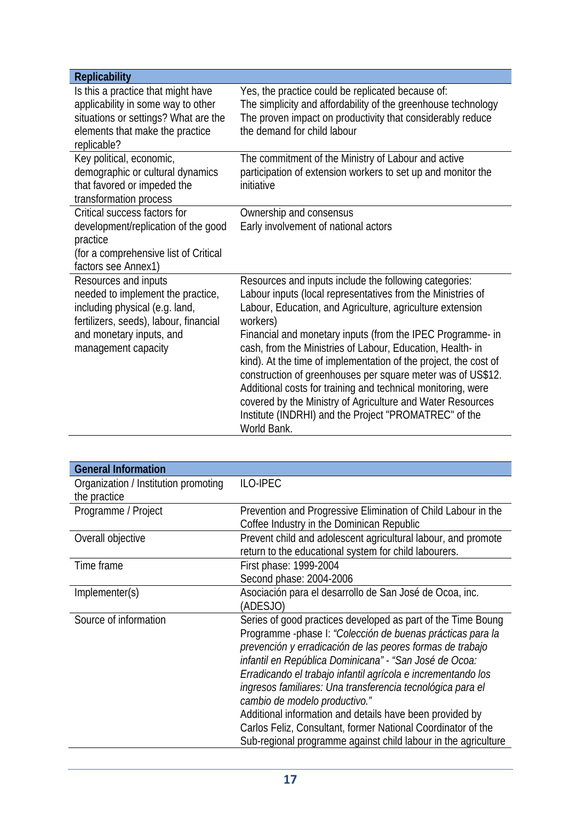| <b>Replicability</b>                                                     |                                                                       |
|--------------------------------------------------------------------------|-----------------------------------------------------------------------|
| Is this a practice that might have                                       | Yes, the practice could be replicated because of:                     |
| applicability in some way to other                                       | The simplicity and affordability of the greenhouse technology         |
| situations or settings? What are the                                     | The proven impact on productivity that considerably reduce            |
| elements that make the practice                                          | the demand for child labour                                           |
| replicable?<br>Key political, economic,                                  | The commitment of the Ministry of Labour and active                   |
| demographic or cultural dynamics                                         | participation of extension workers to set up and monitor the          |
| that favored or impeded the                                              | initiative                                                            |
| transformation process                                                   |                                                                       |
| Critical success factors for                                             | Ownership and consensus                                               |
| development/replication of the good                                      | Early involvement of national actors                                  |
| practice                                                                 |                                                                       |
| (for a comprehensive list of Critical                                    |                                                                       |
| factors see Annex1)                                                      |                                                                       |
| Resources and inputs                                                     | Resources and inputs include the following categories:                |
| needed to implement the practice,                                        | Labour inputs (local representatives from the Ministries of           |
| including physical (e.g. land,<br>fertilizers, seeds), labour, financial | Labour, Education, and Agriculture, agriculture extension<br>workers) |
| and monetary inputs, and                                                 | Financial and monetary inputs (from the IPEC Programme- in            |
| management capacity                                                      | cash, from the Ministries of Labour, Education, Health- in            |
|                                                                          | kind). At the time of implementation of the project, the cost of      |
|                                                                          | construction of greenhouses per square meter was of US\$12.           |
|                                                                          | Additional costs for training and technical monitoring, were          |
|                                                                          | covered by the Ministry of Agriculture and Water Resources            |
|                                                                          | Institute (INDRHI) and the Project "PROMATREC" of the                 |
|                                                                          | World Bank.                                                           |

| <b>General Information</b>                           |                                                                                                                                                                                                                                                                                                                                                                                                                                                                                                                                                                                                                |
|------------------------------------------------------|----------------------------------------------------------------------------------------------------------------------------------------------------------------------------------------------------------------------------------------------------------------------------------------------------------------------------------------------------------------------------------------------------------------------------------------------------------------------------------------------------------------------------------------------------------------------------------------------------------------|
| Organization / Institution promoting<br>the practice | <b>ILO-IPEC</b>                                                                                                                                                                                                                                                                                                                                                                                                                                                                                                                                                                                                |
| Programme / Project                                  | Prevention and Progressive Elimination of Child Labour in the<br>Coffee Industry in the Dominican Republic                                                                                                                                                                                                                                                                                                                                                                                                                                                                                                     |
| Overall objective                                    | Prevent child and adolescent agricultural labour, and promote<br>return to the educational system for child labourers.                                                                                                                                                                                                                                                                                                                                                                                                                                                                                         |
| Time frame                                           | First phase: 1999-2004<br>Second phase: 2004-2006                                                                                                                                                                                                                                                                                                                                                                                                                                                                                                                                                              |
| Implementer(s)                                       | Asociación para el desarrollo de San José de Ocoa, inc.<br>(ADESJO)                                                                                                                                                                                                                                                                                                                                                                                                                                                                                                                                            |
| Source of information                                | Series of good practices developed as part of the Time Boung<br>Programme -phase I: "Colección de buenas prácticas para la<br>prevención y erradicación de las peores formas de trabajo<br>infantil en República Dominicana" - "San José de Ocoa:<br>Erradicando el trabajo infantil agrícola e incrementando los<br>ingresos familiares: Una transferencia tecnológica para el<br>cambio de modelo productivo."<br>Additional information and details have been provided by<br>Carlos Feliz, Consultant, former National Coordinator of the<br>Sub-regional programme against child labour in the agriculture |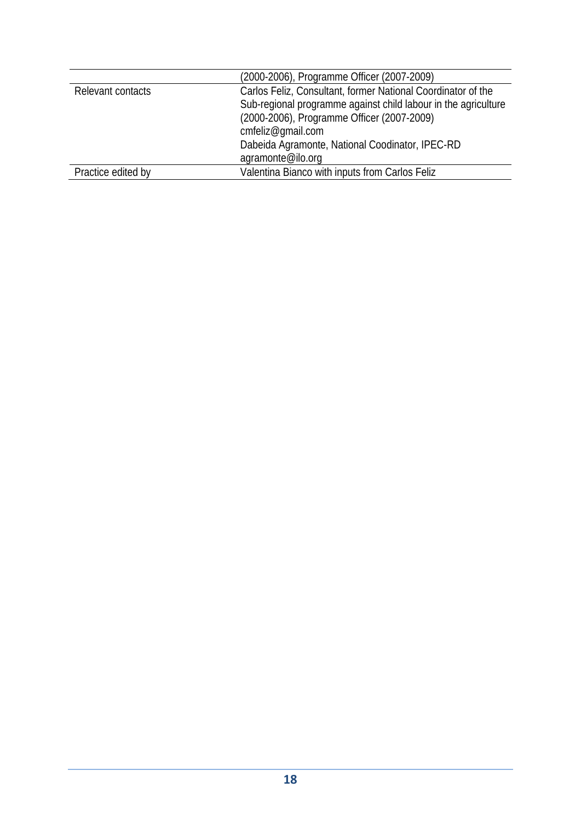|                    | (2000-2006), Programme Officer (2007-2009)                     |
|--------------------|----------------------------------------------------------------|
| Relevant contacts  | Carlos Feliz, Consultant, former National Coordinator of the   |
|                    | Sub-regional programme against child labour in the agriculture |
|                    | (2000-2006), Programme Officer (2007-2009)                     |
|                    | cmfeliz@qmail.com                                              |
|                    | Dabeida Agramonte, National Coodinator, IPEC-RD                |
|                    | agramonte@ilo.org                                              |
| Practice edited by | Valentina Bianco with inputs from Carlos Feliz                 |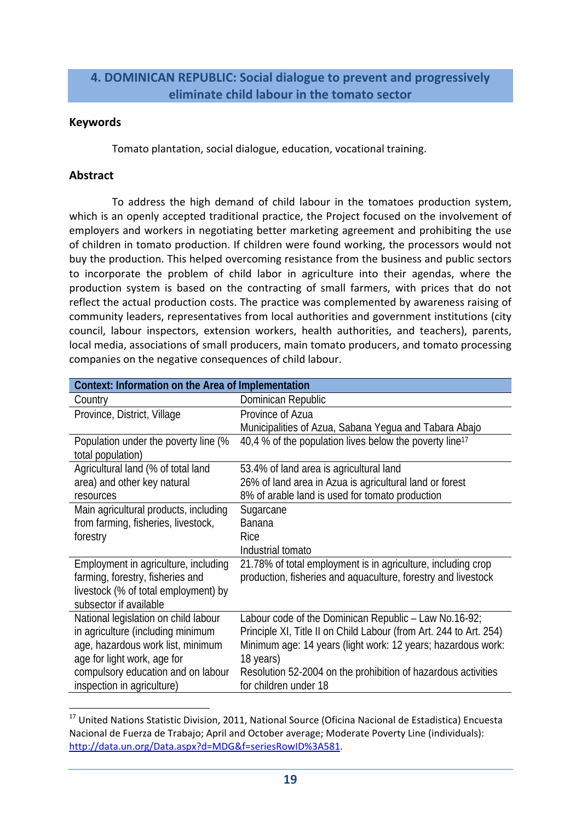# **4. DOMINICAN REPUBLIC: Social dialogue to prevent and progressively eliminate child labour in the tomato sector**

## **Keywords**

Tomato plantation, social dialogue, education, vocational training.

# **Abstract**

To address the high demand of child labour in the tomatoes production system, which is an openly accepted traditional practice, the Project focused on the involvement of employers and workers in negotiating better marketing agreement and prohibiting the use of children in tomato production. If children were found working, the processors would not buy the production. This helped overcoming resistance from the business and public sectors to incorporate the problem of child labor in agriculture into their agendas, where the production system is based on the contracting of small farmers, with prices that do not reflect the actual production costs. The practice was complemented by awareness raising of community leaders, representatives from local authorities and government institutions (city council, labour inspectors, extension workers, health authorities, and teachers), parents, local media, associations of small producers, main tomato producers, and tomato processing companies on the negative consequences of child labour.

| Context: Information on the Area of Implementation |                                                                     |
|----------------------------------------------------|---------------------------------------------------------------------|
| Country                                            | Dominican Republic                                                  |
| Province, District, Village                        | Province of Azua                                                    |
|                                                    | Municipalities of Azua, Sabana Yegua and Tabara Abajo               |
| Population under the poverty line (%               | 40,4 % of the population lives below the poverty line <sup>17</sup> |
| total population)                                  |                                                                     |
| Agricultural land (% of total land                 | 53.4% of land area is agricultural land                             |
| area) and other key natural                        | 26% of land area in Azua is agricultural land or forest             |
| resources                                          | 8% of arable land is used for tomato production                     |
| Main agricultural products, including              | Sugarcane                                                           |
| from farming, fisheries, livestock,                | <b>Banana</b>                                                       |
| forestry                                           | Rice                                                                |
|                                                    | Industrial tomato                                                   |
| Employment in agriculture, including               | 21.78% of total employment is in agriculture, including crop        |
| farming, forestry, fisheries and                   | production, fisheries and aquaculture, forestry and livestock       |
| livestock (% of total employment) by               |                                                                     |
| subsector if available                             |                                                                     |
| National legislation on child labour               | Labour code of the Dominican Republic $-$ Law No.16-92;             |
| in agriculture (including minimum                  | Principle XI, Title II on Child Labour (from Art. 244 to Art. 254)  |
| age, hazardous work list, minimum                  | Minimum age: 14 years (light work: 12 years; hazardous work:        |
| age for light work, age for                        | 18 years)                                                           |
| compulsory education and on labour                 | Resolution 52-2004 on the prohibition of hazardous activities       |
| inspection in agriculture)                         | for children under 18                                               |

 <sup>17</sup> United Nations Statistic Division, 2011, National Source (Oficina Nacional de Estadistica) Encuesta Nacional de Fuerza de Trabajo; April and October average; Moderate Poverty Line (individuals): http://data.un.org/Data.aspx?d=MDG&f=seriesRowID%3A581.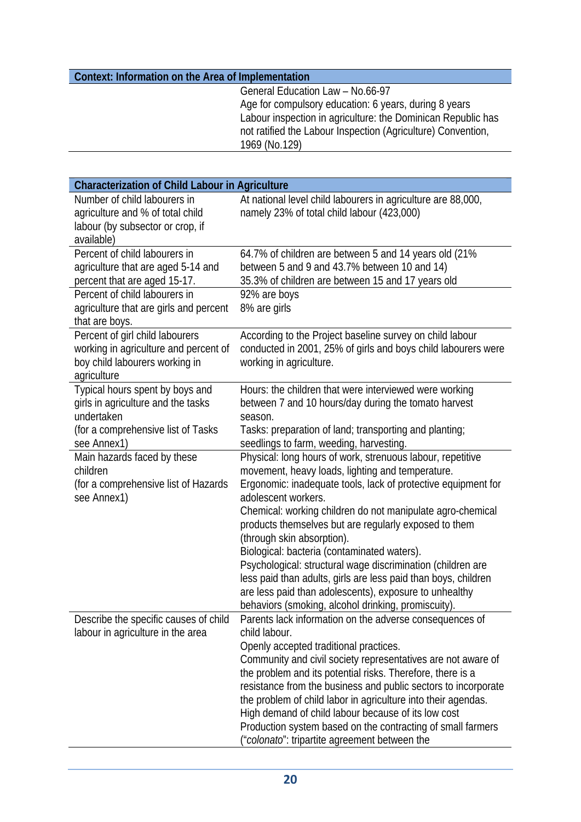# **Context: Information on the Area of Implementation**

General Education Law – No.66-97 Age for compulsory education: 6 years, during 8 years Labour inspection in agriculture: the Dominican Republic has not ratified the Labour Inspection (Agriculture) Convention, 1969 (No.129)

| <b>Characterization of Child Labour in Agriculture</b>                                                                                   |                                                                                                                                                                                                                                                                                                                                                                                                                                                                                                                                                                                                                                                              |
|------------------------------------------------------------------------------------------------------------------------------------------|--------------------------------------------------------------------------------------------------------------------------------------------------------------------------------------------------------------------------------------------------------------------------------------------------------------------------------------------------------------------------------------------------------------------------------------------------------------------------------------------------------------------------------------------------------------------------------------------------------------------------------------------------------------|
| Number of child labourers in<br>agriculture and % of total child<br>labour (by subsector or crop, if<br>available)                       | At national level child labourers in agriculture are 88,000,<br>namely 23% of total child labour (423,000)                                                                                                                                                                                                                                                                                                                                                                                                                                                                                                                                                   |
| Percent of child labourers in<br>agriculture that are aged 5-14 and<br>percent that are aged 15-17.                                      | 64.7% of children are between 5 and 14 years old (21%<br>between 5 and 9 and 43.7% between 10 and 14)<br>35.3% of children are between 15 and 17 years old                                                                                                                                                                                                                                                                                                                                                                                                                                                                                                   |
| Percent of child labourers in<br>agriculture that are girls and percent<br>that are boys.                                                | 92% are boys<br>8% are girls                                                                                                                                                                                                                                                                                                                                                                                                                                                                                                                                                                                                                                 |
| Percent of girl child labourers<br>working in agriculture and percent of<br>boy child labourers working in<br>agriculture                | According to the Project baseline survey on child labour<br>conducted in 2001, 25% of girls and boys child labourers were<br>working in agriculture.                                                                                                                                                                                                                                                                                                                                                                                                                                                                                                         |
| Typical hours spent by boys and<br>girls in agriculture and the tasks<br>undertaken<br>(for a comprehensive list of Tasks<br>see Annex1) | Hours: the children that were interviewed were working<br>between 7 and 10 hours/day during the tomato harvest<br>season.<br>Tasks: preparation of land; transporting and planting;<br>seedlings to farm, weeding, harvesting.                                                                                                                                                                                                                                                                                                                                                                                                                               |
| Main hazards faced by these<br>children<br>(for a comprehensive list of Hazards<br>see Annex1)                                           | Physical: long hours of work, strenuous labour, repetitive<br>movement, heavy loads, lighting and temperature.<br>Ergonomic: inadequate tools, lack of protective equipment for<br>adolescent workers.<br>Chemical: working children do not manipulate agro-chemical<br>products themselves but are regularly exposed to them<br>(through skin absorption).<br>Biological: bacteria (contaminated waters).<br>Psychological: structural wage discrimination (children are<br>less paid than adults, girls are less paid than boys, children<br>are less paid than adolescents), exposure to unhealthy<br>behaviors (smoking, alcohol drinking, promiscuity). |
| Describe the specific causes of child<br>labour in agriculture in the area                                                               | Parents lack information on the adverse consequences of<br>child labour.<br>Openly accepted traditional practices.<br>Community and civil society representatives are not aware of<br>the problem and its potential risks. Therefore, there is a<br>resistance from the business and public sectors to incorporate<br>the problem of child labor in agriculture into their agendas.<br>High demand of child labour because of its low cost<br>Production system based on the contracting of small farmers<br>("colonato": tripartite agreement between the                                                                                                   |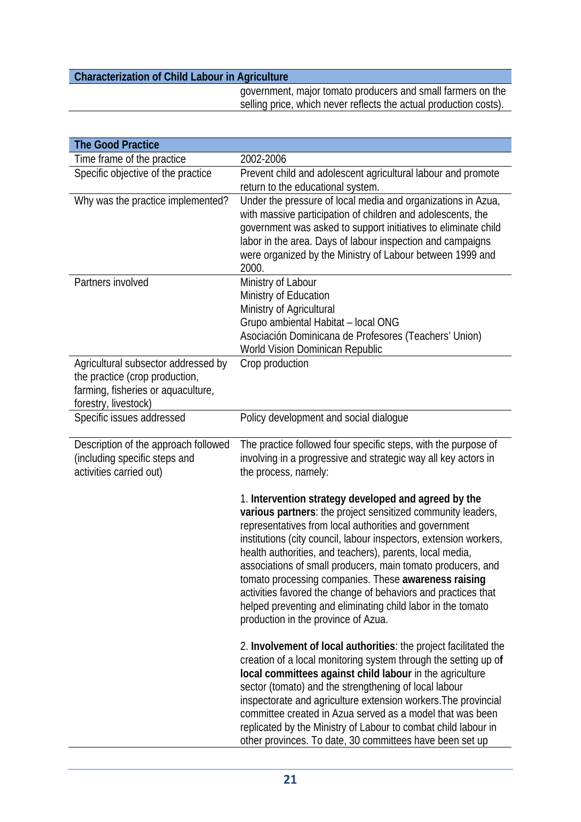government, major tomato producers and small farmers on the selling price, which never reflects the actual production costs).

| <b>The Good Practice</b>                                                                                                            |                                                                                                                                                                                                                                                                                                                                                                                                                                                                                                                                                                                                             |
|-------------------------------------------------------------------------------------------------------------------------------------|-------------------------------------------------------------------------------------------------------------------------------------------------------------------------------------------------------------------------------------------------------------------------------------------------------------------------------------------------------------------------------------------------------------------------------------------------------------------------------------------------------------------------------------------------------------------------------------------------------------|
| Time frame of the practice                                                                                                          | 2002-2006                                                                                                                                                                                                                                                                                                                                                                                                                                                                                                                                                                                                   |
| Specific objective of the practice                                                                                                  | Prevent child and adolescent agricultural labour and promote<br>return to the educational system.                                                                                                                                                                                                                                                                                                                                                                                                                                                                                                           |
| Why was the practice implemented?                                                                                                   | Under the pressure of local media and organizations in Azua,<br>with massive participation of children and adolescents, the<br>government was asked to support initiatives to eliminate child<br>labor in the area. Days of labour inspection and campaigns<br>were organized by the Ministry of Labour between 1999 and<br>2000.                                                                                                                                                                                                                                                                           |
| Partners involved                                                                                                                   | Ministry of Labour<br>Ministry of Education<br>Ministry of Agricultural<br>Grupo ambiental Habitat - local ONG<br>Asociación Dominicana de Profesores (Teachers' Union)<br>World Vision Dominican Republic                                                                                                                                                                                                                                                                                                                                                                                                  |
| Agricultural subsector addressed by<br>the practice (crop production,<br>farming, fisheries or aquaculture,<br>forestry, livestock) | Crop production                                                                                                                                                                                                                                                                                                                                                                                                                                                                                                                                                                                             |
| Specific issues addressed                                                                                                           | Policy development and social dialogue                                                                                                                                                                                                                                                                                                                                                                                                                                                                                                                                                                      |
| Description of the approach followed<br>(including specific steps and<br>activities carried out)                                    | The practice followed four specific steps, with the purpose of<br>involving in a progressive and strategic way all key actors in<br>the process, namely:                                                                                                                                                                                                                                                                                                                                                                                                                                                    |
|                                                                                                                                     | 1. Intervention strategy developed and agreed by the<br>various partners: the project sensitized community leaders,<br>representatives from local authorities and government<br>institutions (city council, labour inspectors, extension workers,<br>health authorities, and teachers), parents, local media,<br>associations of small producers, main tomato producers, and<br>tomato processing companies. These awareness raising<br>activities favored the change of behaviors and practices that<br>helped preventing and eliminating child labor in the tomato<br>production in the province of Azua. |
|                                                                                                                                     | 2. Involvement of local authorities: the project facilitated the<br>creation of a local monitoring system through the setting up of<br>local committees against child labour in the agriculture<br>sector (tomato) and the strengthening of local labour<br>inspectorate and agriculture extension workers. The provincial<br>committee created in Azua served as a model that was been<br>replicated by the Ministry of Labour to combat child labour in<br>other provinces. To date, 30 committees have been set up                                                                                       |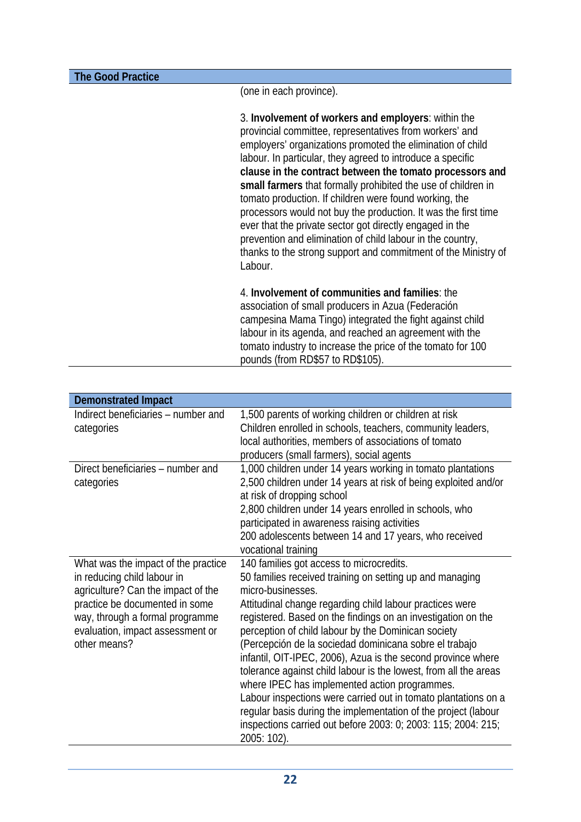**The Good Practice** 

(one in each province).

3. **Involvement of workers and employers**: within the provincial committee, representatives from workers' and employers' organizations promoted the elimination of child labour. In particular, they agreed to introduce a specific **clause in the contract between the tomato processors and small farmers** that formally prohibited the use of children in tomato production. If children were found working, the processors would not buy the production. It was the first time ever that the private sector got directly engaged in the prevention and elimination of child labour in the country, thanks to the strong support and commitment of the Ministry of Labour.

4. **Involvement of communities and families**: the association of small producers in Azua (Federación campesina Mama Tingo) integrated the fight against child labour in its agenda, and reached an agreement with the tomato industry to increase the price of the tomato for 100 pounds (from RD\$57 to RD\$105).

| <b>Demonstrated Impact</b>                                                                                                                                                                                                        |                                                                                                                                                                                                                                                                                                                                                                                                                                                                                                                                                                                                                                                                                                                                                                                 |
|-----------------------------------------------------------------------------------------------------------------------------------------------------------------------------------------------------------------------------------|---------------------------------------------------------------------------------------------------------------------------------------------------------------------------------------------------------------------------------------------------------------------------------------------------------------------------------------------------------------------------------------------------------------------------------------------------------------------------------------------------------------------------------------------------------------------------------------------------------------------------------------------------------------------------------------------------------------------------------------------------------------------------------|
| Indirect beneficiaries - number and<br>categories                                                                                                                                                                                 | 1,500 parents of working children or children at risk<br>Children enrolled in schools, teachers, community leaders,<br>local authorities, members of associations of tomato<br>producers (small farmers), social agents                                                                                                                                                                                                                                                                                                                                                                                                                                                                                                                                                         |
| Direct beneficiaries – number and<br>categories                                                                                                                                                                                   | 1,000 children under 14 years working in tomato plantations<br>2,500 children under 14 years at risk of being exploited and/or<br>at risk of dropping school<br>2,800 children under 14 years enrolled in schools, who<br>participated in awareness raising activities<br>200 adolescents between 14 and 17 years, who received<br>vocational training                                                                                                                                                                                                                                                                                                                                                                                                                          |
| What was the impact of the practice<br>in reducing child labour in<br>agriculture? Can the impact of the<br>practice be documented in some<br>way, through a formal programme<br>evaluation, impact assessment or<br>other means? | 140 families got access to microcredits.<br>50 families received training on setting up and managing<br>micro-businesses.<br>Attitudinal change regarding child labour practices were<br>registered. Based on the findings on an investigation on the<br>perception of child labour by the Dominican society<br>(Percepción de la sociedad dominicana sobre el trabajo<br>infantil, OIT-IPEC, 2006), Azua is the second province where<br>tolerance against child labour is the lowest, from all the areas<br>where IPEC has implemented action programmes.<br>Labour inspections were carried out in tomato plantations on a<br>regular basis during the implementation of the project (labour<br>inspections carried out before 2003: 0; 2003: 115; 2004: 215;<br>2005: 102). |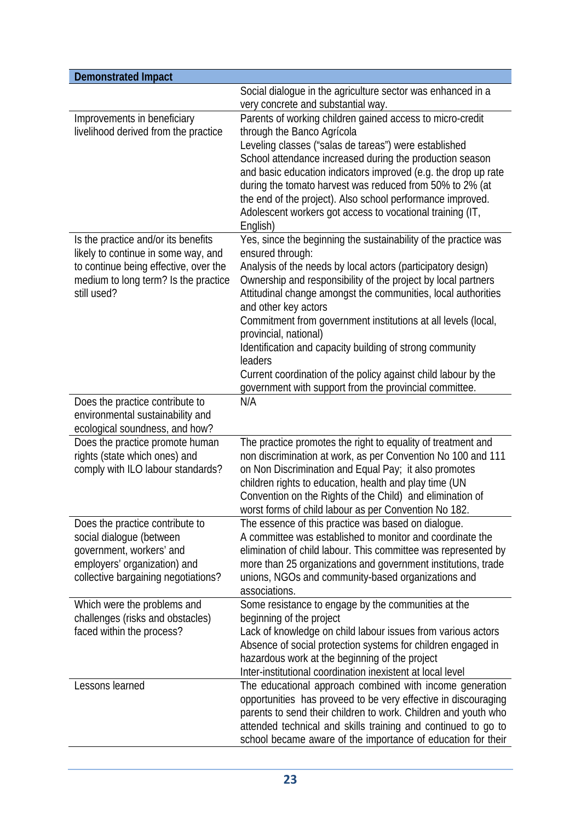| <b>Demonstrated Impact</b>                                                                                                                                                 |                                                                                                                                                                                                                                                                                                                                                                                                                                                                                                                                                                                                            |
|----------------------------------------------------------------------------------------------------------------------------------------------------------------------------|------------------------------------------------------------------------------------------------------------------------------------------------------------------------------------------------------------------------------------------------------------------------------------------------------------------------------------------------------------------------------------------------------------------------------------------------------------------------------------------------------------------------------------------------------------------------------------------------------------|
|                                                                                                                                                                            | Social dialogue in the agriculture sector was enhanced in a<br>very concrete and substantial way.                                                                                                                                                                                                                                                                                                                                                                                                                                                                                                          |
| Improvements in beneficiary<br>livelihood derived from the practice                                                                                                        | Parents of working children gained access to micro-credit<br>through the Banco Agrícola<br>Leveling classes ("salas de tareas") were established<br>School attendance increased during the production season<br>and basic education indicators improved (e.g. the drop up rate<br>during the tomato harvest was reduced from 50% to 2% (at<br>the end of the project). Also school performance improved.<br>Adolescent workers got access to vocational training (IT,<br>English)                                                                                                                          |
| Is the practice and/or its benefits<br>likely to continue in some way, and<br>to continue being effective, over the<br>medium to long term? Is the practice<br>still used? | Yes, since the beginning the sustainability of the practice was<br>ensured through:<br>Analysis of the needs by local actors (participatory design)<br>Ownership and responsibility of the project by local partners<br>Attitudinal change amongst the communities, local authorities<br>and other key actors<br>Commitment from government institutions at all levels (local,<br>provincial, national)<br>Identification and capacity building of strong community<br>leaders<br>Current coordination of the policy against child labour by the<br>government with support from the provincial committee. |
| Does the practice contribute to<br>environmental sustainability and<br>ecological soundness, and how?                                                                      | N/A                                                                                                                                                                                                                                                                                                                                                                                                                                                                                                                                                                                                        |
| Does the practice promote human<br>rights (state which ones) and<br>comply with ILO labour standards?                                                                      | The practice promotes the right to equality of treatment and<br>non discrimination at work, as per Convention No 100 and 111<br>on Non Discrimination and Equal Pay; it also promotes<br>children rights to education, health and play time (UN<br>Convention on the Rights of the Child) and elimination of<br>worst forms of child labour as per Convention No 182.                                                                                                                                                                                                                                      |
| Does the practice contribute to<br>social dialogue (between<br>government, workers' and<br>employers' organization) and<br>collective bargaining negotiations?             | The essence of this practice was based on dialogue.<br>A committee was established to monitor and coordinate the<br>elimination of child labour. This committee was represented by<br>more than 25 organizations and government institutions, trade<br>unions, NGOs and community-based organizations and<br>associations.                                                                                                                                                                                                                                                                                 |
| Which were the problems and<br>challenges (risks and obstacles)<br>faced within the process?                                                                               | Some resistance to engage by the communities at the<br>beginning of the project<br>Lack of knowledge on child labour issues from various actors<br>Absence of social protection systems for children engaged in<br>hazardous work at the beginning of the project<br>Inter-institutional coordination inexistent at local level                                                                                                                                                                                                                                                                            |
| Lessons learned                                                                                                                                                            | The educational approach combined with income generation<br>opportunities has proveed to be very effective in discouraging<br>parents to send their children to work. Children and youth who<br>attended technical and skills training and continued to go to<br>school became aware of the importance of education for their                                                                                                                                                                                                                                                                              |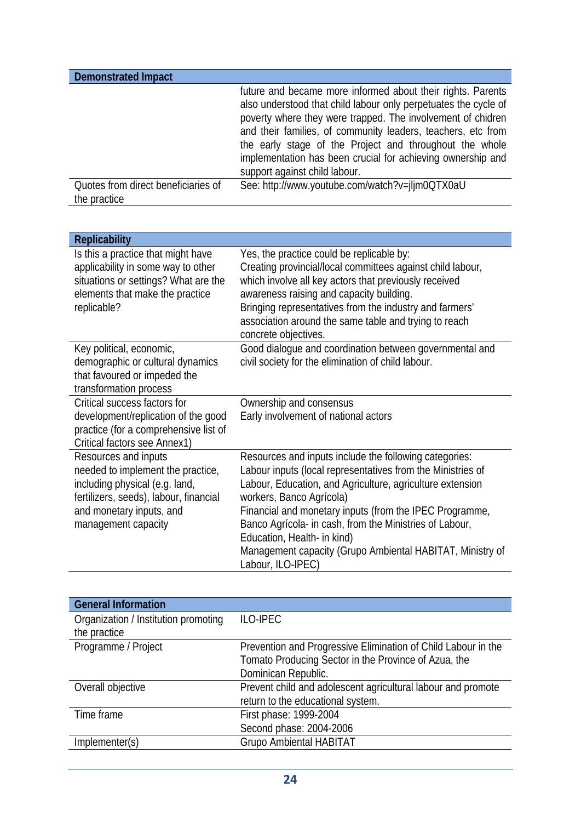| <b>Demonstrated Impact</b>                          |                                                                                                                                                                                                                                                                                                                                                                                                                          |
|-----------------------------------------------------|--------------------------------------------------------------------------------------------------------------------------------------------------------------------------------------------------------------------------------------------------------------------------------------------------------------------------------------------------------------------------------------------------------------------------|
|                                                     | future and became more informed about their rights. Parents<br>also understood that child labour only perpetuates the cycle of<br>poverty where they were trapped. The involvement of chidren<br>and their families, of community leaders, teachers, etc from<br>the early stage of the Project and throughout the whole<br>implementation has been crucial for achieving ownership and<br>support against child labour. |
| Quotes from direct beneficiaries of<br>the practice | See: http://www.youtube.com/watch?v=jljm0QTX0aU                                                                                                                                                                                                                                                                                                                                                                          |

| <b>Replicability</b>                                                                                                                                                                     |                                                                                                                                                                                                                                                                                                                                                                                                                                                       |
|------------------------------------------------------------------------------------------------------------------------------------------------------------------------------------------|-------------------------------------------------------------------------------------------------------------------------------------------------------------------------------------------------------------------------------------------------------------------------------------------------------------------------------------------------------------------------------------------------------------------------------------------------------|
| Is this a practice that might have<br>applicability in some way to other<br>situations or settings? What are the<br>elements that make the practice<br>replicable?                       | Yes, the practice could be replicable by:<br>Creating provincial/local committees against child labour,<br>which involve all key actors that previously received<br>awareness raising and capacity building.<br>Bringing representatives from the industry and farmers'<br>association around the same table and trying to reach<br>concrete objectives.                                                                                              |
| Key political, economic,<br>demographic or cultural dynamics<br>that favoured or impeded the<br>transformation process                                                                   | Good dialogue and coordination between governmental and<br>civil society for the elimination of child labour.                                                                                                                                                                                                                                                                                                                                         |
| Critical success factors for<br>development/replication of the good<br>practice (for a comprehensive list of<br>Critical factors see Annex1)                                             | Ownership and consensus<br>Early involvement of national actors                                                                                                                                                                                                                                                                                                                                                                                       |
| Resources and inputs<br>needed to implement the practice,<br>including physical (e.g. land,<br>fertilizers, seeds), labour, financial<br>and monetary inputs, and<br>management capacity | Resources and inputs include the following categories:<br>Labour inputs (local representatives from the Ministries of<br>Labour, Education, and Agriculture, agriculture extension<br>workers, Banco Agrícola)<br>Financial and monetary inputs (from the IPEC Programme,<br>Banco Agrícola- in cash, from the Ministries of Labour,<br>Education, Health- in kind)<br>Management capacity (Grupo Ambiental HABITAT, Ministry of<br>Labour, ILO-IPEC) |

| <b>General Information</b>           |                                                               |
|--------------------------------------|---------------------------------------------------------------|
| Organization / Institution promoting | <b>ILO-IPEC</b>                                               |
| the practice                         |                                                               |
| Programme / Project                  | Prevention and Progressive Elimination of Child Labour in the |
|                                      | Tomato Producing Sector in the Province of Azua, the          |
|                                      | Dominican Republic.                                           |
| Overall objective                    | Prevent child and adolescent agricultural labour and promote  |
|                                      | return to the educational system.                             |
| Time frame                           | First phase: 1999-2004                                        |
|                                      | Second phase: 2004-2006                                       |
| Implementer(s)                       | <b>Grupo Ambiental HABITAT</b>                                |
|                                      |                                                               |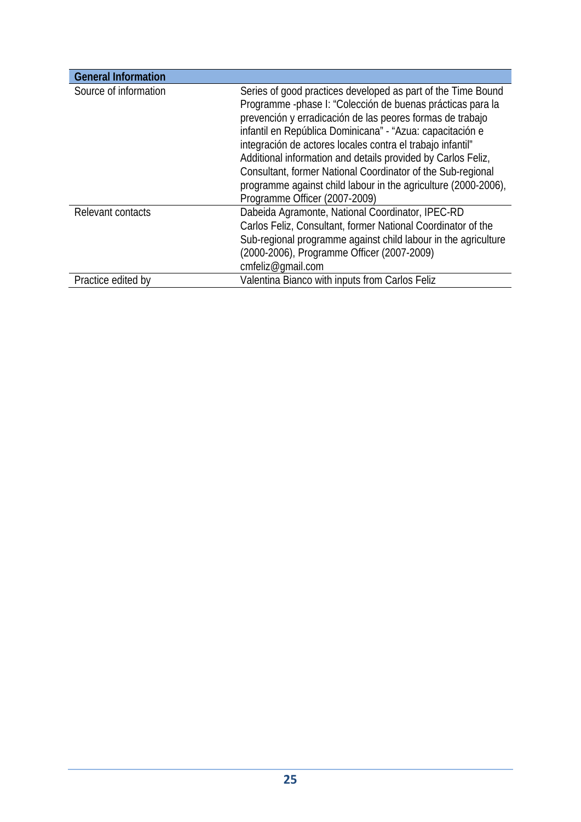| <b>General Information</b> |                                                                                                                                                                                                                                                                                                                                                                                                                                                                                                                                                      |
|----------------------------|------------------------------------------------------------------------------------------------------------------------------------------------------------------------------------------------------------------------------------------------------------------------------------------------------------------------------------------------------------------------------------------------------------------------------------------------------------------------------------------------------------------------------------------------------|
| Source of information      | Series of good practices developed as part of the Time Bound<br>Programme -phase I: "Colección de buenas prácticas para la<br>prevención y erradicación de las peores formas de trabajo<br>infantil en República Dominicana" - "Azua: capacitación e<br>integración de actores locales contra el trabajo infantil"<br>Additional information and details provided by Carlos Feliz,<br>Consultant, former National Coordinator of the Sub-regional<br>programme against child labour in the agriculture (2000-2006),<br>Programme Officer (2007-2009) |
| Relevant contacts          | Dabeida Agramonte, National Coordinator, IPEC-RD<br>Carlos Feliz, Consultant, former National Coordinator of the<br>Sub-regional programme against child labour in the agriculture<br>(2000-2006), Programme Officer (2007-2009)<br>cmfeliz@qmail.com                                                                                                                                                                                                                                                                                                |
| Practice edited by         | Valentina Bianco with inputs from Carlos Feliz                                                                                                                                                                                                                                                                                                                                                                                                                                                                                                       |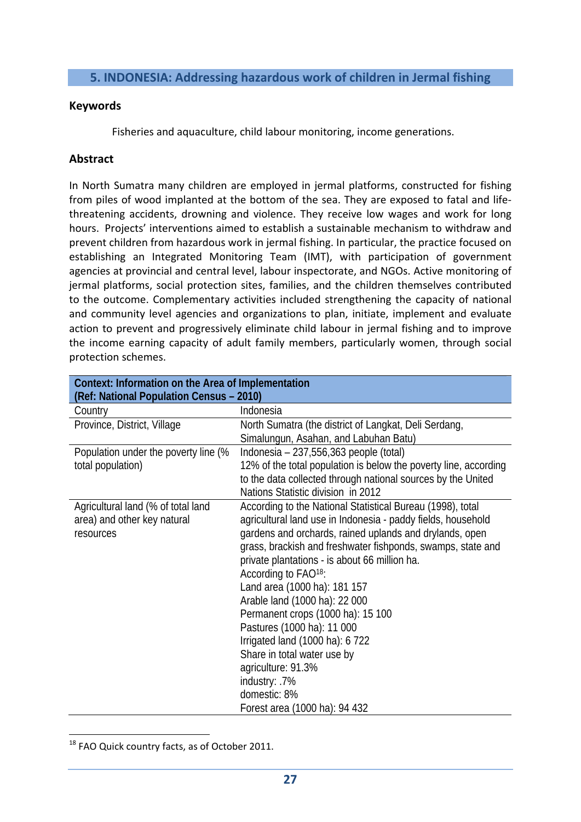## **5. INDONESIA: Addressing hazardous work of children in Jermal fishing**

#### **Keywords**

Fisheries and aquaculture, child labour monitoring, income generations.

# **Abstract**

In North Sumatra many children are employed in jermal platforms, constructed for fishing from piles of wood implanted at the bottom of the sea. They are exposed to fatal and life‐ threatening accidents, drowning and violence. They receive low wages and work for long hours. Projects' interventions aimed to establish a sustainable mechanism to withdraw and prevent children from hazardous work in jermal fishing. In particular, the practice focused on establishing an Integrated Monitoring Team (IMT), with participation of government agencies at provincial and central level, labour inspectorate, and NGOs. Active monitoring of jermal platforms, social protection sites, families, and the children themselves contributed to the outcome. Complementary activities included strengthening the capacity of national and community level agencies and organizations to plan, initiate, implement and evaluate action to prevent and progressively eliminate child labour in jermal fishing and to improve the income earning capacity of adult family members, particularly women, through social protection schemes.

| Context: Information on the Area of Implementation<br>(Ref: National Population Census - 2010) |                                                                                                                                                                                                                                                                                                                                                                                                                                                                                                                                                                                                                                         |
|------------------------------------------------------------------------------------------------|-----------------------------------------------------------------------------------------------------------------------------------------------------------------------------------------------------------------------------------------------------------------------------------------------------------------------------------------------------------------------------------------------------------------------------------------------------------------------------------------------------------------------------------------------------------------------------------------------------------------------------------------|
| Country                                                                                        | Indonesia                                                                                                                                                                                                                                                                                                                                                                                                                                                                                                                                                                                                                               |
| Province, District, Village                                                                    | North Sumatra (the district of Langkat, Deli Serdang,<br>Simalungun, Asahan, and Labuhan Batu)                                                                                                                                                                                                                                                                                                                                                                                                                                                                                                                                          |
| Population under the poverty line (%<br>total population)                                      | Indonesia $-237,556,363$ people (total)<br>12% of the total population is below the poverty line, according<br>to the data collected through national sources by the United<br>Nations Statistic division in 2012                                                                                                                                                                                                                                                                                                                                                                                                                       |
| Agricultural land (% of total land<br>area) and other key natural<br>resources                 | According to the National Statistical Bureau (1998), total<br>agricultural land use in Indonesia - paddy fields, household<br>gardens and orchards, rained uplands and drylands, open<br>grass, brackish and freshwater fishponds, swamps, state and<br>private plantations - is about 66 million ha.<br>According to FAO <sup>18</sup> :<br>Land area (1000 ha): 181 157<br>Arable land (1000 ha): 22 000<br>Permanent crops (1000 ha): 15 100<br>Pastures (1000 ha): 11 000<br>Irrigated land (1000 ha): 6 722<br>Share in total water use by<br>agriculture: 91.3%<br>industry: .7%<br>domestic: 8%<br>Forest area (1000 ha): 94 432 |

<sup>18</sup> FAO Quick country facts, as of October 2011.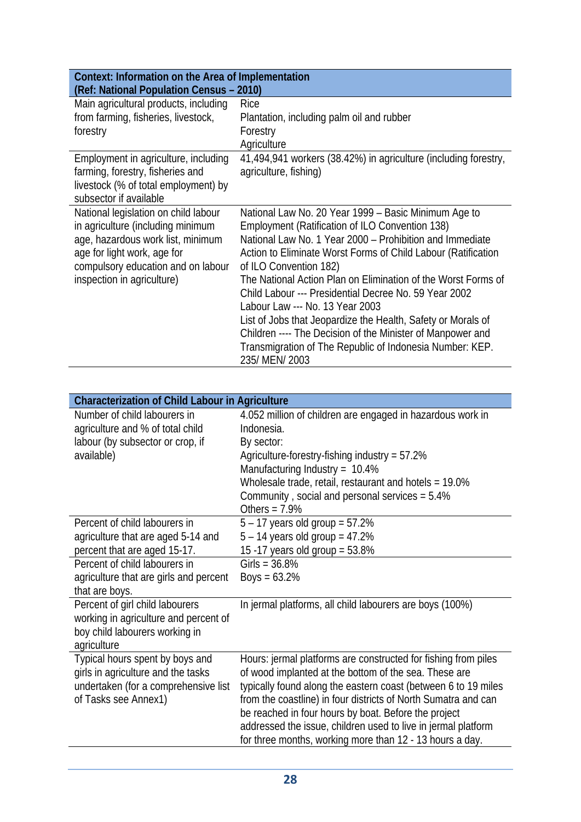| Context: Information on the Area of Implementation<br>(Ref: National Population Census - 2010)                                                                                                                    |                                                                                                                                                                                                                                                                                                                                                                                                                                                                                                                                                                                                                                         |
|-------------------------------------------------------------------------------------------------------------------------------------------------------------------------------------------------------------------|-----------------------------------------------------------------------------------------------------------------------------------------------------------------------------------------------------------------------------------------------------------------------------------------------------------------------------------------------------------------------------------------------------------------------------------------------------------------------------------------------------------------------------------------------------------------------------------------------------------------------------------------|
| Main agricultural products, including<br>from farming, fisheries, livestock,<br>forestry                                                                                                                          | Rice<br>Plantation, including palm oil and rubber<br>Forestry<br>Agriculture                                                                                                                                                                                                                                                                                                                                                                                                                                                                                                                                                            |
| Employment in agriculture, including<br>farming, forestry, fisheries and<br>livestock (% of total employment) by<br>subsector if available                                                                        | 41,494,941 workers (38.42%) in agriculture (including forestry,<br>agriculture, fishing)                                                                                                                                                                                                                                                                                                                                                                                                                                                                                                                                                |
| National legislation on child labour<br>in agriculture (including minimum<br>age, hazardous work list, minimum<br>age for light work, age for<br>compulsory education and on labour<br>inspection in agriculture) | National Law No. 20 Year 1999 - Basic Minimum Age to<br>Employment (Ratification of ILO Convention 138)<br>National Law No. 1 Year 2000 – Prohibition and Immediate<br>Action to Eliminate Worst Forms of Child Labour (Ratification<br>of ILO Convention 182)<br>The National Action Plan on Elimination of the Worst Forms of<br>Child Labour --- Presidential Decree No. 59 Year 2002<br>Labour Law --- No. 13 Year 2003<br>List of Jobs that Jeopardize the Health, Safety or Morals of<br>Children ---- The Decision of the Minister of Manpower and<br>Transmigration of The Republic of Indonesia Number: KEP.<br>235/ MEN/ 2003 |

| <b>Characterization of Child Labour in Agriculture</b>                                                                                                                                           |                                                                                                                                                                                                                                                                                                                                                                                                                                                  |
|--------------------------------------------------------------------------------------------------------------------------------------------------------------------------------------------------|--------------------------------------------------------------------------------------------------------------------------------------------------------------------------------------------------------------------------------------------------------------------------------------------------------------------------------------------------------------------------------------------------------------------------------------------------|
| Number of child labourers in<br>agriculture and % of total child<br>labour (by subsector or crop, if<br>available)                                                                               | 4.052 million of children are engaged in hazardous work in<br>Indonesia.<br>By sector:<br>Agriculture-forestry-fishing industry = 57.2%<br>Manufacturing Industry = $10.4\%$<br>Wholesale trade, retail, restaurant and hotels = 19.0%<br>Community, social and personal services = 5.4%<br>Others = $7.9%$                                                                                                                                      |
| Percent of child labourers in<br>agriculture that are aged 5-14 and<br>percent that are aged 15-17.<br>Percent of child labourers in<br>agriculture that are girls and percent<br>that are boys. | $5 - 17$ years old group = 57.2%<br>$5 - 14$ years old group = 47.2%<br>15 -17 years old group = $53.8\%$<br>Girls = $36.8%$<br>Boys = $63.2%$                                                                                                                                                                                                                                                                                                   |
| Percent of girl child labourers<br>working in agriculture and percent of<br>boy child labourers working in<br>agriculture                                                                        | In jermal platforms, all child labourers are boys (100%)                                                                                                                                                                                                                                                                                                                                                                                         |
| Typical hours spent by boys and<br>girls in agriculture and the tasks<br>undertaken (for a comprehensive list<br>of Tasks see Annex1)                                                            | Hours: jermal platforms are constructed for fishing from piles<br>of wood implanted at the bottom of the sea. These are<br>typically found along the eastern coast (between 6 to 19 miles<br>from the coastline) in four districts of North Sumatra and can<br>be reached in four hours by boat. Before the project<br>addressed the issue, children used to live in jermal platform<br>for three months, working more than 12 - 13 hours a day. |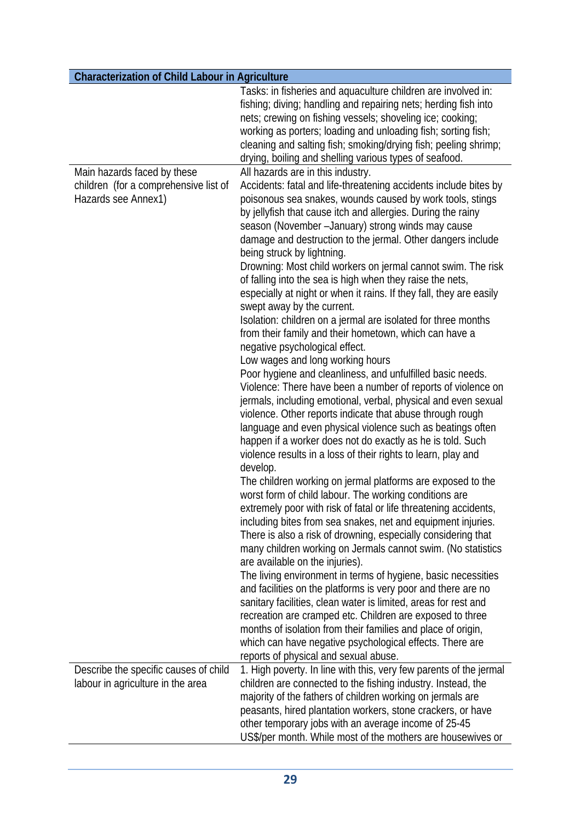|                                       | Tasks: in fisheries and aquaculture children are involved in:       |
|---------------------------------------|---------------------------------------------------------------------|
|                                       | fishing; diving; handling and repairing nets; herding fish into     |
|                                       |                                                                     |
|                                       | nets; crewing on fishing vessels; shoveling ice; cooking;           |
|                                       | working as porters; loading and unloading fish; sorting fish;       |
|                                       | cleaning and salting fish; smoking/drying fish; peeling shrimp;     |
|                                       | drying, boiling and shelling various types of seafood.              |
| Main hazards faced by these           | All hazards are in this industry.                                   |
| children (for a comprehensive list of | Accidents: fatal and life-threatening accidents include bites by    |
| Hazards see Annex1)                   | poisonous sea snakes, wounds caused by work tools, stings           |
|                                       | by jellyfish that cause itch and allergies. During the rainy        |
|                                       | season (November - January) strong winds may cause                  |
|                                       | damage and destruction to the jermal. Other dangers include         |
|                                       | being struck by lightning.                                          |
|                                       | Drowning: Most child workers on jermal cannot swim. The risk        |
|                                       | of falling into the sea is high when they raise the nets,           |
|                                       | especially at night or when it rains. If they fall, they are easily |
|                                       | swept away by the current.                                          |
|                                       | Isolation: children on a jermal are isolated for three months       |
|                                       | from their family and their hometown, which can have a              |
|                                       | negative psychological effect.                                      |
|                                       | Low wages and long working hours                                    |
|                                       | Poor hygiene and cleanliness, and unfulfilled basic needs.          |
|                                       | Violence: There have been a number of reports of violence on        |
|                                       | jermals, including emotional, verbal, physical and even sexual      |
|                                       | violence. Other reports indicate that abuse through rough           |
|                                       | language and even physical violence such as beatings often          |
|                                       |                                                                     |
|                                       | happen if a worker does not do exactly as he is told. Such          |
|                                       | violence results in a loss of their rights to learn, play and       |
|                                       | develop.                                                            |
|                                       | The children working on jermal platforms are exposed to the         |
|                                       | worst form of child labour. The working conditions are              |
|                                       | extremely poor with risk of fatal or life threatening accidents,    |
|                                       | including bites from sea snakes, net and equipment injuries.        |
|                                       | There is also a risk of drowning, especially considering that       |
|                                       | many children working on Jermals cannot swim. (No statistics        |
|                                       | are available on the injuries).                                     |
|                                       | The living environment in terms of hygiene, basic necessities       |
|                                       | and facilities on the platforms is very poor and there are no       |
|                                       | sanitary facilities, clean water is limited, areas for rest and     |
|                                       | recreation are cramped etc. Children are exposed to three           |
|                                       | months of isolation from their families and place of origin,        |
|                                       | which can have negative psychological effects. There are            |
|                                       | reports of physical and sexual abuse.                               |
| Describe the specific causes of child | 1. High poverty. In line with this, very few parents of the jermal  |
| labour in agriculture in the area     | children are connected to the fishing industry. Instead, the        |
|                                       | majority of the fathers of children working on jermals are          |
|                                       | peasants, hired plantation workers, stone crackers, or have         |
|                                       | other temporary jobs with an average income of 25-45                |
|                                       | US\$/per month. While most of the mothers are housewives or         |
|                                       |                                                                     |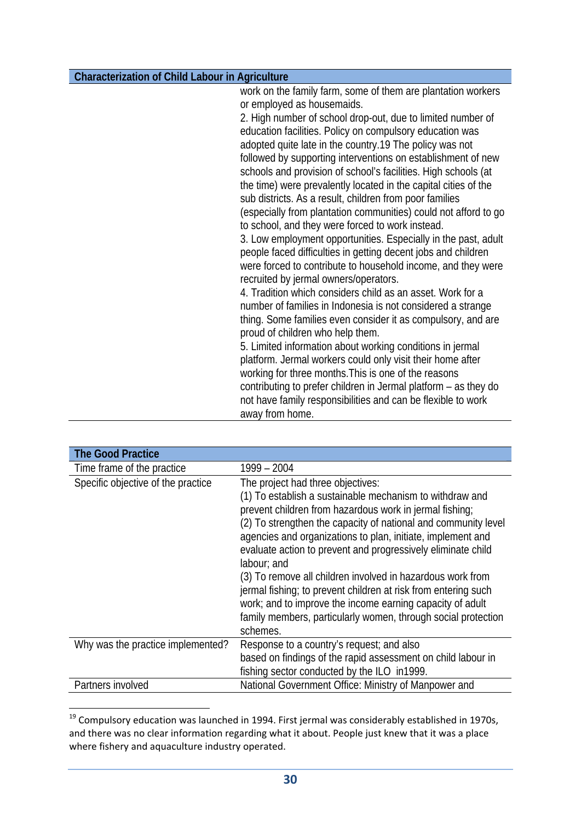work on the family farm, some of them are plantation workers or employed as housemaids. 2. High number of school drop-out, due to limited number of education facilities. Policy on compulsory education was adopted quite late in the country.19 The policy was not followed by supporting interventions on establishment of new schools and provision of school's facilities. High schools (at the time) were prevalently located in the capital cities of the sub districts. As a result, children from poor families (especially from plantation communities) could not afford to go to school, and they were forced to work instead. 3. Low employment opportunities. Especially in the past, adult people faced difficulties in getting decent jobs and children were forced to contribute to household income, and they were recruited by jermal owners/operators. 4. Tradition which considers child as an asset. Work for a number of families in Indonesia is not considered a strange thing. Some families even consider it as compulsory, and are proud of children who help them. 5. Limited information about working conditions in jermal platform. Jermal workers could only visit their home after working for three months.This is one of the reasons contributing to prefer children in Jermal platform – as they do not have family responsibilities and can be flexible to work away from home.

| <b>The Good Practice</b>           |                                                                                                                                                                                                                                                                                                                                                                                                                                                                                                                                                                                                                                                    |
|------------------------------------|----------------------------------------------------------------------------------------------------------------------------------------------------------------------------------------------------------------------------------------------------------------------------------------------------------------------------------------------------------------------------------------------------------------------------------------------------------------------------------------------------------------------------------------------------------------------------------------------------------------------------------------------------|
| Time frame of the practice         | 1999 - 2004                                                                                                                                                                                                                                                                                                                                                                                                                                                                                                                                                                                                                                        |
| Specific objective of the practice | The project had three objectives:<br>(1) To establish a sustainable mechanism to withdraw and<br>prevent children from hazardous work in jermal fishing;<br>(2) To strengthen the capacity of national and community level<br>agencies and organizations to plan, initiate, implement and<br>evaluate action to prevent and progressively eliminate child<br>labour; and<br>(3) To remove all children involved in hazardous work from<br>jermal fishing; to prevent children at risk from entering such<br>work; and to improve the income earning capacity of adult<br>family members, particularly women, through social protection<br>schemes. |
| Why was the practice implemented?  | Response to a country's request; and also<br>based on findings of the rapid assessment on child labour in<br>fishing sector conducted by the ILO in 1999.                                                                                                                                                                                                                                                                                                                                                                                                                                                                                          |
| Partners involved                  | National Government Office: Ministry of Manpower and                                                                                                                                                                                                                                                                                                                                                                                                                                                                                                                                                                                               |

<sup>&</sup>lt;sup>19</sup> Compulsory education was launched in 1994. First jermal was considerably established in 1970s, and there was no clear information regarding what it about. People just knew that it was a place where fishery and aquaculture industry operated.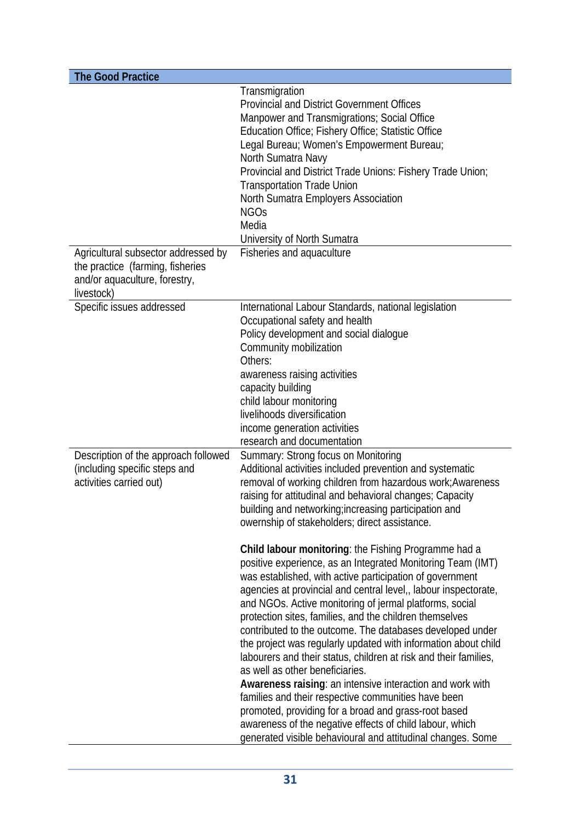| <b>The Good Practice</b>                                                                                               |                                                                                                                                                                                                                                                                                                                                                                                                                                                                                                                                                                                                                                                                                                                                                                                                                                                                                                                                                                                                                                                                                                                                                                                                                                                              |
|------------------------------------------------------------------------------------------------------------------------|--------------------------------------------------------------------------------------------------------------------------------------------------------------------------------------------------------------------------------------------------------------------------------------------------------------------------------------------------------------------------------------------------------------------------------------------------------------------------------------------------------------------------------------------------------------------------------------------------------------------------------------------------------------------------------------------------------------------------------------------------------------------------------------------------------------------------------------------------------------------------------------------------------------------------------------------------------------------------------------------------------------------------------------------------------------------------------------------------------------------------------------------------------------------------------------------------------------------------------------------------------------|
| Agricultural subsector addressed by<br>the practice (farming, fisheries<br>and/or aquaculture, forestry,<br>livestock) | Transmigration<br><b>Provincial and District Government Offices</b><br>Manpower and Transmigrations; Social Office<br>Education Office; Fishery Office; Statistic Office<br>Legal Bureau; Women's Empowerment Bureau;<br>North Sumatra Navy<br>Provincial and District Trade Unions: Fishery Trade Union;<br><b>Transportation Trade Union</b><br>North Sumatra Employers Association<br><b>NGOs</b><br>Media<br>University of North Sumatra<br>Fisheries and aquaculture                                                                                                                                                                                                                                                                                                                                                                                                                                                                                                                                                                                                                                                                                                                                                                                    |
| Specific issues addressed                                                                                              | International Labour Standards, national legislation<br>Occupational safety and health<br>Policy development and social dialogue<br>Community mobilization<br>Others:<br>awareness raising activities<br>capacity building<br>child labour monitoring<br>livelihoods diversification<br>income generation activities<br>research and documentation                                                                                                                                                                                                                                                                                                                                                                                                                                                                                                                                                                                                                                                                                                                                                                                                                                                                                                           |
| Description of the approach followed<br>(including specific steps and<br>activities carried out)                       | Summary: Strong focus on Monitoring<br>Additional activities included prevention and systematic<br>removal of working children from hazardous work; Awareness<br>raising for attitudinal and behavioral changes; Capacity<br>building and networking; increasing participation and<br>owernship of stakeholders; direct assistance.<br>Child labour monitoring: the Fishing Programme had a<br>positive experience, as an Integrated Monitoring Team (IMT)<br>was established, with active participation of government<br>agencies at provincial and central level,, labour inspectorate,<br>and NGOs. Active monitoring of jermal platforms, social<br>protection sites, families, and the children themselves<br>contributed to the outcome. The databases developed under<br>the project was regularly updated with information about child<br>labourers and their status, children at risk and their families,<br>as well as other beneficiaries.<br>Awareness raising: an intensive interaction and work with<br>families and their respective communities have been<br>promoted, providing for a broad and grass-root based<br>awareness of the negative effects of child labour, which<br>generated visible behavioural and attitudinal changes. Some |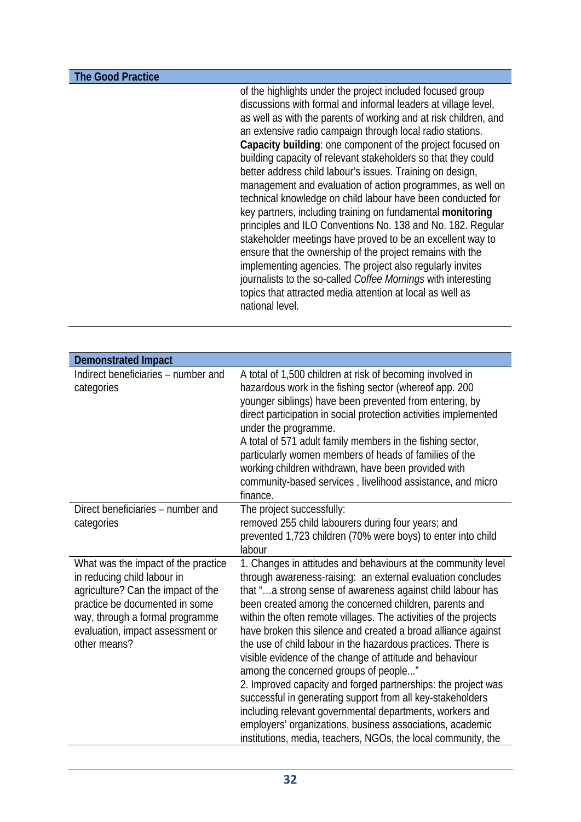**The Good Practice** 

of the highlights under the project included focused group discussions with formal and informal leaders at village level, as well as with the parents of working and at risk children, and an extensive radio campaign through local radio stations. **Capacity building**: one component of the project focused on building capacity of relevant stakeholders so that they could better address child labour's issues. Training on design, management and evaluation of action programmes, as well on technical knowledge on child labour have been conducted for key partners, including training on fundamental **monitoring** principles and ILO Conventions No. 138 and No. 182. Regular stakeholder meetings have proved to be an excellent way to ensure that the ownership of the project remains with the implementing agencies. The project also regularly invites journalists to the so-called *Coffee Mornings* with interesting topics that attracted media attention at local as well as national level.

| <b>Demonstrated Impact</b>                                                                                                                                                                                                        |                                                                                                                                                                                                                                                                                                                                                                                                                                                                                                                                                                                                                                                                                                                                                                                                                                                                                         |
|-----------------------------------------------------------------------------------------------------------------------------------------------------------------------------------------------------------------------------------|-----------------------------------------------------------------------------------------------------------------------------------------------------------------------------------------------------------------------------------------------------------------------------------------------------------------------------------------------------------------------------------------------------------------------------------------------------------------------------------------------------------------------------------------------------------------------------------------------------------------------------------------------------------------------------------------------------------------------------------------------------------------------------------------------------------------------------------------------------------------------------------------|
| Indirect beneficiaries - number and<br>categories                                                                                                                                                                                 | A total of 1,500 children at risk of becoming involved in<br>hazardous work in the fishing sector (whereof app. 200<br>younger siblings) have been prevented from entering, by<br>direct participation in social protection activities implemented<br>under the programme.<br>A total of 571 adult family members in the fishing sector,<br>particularly women members of heads of families of the<br>working children withdrawn, have been provided with<br>community-based services, livelihood assistance, and micro<br>finance.                                                                                                                                                                                                                                                                                                                                                     |
| Direct beneficiaries – number and<br>categories                                                                                                                                                                                   | The project successfully:<br>removed 255 child labourers during four years; and<br>prevented 1,723 children (70% were boys) to enter into child<br>labour                                                                                                                                                                                                                                                                                                                                                                                                                                                                                                                                                                                                                                                                                                                               |
| What was the impact of the practice<br>in reducing child labour in<br>agriculture? Can the impact of the<br>practice be documented in some<br>way, through a formal programme<br>evaluation, impact assessment or<br>other means? | 1. Changes in attitudes and behaviours at the community level<br>through awareness-raising: an external evaluation concludes<br>that "a strong sense of awareness against child labour has<br>been created among the concerned children, parents and<br>within the often remote villages. The activities of the projects<br>have broken this silence and created a broad alliance against<br>the use of child labour in the hazardous practices. There is<br>visible evidence of the change of attitude and behaviour<br>among the concerned groups of people"<br>2. Improved capacity and forged partnerships: the project was<br>successful in generating support from all key-stakeholders<br>including relevant governmental departments, workers and<br>employers' organizations, business associations, academic<br>institutions, media, teachers, NGOs, the local community, the |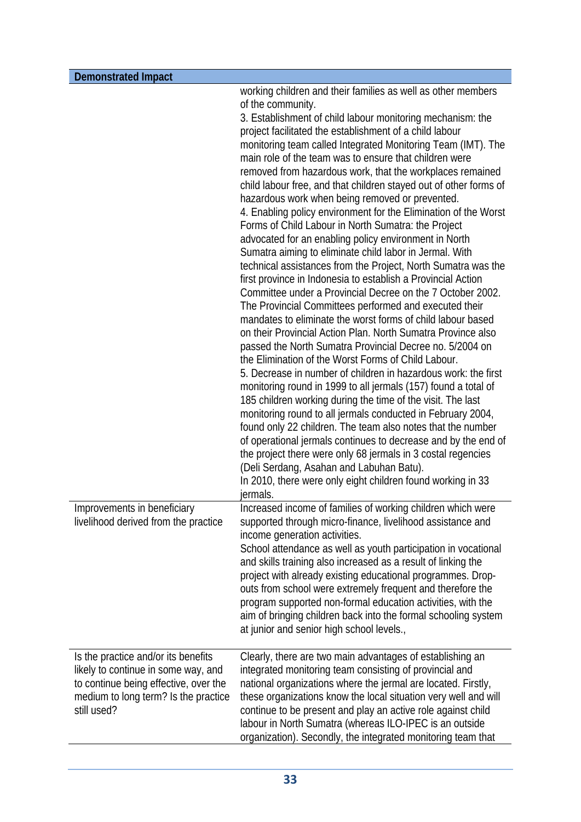| <b>Demonstrated Impact</b>                                                                                                                                                 |                                                                                                                                                                                                                                                                                                                                                                                                                                                                                                                                                                                                                                                                                                                                                                                                                                                                                                                                                                                                                                                                                                                                                                                                                                                                                                                                                                                                                                                                                                                                                                                                                                                                                                                                                                                                                                                                              |
|----------------------------------------------------------------------------------------------------------------------------------------------------------------------------|------------------------------------------------------------------------------------------------------------------------------------------------------------------------------------------------------------------------------------------------------------------------------------------------------------------------------------------------------------------------------------------------------------------------------------------------------------------------------------------------------------------------------------------------------------------------------------------------------------------------------------------------------------------------------------------------------------------------------------------------------------------------------------------------------------------------------------------------------------------------------------------------------------------------------------------------------------------------------------------------------------------------------------------------------------------------------------------------------------------------------------------------------------------------------------------------------------------------------------------------------------------------------------------------------------------------------------------------------------------------------------------------------------------------------------------------------------------------------------------------------------------------------------------------------------------------------------------------------------------------------------------------------------------------------------------------------------------------------------------------------------------------------------------------------------------------------------------------------------------------------|
|                                                                                                                                                                            | working children and their families as well as other members<br>of the community.<br>3. Establishment of child labour monitoring mechanism: the<br>project facilitated the establishment of a child labour<br>monitoring team called Integrated Monitoring Team (IMT). The<br>main role of the team was to ensure that children were<br>removed from hazardous work, that the workplaces remained<br>child labour free, and that children stayed out of other forms of<br>hazardous work when being removed or prevented.<br>4. Enabling policy environment for the Elimination of the Worst<br>Forms of Child Labour in North Sumatra: the Project<br>advocated for an enabling policy environment in North<br>Sumatra aiming to eliminate child labor in Jermal. With<br>technical assistances from the Project, North Sumatra was the<br>first province in Indonesia to establish a Provincial Action<br>Committee under a Provincial Decree on the 7 October 2002.<br>The Provincial Committees performed and executed their<br>mandates to eliminate the worst forms of child labour based<br>on their Provincial Action Plan. North Sumatra Province also<br>passed the North Sumatra Provincial Decree no. 5/2004 on<br>the Elimination of the Worst Forms of Child Labour.<br>5. Decrease in number of children in hazardous work: the first<br>monitoring round in 1999 to all jermals (157) found a total of<br>185 children working during the time of the visit. The last<br>monitoring round to all jermals conducted in February 2004,<br>found only 22 children. The team also notes that the number<br>of operational jermals continues to decrease and by the end of<br>the project there were only 68 jermals in 3 costal regencies<br>(Deli Serdang, Asahan and Labuhan Batu).<br>In 2010, there were only eight children found working in 33<br>jermals. |
| Improvements in beneficiary<br>livelihood derived from the practice                                                                                                        | Increased income of families of working children which were<br>supported through micro-finance, livelihood assistance and<br>income generation activities.<br>School attendance as well as youth participation in vocational<br>and skills training also increased as a result of linking the<br>project with already existing educational programmes. Drop-<br>outs from school were extremely frequent and therefore the<br>program supported non-formal education activities, with the<br>aim of bringing children back into the formal schooling system<br>at junior and senior high school levels.,                                                                                                                                                                                                                                                                                                                                                                                                                                                                                                                                                                                                                                                                                                                                                                                                                                                                                                                                                                                                                                                                                                                                                                                                                                                                     |
| Is the practice and/or its benefits<br>likely to continue in some way, and<br>to continue being effective, over the<br>medium to long term? Is the practice<br>still used? | Clearly, there are two main advantages of establishing an<br>integrated monitoring team consisting of provincial and<br>national organizations where the jermal are located. Firstly,<br>these organizations know the local situation very well and will<br>continue to be present and play an active role against child<br>labour in North Sumatra (whereas ILO-IPEC is an outside<br>organization). Secondly, the integrated monitoring team that                                                                                                                                                                                                                                                                                                                                                                                                                                                                                                                                                                                                                                                                                                                                                                                                                                                                                                                                                                                                                                                                                                                                                                                                                                                                                                                                                                                                                          |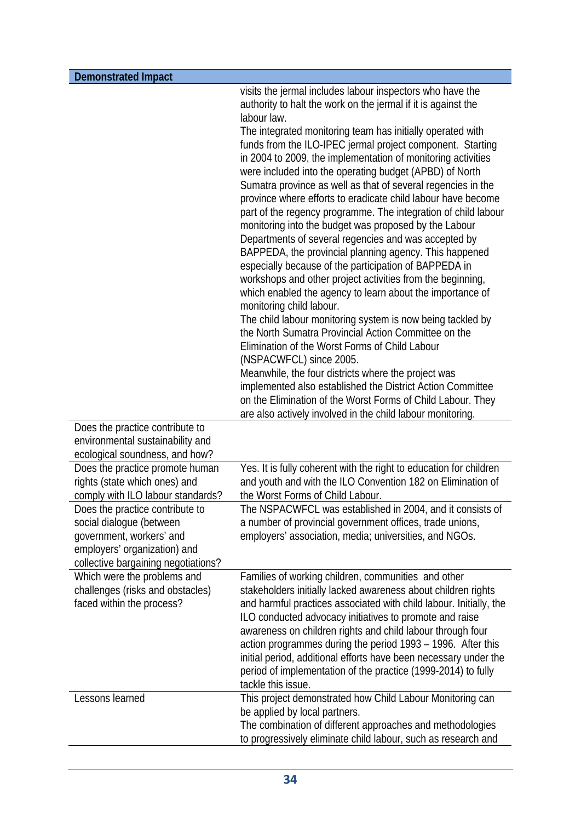| <b>Demonstrated Impact</b>                                                                                                                                     |                                                                                                                                                                                                                                                                                                                                                                                                                                                                                                                                                                                                                                                                                                                                                                                                                                                                                                                                                                                                                                                                                                                                                                                                                                                                                                                                                                                                                                                    |
|----------------------------------------------------------------------------------------------------------------------------------------------------------------|----------------------------------------------------------------------------------------------------------------------------------------------------------------------------------------------------------------------------------------------------------------------------------------------------------------------------------------------------------------------------------------------------------------------------------------------------------------------------------------------------------------------------------------------------------------------------------------------------------------------------------------------------------------------------------------------------------------------------------------------------------------------------------------------------------------------------------------------------------------------------------------------------------------------------------------------------------------------------------------------------------------------------------------------------------------------------------------------------------------------------------------------------------------------------------------------------------------------------------------------------------------------------------------------------------------------------------------------------------------------------------------------------------------------------------------------------|
| Does the practice contribute to<br>environmental sustainability and<br>ecological soundness, and how?                                                          | visits the jermal includes labour inspectors who have the<br>authority to halt the work on the jermal if it is against the<br>labour law.<br>The integrated monitoring team has initially operated with<br>funds from the ILO-IPEC jermal project component. Starting<br>in 2004 to 2009, the implementation of monitoring activities<br>were included into the operating budget (APBD) of North<br>Sumatra province as well as that of several regencies in the<br>province where efforts to eradicate child labour have become<br>part of the regency programme. The integration of child labour<br>monitoring into the budget was proposed by the Labour<br>Departments of several regencies and was accepted by<br>BAPPEDA, the provincial planning agency. This happened<br>especially because of the participation of BAPPEDA in<br>workshops and other project activities from the beginning,<br>which enabled the agency to learn about the importance of<br>monitoring child labour.<br>The child labour monitoring system is now being tackled by<br>the North Sumatra Provincial Action Committee on the<br>Elimination of the Worst Forms of Child Labour<br>(NSPACWFCL) since 2005.<br>Meanwhile, the four districts where the project was<br>implemented also established the District Action Committee<br>on the Elimination of the Worst Forms of Child Labour. They<br>are also actively involved in the child labour monitoring. |
| Does the practice promote human<br>rights (state which ones) and<br>comply with ILO labour standards?                                                          | Yes. It is fully coherent with the right to education for children<br>and youth and with the ILO Convention 182 on Elimination of<br>the Worst Forms of Child Labour.                                                                                                                                                                                                                                                                                                                                                                                                                                                                                                                                                                                                                                                                                                                                                                                                                                                                                                                                                                                                                                                                                                                                                                                                                                                                              |
| Does the practice contribute to<br>social dialogue (between<br>government, workers' and<br>employers' organization) and<br>collective bargaining negotiations? | The NSPACWFCL was established in 2004, and it consists of<br>a number of provincial government offices, trade unions,<br>employers' association, media; universities, and NGOs.                                                                                                                                                                                                                                                                                                                                                                                                                                                                                                                                                                                                                                                                                                                                                                                                                                                                                                                                                                                                                                                                                                                                                                                                                                                                    |
| Which were the problems and<br>challenges (risks and obstacles)<br>faced within the process?                                                                   | Families of working children, communities and other<br>stakeholders initially lacked awareness about children rights<br>and harmful practices associated with child labour. Initially, the<br>ILO conducted advocacy initiatives to promote and raise<br>awareness on children rights and child labour through four<br>action programmes during the period 1993 – 1996. After this<br>initial period, additional efforts have been necessary under the<br>period of implementation of the practice (1999-2014) to fully<br>tackle this issue.                                                                                                                                                                                                                                                                                                                                                                                                                                                                                                                                                                                                                                                                                                                                                                                                                                                                                                      |
| Lessons learned                                                                                                                                                | This project demonstrated how Child Labour Monitoring can<br>be applied by local partners.<br>The combination of different approaches and methodologies<br>to progressively eliminate child labour, such as research and                                                                                                                                                                                                                                                                                                                                                                                                                                                                                                                                                                                                                                                                                                                                                                                                                                                                                                                                                                                                                                                                                                                                                                                                                           |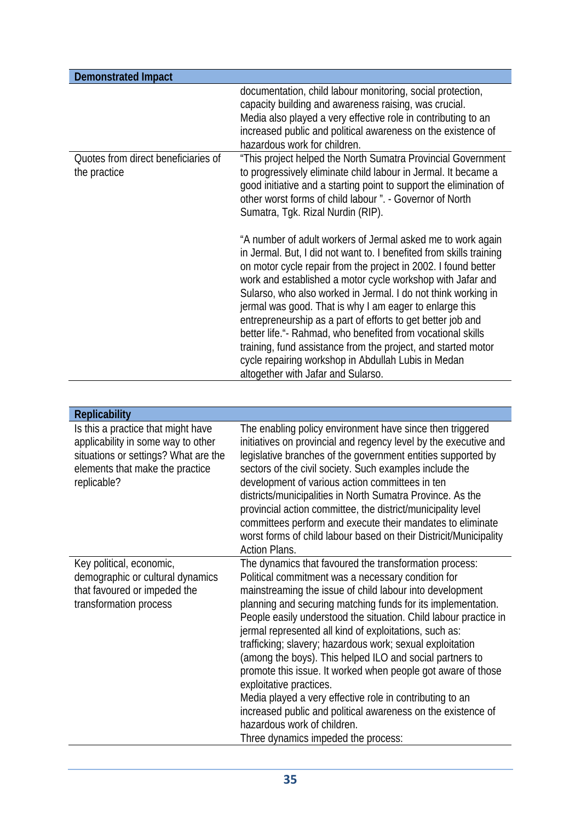| <b>Demonstrated Impact</b>                                                                                                                                         |                                                                                                                                                                                                                                                                                                                                                                                                                                                                                                                                                                                                                                                                                                                                                                                              |
|--------------------------------------------------------------------------------------------------------------------------------------------------------------------|----------------------------------------------------------------------------------------------------------------------------------------------------------------------------------------------------------------------------------------------------------------------------------------------------------------------------------------------------------------------------------------------------------------------------------------------------------------------------------------------------------------------------------------------------------------------------------------------------------------------------------------------------------------------------------------------------------------------------------------------------------------------------------------------|
|                                                                                                                                                                    | documentation, child labour monitoring, social protection,<br>capacity building and awareness raising, was crucial.<br>Media also played a very effective role in contributing to an<br>increased public and political awareness on the existence of<br>hazardous work for children.                                                                                                                                                                                                                                                                                                                                                                                                                                                                                                         |
| Quotes from direct beneficiaries of<br>the practice                                                                                                                | "This project helped the North Sumatra Provincial Government<br>to progressively eliminate child labour in Jermal. It became a<br>good initiative and a starting point to support the elimination of<br>other worst forms of child labour ". - Governor of North<br>Sumatra, Tgk. Rizal Nurdin (RIP).                                                                                                                                                                                                                                                                                                                                                                                                                                                                                        |
|                                                                                                                                                                    | "A number of adult workers of Jermal asked me to work again<br>in Jermal. But, I did not want to. I benefited from skills training<br>on motor cycle repair from the project in 2002. I found better<br>work and established a motor cycle workshop with Jafar and<br>Sularso, who also worked in Jermal. I do not think working in<br>jermal was good. That is why I am eager to enlarge this<br>entrepreneurship as a part of efforts to get better job and<br>better life."- Rahmad, who benefited from vocational skills<br>training, fund assistance from the project, and started motor<br>cycle repairing workshop in Abdullah Lubis in Medan<br>altogether with Jafar and Sularso.                                                                                                   |
|                                                                                                                                                                    |                                                                                                                                                                                                                                                                                                                                                                                                                                                                                                                                                                                                                                                                                                                                                                                              |
| <b>Replicability</b>                                                                                                                                               |                                                                                                                                                                                                                                                                                                                                                                                                                                                                                                                                                                                                                                                                                                                                                                                              |
| Is this a practice that might have<br>applicability in some way to other<br>situations or settings? What are the<br>elements that make the practice<br>replicable? | The enabling policy environment have since then triggered<br>initiatives on provincial and regency level by the executive and<br>legislative branches of the government entities supported by<br>sectors of the civil society. Such examples include the<br>development of various action committees in ten<br>districts/municipalities in North Sumatra Province. As the<br>provincial action committee, the district/municipality level<br>committees perform and execute their mandates to eliminate<br>worst forms of child labour based on their Districit/Municipality<br><b>Action Plans.</b>                                                                                                                                                                                         |
| Key political, economic,<br>demographic or cultural dynamics<br>that favoured or impeded the<br>transformation process                                             | The dynamics that favoured the transformation process:<br>Political commitment was a necessary condition for<br>mainstreaming the issue of child labour into development<br>planning and securing matching funds for its implementation.<br>People easily understood the situation. Child labour practice in<br>jermal represented all kind of exploitations, such as:<br>trafficking; slavery; hazardous work; sexual exploitation<br>(among the boys). This helped ILO and social partners to<br>promote this issue. It worked when people got aware of those<br>exploitative practices.<br>Media played a very effective role in contributing to an<br>increased public and political awareness on the existence of<br>hazardous work of children.<br>Three dynamics impeded the process: |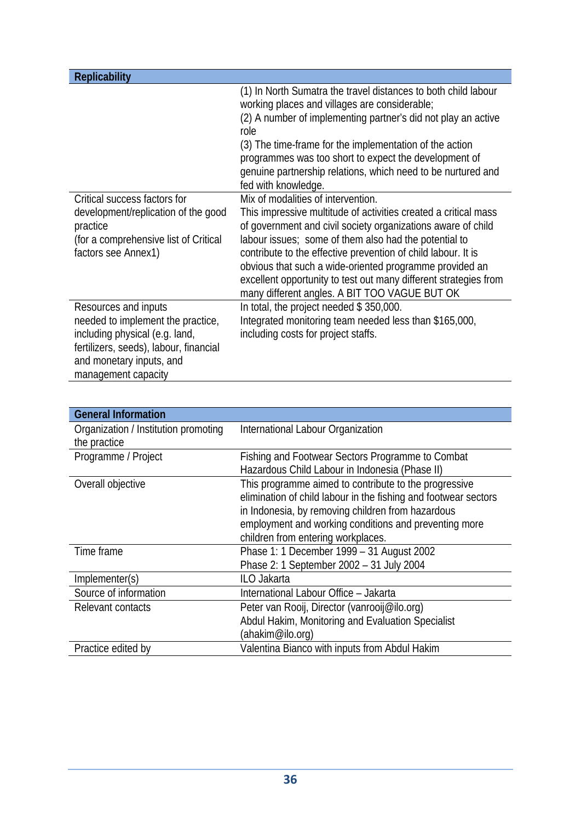| <b>Replicability</b>                                                                                                                                                                     |                                                                                                                                                                                                                                                                                                                                                                                                                                                                                 |
|------------------------------------------------------------------------------------------------------------------------------------------------------------------------------------------|---------------------------------------------------------------------------------------------------------------------------------------------------------------------------------------------------------------------------------------------------------------------------------------------------------------------------------------------------------------------------------------------------------------------------------------------------------------------------------|
|                                                                                                                                                                                          | (1) In North Sumatra the travel distances to both child labour<br>working places and villages are considerable;<br>(2) A number of implementing partner's did not play an active<br>role<br>(3) The time-frame for the implementation of the action<br>programmes was too short to expect the development of<br>genuine partnership relations, which need to be nurtured and<br>fed with knowledge.                                                                             |
| Critical success factors for<br>development/replication of the good<br>practice<br>(for a comprehensive list of Critical<br>factors see Annex1)                                          | Mix of modalities of intervention.<br>This impressive multitude of activities created a critical mass<br>of government and civil society organizations aware of child<br>labour issues; some of them also had the potential to<br>contribute to the effective prevention of child labour. It is<br>obvious that such a wide-oriented programme provided an<br>excellent opportunity to test out many different strategies from<br>many different angles. A BIT TOO VAGUE BUT OK |
| Resources and inputs<br>needed to implement the practice,<br>including physical (e.g. land,<br>fertilizers, seeds), labour, financial<br>and monetary inputs, and<br>management capacity | In total, the project needed \$350,000.<br>Integrated monitoring team needed less than \$165,000,<br>including costs for project staffs.                                                                                                                                                                                                                                                                                                                                        |

| <b>General Information</b>           |                                                                 |
|--------------------------------------|-----------------------------------------------------------------|
| Organization / Institution promoting | International Labour Organization                               |
| the practice                         |                                                                 |
| Programme / Project                  | Fishing and Footwear Sectors Programme to Combat                |
|                                      | Hazardous Child Labour in Indonesia (Phase II)                  |
| Overall objective                    | This programme aimed to contribute to the progressive           |
|                                      | elimination of child labour in the fishing and footwear sectors |
|                                      | in Indonesia, by removing children from hazardous               |
|                                      | employment and working conditions and preventing more           |
|                                      | children from entering workplaces.                              |
| Time frame                           | Phase 1: 1 December 1999 - 31 August 2002                       |
|                                      | Phase 2: 1 September 2002 - 31 July 2004                        |
| Implementer(s)                       | ILO Jakarta                                                     |
| Source of information                | International Labour Office - Jakarta                           |
| Relevant contacts                    | Peter van Rooij, Director (vanrooij@ilo.org)                    |
|                                      | Abdul Hakim, Monitoring and Evaluation Specialist               |
|                                      | (ahakim@ilo.orq)                                                |
| Practice edited by                   | Valentina Bianco with inputs from Abdul Hakim                   |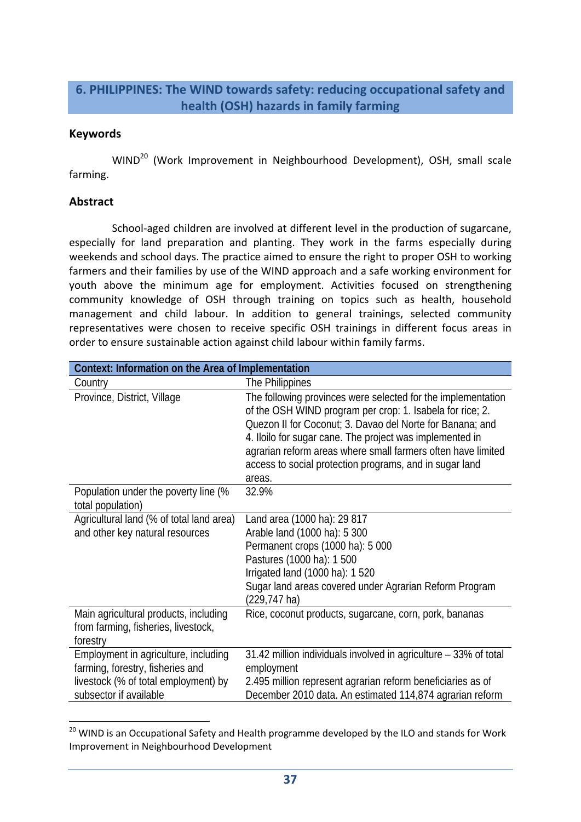### **6. PHILIPPINES: The WIND towards safety: reducing occupational safety and health (OSH) hazards in family farming**

### **Keywords**

WIND<sup>20</sup> (Work Improvement in Neighbourhood Development), OSH, small scale farming.

#### **Abstract**

School-aged children are involved at different level in the production of sugarcane, especially for land preparation and planting. They work in the farms especially during weekends and school days. The practice aimed to ensure the right to proper OSH to working farmers and their families by use of the WIND approach and a safe working environment for youth above the minimum age for employment. Activities focused on strengthening community knowledge of OSH through training on topics such as health, household management and child labour. In addition to general trainings, selected community representatives were chosen to receive specific OSH trainings in different focus areas in order to ensure sustainable action against child labour within family farms.

| Context: Information on the Area of Implementation                                                                                         |                                                                                                                                                                                                                                                                                                                                                                                         |  |
|--------------------------------------------------------------------------------------------------------------------------------------------|-----------------------------------------------------------------------------------------------------------------------------------------------------------------------------------------------------------------------------------------------------------------------------------------------------------------------------------------------------------------------------------------|--|
| Country                                                                                                                                    | The Philippines                                                                                                                                                                                                                                                                                                                                                                         |  |
| Province, District, Village                                                                                                                | The following provinces were selected for the implementation<br>of the OSH WIND program per crop: 1. Isabela for rice; 2.<br>Quezon II for Coconut; 3. Davao del Norte for Banana; and<br>4. Iloilo for sugar cane. The project was implemented in<br>agrarian reform areas where small farmers often have limited<br>access to social protection programs, and in sugar land<br>areas. |  |
| Population under the poverty line (%<br>total population)                                                                                  | 32.9%                                                                                                                                                                                                                                                                                                                                                                                   |  |
| Agricultural land (% of total land area)<br>and other key natural resources                                                                | Land area (1000 ha): 29 817<br>Arable land (1000 ha): 5 300<br>Permanent crops (1000 ha): 5 000<br>Pastures (1000 ha): 1 500<br>Irrigated land (1000 ha): 1 520<br>Sugar land areas covered under Agrarian Reform Program<br>(229,747 ha)                                                                                                                                               |  |
| Main agricultural products, including<br>from farming, fisheries, livestock,<br>forestry                                                   | Rice, coconut products, sugarcane, corn, pork, bananas                                                                                                                                                                                                                                                                                                                                  |  |
| Employment in agriculture, including<br>farming, forestry, fisheries and<br>livestock (% of total employment) by<br>subsector if available | 31.42 million individuals involved in agriculture – 33% of total<br>employment<br>2.495 million represent agrarian reform beneficiaries as of<br>December 2010 data. An estimated 114,874 agrarian reform                                                                                                                                                                               |  |

 <sup>20</sup> WIND is an Occupational Safety and Health programme developed by the ILO and stands for Work Improvement in Neighbourhood Development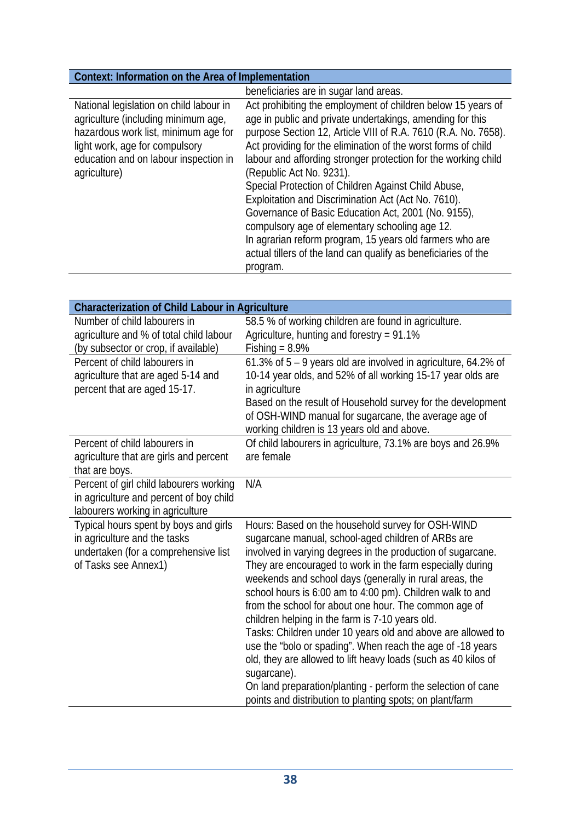# **Context: Information on the Area of Implementation**

|                                                                                                                                                                                                                   | beneficiaries are in sugar land areas.                                                                                                                                                                                                                                                                                                                                                                                                                                                                                                                                                                                                                                                                                      |
|-------------------------------------------------------------------------------------------------------------------------------------------------------------------------------------------------------------------|-----------------------------------------------------------------------------------------------------------------------------------------------------------------------------------------------------------------------------------------------------------------------------------------------------------------------------------------------------------------------------------------------------------------------------------------------------------------------------------------------------------------------------------------------------------------------------------------------------------------------------------------------------------------------------------------------------------------------------|
| National legislation on child labour in<br>agriculture (including minimum age,<br>hazardous work list, minimum age for<br>light work, age for compulsory<br>education and on labour inspection in<br>agriculture) | Act prohibiting the employment of children below 15 years of<br>age in public and private undertakings, amending for this<br>purpose Section 12, Article VIII of R.A. 7610 (R.A. No. 7658).<br>Act providing for the elimination of the worst forms of child<br>labour and affording stronger protection for the working child<br>(Republic Act No. 9231).<br>Special Protection of Children Against Child Abuse,<br>Exploitation and Discrimination Act (Act No. 7610).<br>Governance of Basic Education Act, 2001 (No. 9155),<br>compulsory age of elementary schooling age 12.<br>In agrarian reform program, 15 years old farmers who are<br>actual tillers of the land can qualify as beneficiaries of the<br>program. |

| <b>Characterization of Child Labour in Agriculture</b> |                                                                |  |
|--------------------------------------------------------|----------------------------------------------------------------|--|
| Number of child labourers in                           | 58.5 % of working children are found in agriculture.           |  |
| agriculture and % of total child labour                | Agriculture, hunting and forestry = 91.1%                      |  |
| (by subsector or crop, if available)                   | Fishing = $8.9\%$                                              |  |
| Percent of child labourers in                          | 61.3% of 5 - 9 years old are involved in agriculture, 64.2% of |  |
| agriculture that are aged 5-14 and                     | 10-14 year olds, and 52% of all working 15-17 year olds are    |  |
| percent that are aged 15-17.                           | in agriculture                                                 |  |
|                                                        | Based on the result of Household survey for the development    |  |
|                                                        | of OSH-WIND manual for sugarcane, the average age of           |  |
|                                                        | working children is 13 years old and above.                    |  |
| Percent of child labourers in                          | Of child labourers in agriculture, 73.1% are boys and 26.9%    |  |
| agriculture that are girls and percent                 | are female                                                     |  |
| that are boys.                                         |                                                                |  |
| Percent of girl child labourers working                | N/A                                                            |  |
| in agriculture and percent of boy child                |                                                                |  |
| labourers working in agriculture                       |                                                                |  |
| Typical hours spent by boys and girls                  | Hours: Based on the household survey for OSH-WIND              |  |
| in agriculture and the tasks                           | sugarcane manual, school-aged children of ARBs are             |  |
| undertaken (for a comprehensive list                   | involved in varying degrees in the production of sugarcane.    |  |
| of Tasks see Annex1)                                   | They are encouraged to work in the farm especially during      |  |
|                                                        | weekends and school days (generally in rural areas, the        |  |
|                                                        | school hours is 6:00 am to 4:00 pm). Children walk to and      |  |
|                                                        | from the school for about one hour. The common age of          |  |
|                                                        | children helping in the farm is 7-10 years old.                |  |
|                                                        | Tasks: Children under 10 years old and above are allowed to    |  |
|                                                        | use the "bolo or spading". When reach the age of -18 years     |  |
|                                                        | old, they are allowed to lift heavy loads (such as 40 kilos of |  |
|                                                        | sugarcane).                                                    |  |
|                                                        | On land preparation/planting - perform the selection of cane   |  |
|                                                        | points and distribution to planting spots; on plant/farm       |  |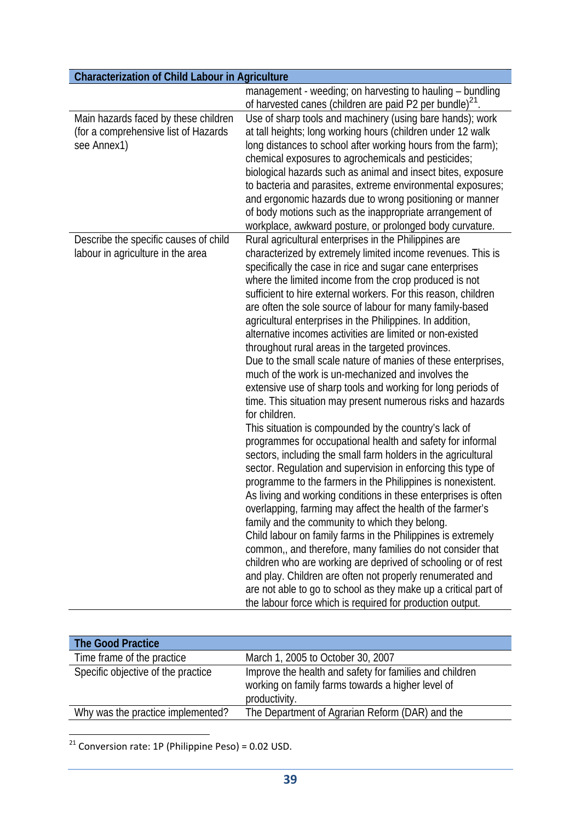| <b>Characterization of Child Labour in Agriculture</b> |                                                                                                                                   |  |
|--------------------------------------------------------|-----------------------------------------------------------------------------------------------------------------------------------|--|
|                                                        | management - weeding; on harvesting to hauling - bundling<br>of harvested canes (children are paid P2 per bundle) <sup>21</sup> . |  |
| Main hazards faced by these children                   | Use of sharp tools and machinery (using bare hands); work                                                                         |  |
| (for a comprehensive list of Hazards                   | at tall heights; long working hours (children under 12 walk                                                                       |  |
| see Annex1)                                            | long distances to school after working hours from the farm);                                                                      |  |
|                                                        | chemical exposures to agrochemicals and pesticides;                                                                               |  |
|                                                        | biological hazards such as animal and insect bites, exposure                                                                      |  |
|                                                        | to bacteria and parasites, extreme environmental exposures;                                                                       |  |
|                                                        | and ergonomic hazards due to wrong positioning or manner                                                                          |  |
|                                                        | of body motions such as the inappropriate arrangement of                                                                          |  |
|                                                        | workplace, awkward posture, or prolonged body curvature.                                                                          |  |
| Describe the specific causes of child                  | Rural agricultural enterprises in the Philippines are                                                                             |  |
| labour in agriculture in the area                      | characterized by extremely limited income revenues. This is                                                                       |  |
|                                                        | specifically the case in rice and sugar cane enterprises                                                                          |  |
|                                                        | where the limited income from the crop produced is not                                                                            |  |
|                                                        | sufficient to hire external workers. For this reason, children                                                                    |  |
|                                                        | are often the sole source of labour for many family-based                                                                         |  |
|                                                        | agricultural enterprises in the Philippines. In addition,                                                                         |  |
|                                                        | alternative incomes activities are limited or non-existed                                                                         |  |
|                                                        | throughout rural areas in the targeted provinces.                                                                                 |  |
|                                                        | Due to the small scale nature of manies of these enterprises,                                                                     |  |
|                                                        | much of the work is un-mechanized and involves the                                                                                |  |
|                                                        | extensive use of sharp tools and working for long periods of                                                                      |  |
|                                                        | time. This situation may present numerous risks and hazards<br>for children.                                                      |  |
|                                                        | This situation is compounded by the country's lack of                                                                             |  |
|                                                        | programmes for occupational health and safety for informal                                                                        |  |
|                                                        | sectors, including the small farm holders in the agricultural                                                                     |  |
|                                                        | sector. Regulation and supervision in enforcing this type of                                                                      |  |
|                                                        | programme to the farmers in the Philippines is nonexistent.                                                                       |  |
|                                                        | As living and working conditions in these enterprises is often                                                                    |  |
|                                                        | overlapping, farming may affect the health of the farmer's                                                                        |  |
|                                                        | family and the community to which they belong.                                                                                    |  |
|                                                        | Child labour on family farms in the Philippines is extremely                                                                      |  |
|                                                        | common,, and therefore, many families do not consider that                                                                        |  |
|                                                        | children who are working are deprived of schooling or of rest                                                                     |  |
|                                                        | and play. Children are often not properly renumerated and                                                                         |  |
|                                                        | are not able to go to school as they make up a critical part of                                                                   |  |
|                                                        | the labour force which is required for production output.                                                                         |  |

| The Good Practice                  |                                                                                                                               |
|------------------------------------|-------------------------------------------------------------------------------------------------------------------------------|
| Time frame of the practice         | March 1, 2005 to October 30, 2007                                                                                             |
| Specific objective of the practice | Improve the health and safety for families and children<br>working on family farms towards a higher level of<br>productivity. |
| Why was the practice implemented?  | The Department of Agrarian Reform (DAR) and the                                                                               |

 $21$  Conversion rate: 1P (Philippine Peso) = 0.02 USD.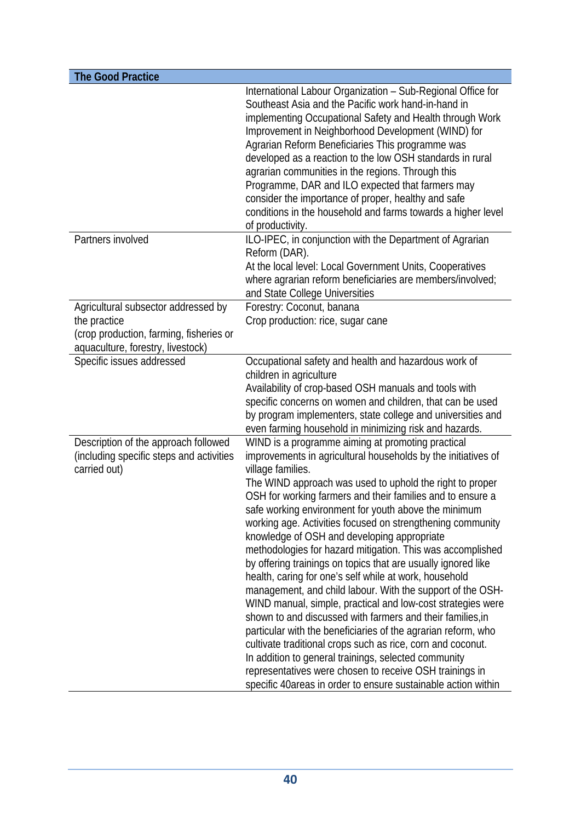| <b>The Good Practice</b>                                                                                                            |                                                                                                                                                                                                                                                                                                                                                                                                                                                                                                                                                                                                                                                                                                                                                                                                                                                                                                                                                                                                                                                                                                                                                |
|-------------------------------------------------------------------------------------------------------------------------------------|------------------------------------------------------------------------------------------------------------------------------------------------------------------------------------------------------------------------------------------------------------------------------------------------------------------------------------------------------------------------------------------------------------------------------------------------------------------------------------------------------------------------------------------------------------------------------------------------------------------------------------------------------------------------------------------------------------------------------------------------------------------------------------------------------------------------------------------------------------------------------------------------------------------------------------------------------------------------------------------------------------------------------------------------------------------------------------------------------------------------------------------------|
|                                                                                                                                     | International Labour Organization - Sub-Regional Office for<br>Southeast Asia and the Pacific work hand-in-hand in<br>implementing Occupational Safety and Health through Work<br>Improvement in Neighborhood Development (WIND) for<br>Agrarian Reform Beneficiaries This programme was<br>developed as a reaction to the low OSH standards in rural<br>agrarian communities in the regions. Through this<br>Programme, DAR and ILO expected that farmers may<br>consider the importance of proper, healthy and safe<br>conditions in the household and farms towards a higher level<br>of productivity.                                                                                                                                                                                                                                                                                                                                                                                                                                                                                                                                      |
| Partners involved                                                                                                                   | ILO-IPEC, in conjunction with the Department of Agrarian<br>Reform (DAR).<br>At the local level: Local Government Units, Cooperatives<br>where agrarian reform beneficiaries are members/involved;<br>and State College Universities                                                                                                                                                                                                                                                                                                                                                                                                                                                                                                                                                                                                                                                                                                                                                                                                                                                                                                           |
| Agricultural subsector addressed by<br>the practice<br>(crop production, farming, fisheries or<br>aquaculture, forestry, livestock) | Forestry: Coconut, banana<br>Crop production: rice, sugar cane                                                                                                                                                                                                                                                                                                                                                                                                                                                                                                                                                                                                                                                                                                                                                                                                                                                                                                                                                                                                                                                                                 |
| Specific issues addressed                                                                                                           | Occupational safety and health and hazardous work of<br>children in agriculture<br>Availability of crop-based OSH manuals and tools with<br>specific concerns on women and children, that can be used<br>by program implementers, state college and universities and<br>even farming household in minimizing risk and hazards.                                                                                                                                                                                                                                                                                                                                                                                                                                                                                                                                                                                                                                                                                                                                                                                                                 |
| Description of the approach followed<br>(including specific steps and activities<br>carried out)                                    | WIND is a programme aiming at promoting practical<br>improvements in agricultural households by the initiatives of<br>village families.<br>The WIND approach was used to uphold the right to proper<br>OSH for working farmers and their families and to ensure a<br>safe working environment for youth above the minimum<br>working age. Activities focused on strengthening community<br>knowledge of OSH and developing appropriate<br>methodologies for hazard mitigation. This was accomplished<br>by offering trainings on topics that are usually ignored like<br>health, caring for one's self while at work, household<br>management, and child labour. With the support of the OSH-<br>WIND manual, simple, practical and low-cost strategies were<br>shown to and discussed with farmers and their families, in<br>particular with the beneficiaries of the agrarian reform, who<br>cultivate traditional crops such as rice, corn and coconut.<br>In addition to general trainings, selected community<br>representatives were chosen to receive OSH trainings in<br>specific 40areas in order to ensure sustainable action within |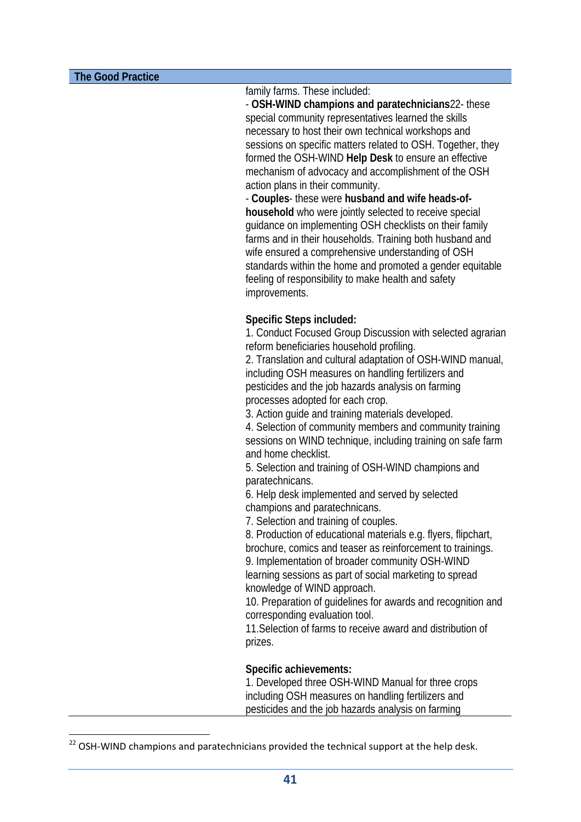family farms. These included:

- **OSH-WIND champions and paratechnicians**22- these special community representatives learned the skills necessary to host their own technical workshops and sessions on specific matters related to OSH. Together, they formed the OSH-WIND **Help Desk** to ensure an effective mechanism of advocacy and accomplishment of the OSH action plans in their community.

- **Couples**- these were **husband and wife heads-ofhousehold** who were jointly selected to receive special guidance on implementing OSH checklists on their family farms and in their households. Training both husband and wife ensured a comprehensive understanding of OSH standards within the home and promoted a gender equitable feeling of responsibility to make health and safety improvements.

### **Specific Steps included:**

1. Conduct Focused Group Discussion with selected agrarian reform beneficiaries household profiling.

2. Translation and cultural adaptation of OSH-WIND manual, including OSH measures on handling fertilizers and pesticides and the job hazards analysis on farming processes adopted for each crop.

3. Action guide and training materials developed.

4. Selection of community members and community training sessions on WIND technique, including training on safe farm and home checklist.

5. Selection and training of OSH-WIND champions and paratechnicans.

6. Help desk implemented and served by selected champions and paratechnicans.

7. Selection and training of couples.

8. Production of educational materials e.g. flyers, flipchart,

brochure, comics and teaser as reinforcement to trainings. 9. Implementation of broader community OSH-WIND learning sessions as part of social marketing to spread knowledge of WIND approach.

10. Preparation of guidelines for awards and recognition and corresponding evaluation tool.

11.Selection of farms to receive award and distribution of prizes.

#### **Specific achievements:**

1. Developed three OSH-WIND Manual for three crops including OSH measures on handling fertilizers and pesticides and the job hazards analysis on farming

 $22$  OSH-WIND champions and paratechnicians provided the technical support at the help desk.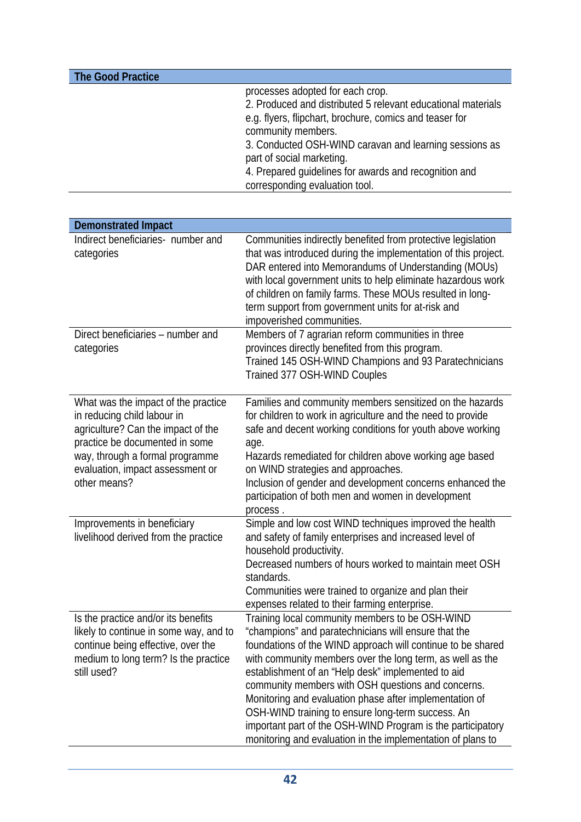| <b>The Good Practice</b> |                                                              |
|--------------------------|--------------------------------------------------------------|
|                          | processes adopted for each crop.                             |
|                          | 2. Produced and distributed 5 relevant educational materials |
|                          | e.g. flyers, flipchart, brochure, comics and teaser for      |
|                          | community members.                                           |
|                          | 3. Conducted OSH-WIND caravan and learning sessions as       |
|                          | part of social marketing.                                    |
|                          | 4. Prepared guidelines for awards and recognition and        |
|                          | corresponding evaluation tool.                               |

| <b>Demonstrated Impact</b>                                                                                                                                                                                                        |                                                                                                                                                                                                                                                                                                                                                                                                                                                                                                                                                                                               |
|-----------------------------------------------------------------------------------------------------------------------------------------------------------------------------------------------------------------------------------|-----------------------------------------------------------------------------------------------------------------------------------------------------------------------------------------------------------------------------------------------------------------------------------------------------------------------------------------------------------------------------------------------------------------------------------------------------------------------------------------------------------------------------------------------------------------------------------------------|
| Indirect beneficiaries- number and<br>categories                                                                                                                                                                                  | Communities indirectly benefited from protective legislation<br>that was introduced during the implementation of this project.<br>DAR entered into Memorandums of Understanding (MOUs)<br>with local government units to help eliminate hazardous work<br>of children on family farms. These MOUs resulted in long-<br>term support from government units for at-risk and<br>impoverished communities.                                                                                                                                                                                        |
| Direct beneficiaries – number and<br>categories                                                                                                                                                                                   | Members of 7 agrarian reform communities in three<br>provinces directly benefited from this program.<br>Trained 145 OSH-WIND Champions and 93 Paratechnicians<br>Trained 377 OSH-WIND Couples                                                                                                                                                                                                                                                                                                                                                                                                 |
| What was the impact of the practice<br>in reducing child labour in<br>agriculture? Can the impact of the<br>practice be documented in some<br>way, through a formal programme<br>evaluation, impact assessment or<br>other means? | Families and community members sensitized on the hazards<br>for children to work in agriculture and the need to provide<br>safe and decent working conditions for youth above working<br>age.<br>Hazards remediated for children above working age based<br>on WIND strategies and approaches.<br>Inclusion of gender and development concerns enhanced the<br>participation of both men and women in development<br>process.                                                                                                                                                                 |
| Improvements in beneficiary<br>livelihood derived from the practice                                                                                                                                                               | Simple and low cost WIND techniques improved the health<br>and safety of family enterprises and increased level of<br>household productivity.<br>Decreased numbers of hours worked to maintain meet OSH<br>standards.<br>Communities were trained to organize and plan their<br>expenses related to their farming enterprise.                                                                                                                                                                                                                                                                 |
| Is the practice and/or its benefits<br>likely to continue in some way, and to<br>continue being effective, over the<br>medium to long term? Is the practice<br>still used?                                                        | Training local community members to be OSH-WIND<br>"champions" and paratechnicians will ensure that the<br>foundations of the WIND approach will continue to be shared<br>with community members over the long term, as well as the<br>establishment of an "Help desk" implemented to aid<br>community members with OSH questions and concerns.<br>Monitoring and evaluation phase after implementation of<br>OSH-WIND training to ensure long-term success. An<br>important part of the OSH-WIND Program is the participatory<br>monitoring and evaluation in the implementation of plans to |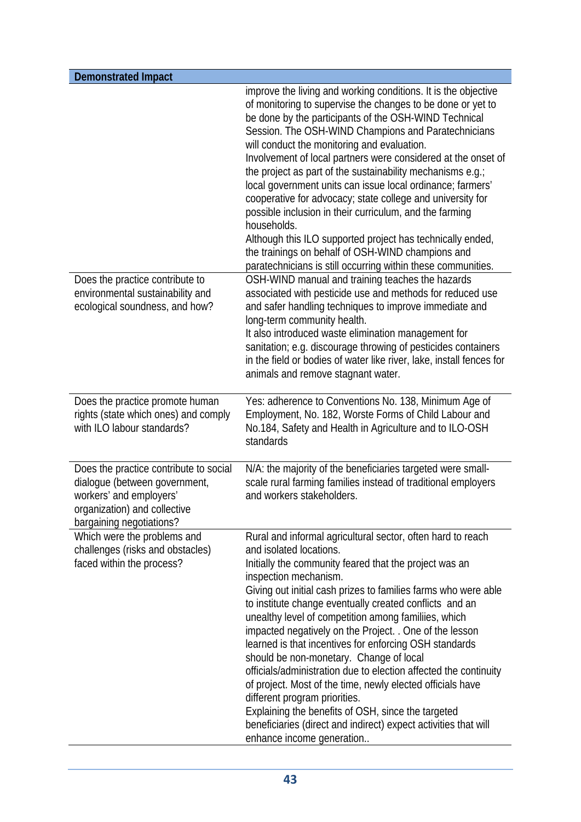| <b>Demonstrated Impact</b>                                                                                                                                     |                                                                                                                                                                                                                                                                                                                                                                                                                                                                                                                                                                                                                                                                                                                                                                                                                                                                          |
|----------------------------------------------------------------------------------------------------------------------------------------------------------------|--------------------------------------------------------------------------------------------------------------------------------------------------------------------------------------------------------------------------------------------------------------------------------------------------------------------------------------------------------------------------------------------------------------------------------------------------------------------------------------------------------------------------------------------------------------------------------------------------------------------------------------------------------------------------------------------------------------------------------------------------------------------------------------------------------------------------------------------------------------------------|
| Does the practice contribute to                                                                                                                                | improve the living and working conditions. It is the objective<br>of monitoring to supervise the changes to be done or yet to<br>be done by the participants of the OSH-WIND Technical<br>Session. The OSH-WIND Champions and Paratechnicians<br>will conduct the monitoring and evaluation.<br>Involvement of local partners were considered at the onset of<br>the project as part of the sustainability mechanisms e.g.;<br>local government units can issue local ordinance; farmers'<br>cooperative for advocacy; state college and university for<br>possible inclusion in their curriculum, and the farming<br>households.<br>Although this ILO supported project has technically ended,<br>the trainings on behalf of OSH-WIND champions and<br>paratechnicians is still occurring within these communities.<br>OSH-WIND manual and training teaches the hazards |
| environmental sustainability and<br>ecological soundness, and how?                                                                                             | associated with pesticide use and methods for reduced use<br>and safer handling techniques to improve immediate and<br>long-term community health.<br>It also introduced waste elimination management for<br>sanitation; e.g. discourage throwing of pesticides containers<br>in the field or bodies of water like river, lake, install fences for<br>animals and remove stagnant water.                                                                                                                                                                                                                                                                                                                                                                                                                                                                                 |
| Does the practice promote human<br>rights (state which ones) and comply<br>with ILO labour standards?                                                          | Yes: adherence to Conventions No. 138, Minimum Age of<br>Employment, No. 182, Worste Forms of Child Labour and<br>No.184, Safety and Health in Agriculture and to ILO-OSH<br>standards                                                                                                                                                                                                                                                                                                                                                                                                                                                                                                                                                                                                                                                                                   |
| Does the practice contribute to social<br>dialogue (between government,<br>workers' and employers'<br>organization) and collective<br>bargaining negotiations? | N/A: the majority of the beneficiaries targeted were small-<br>scale rural farming families instead of traditional employers<br>and workers stakeholders.                                                                                                                                                                                                                                                                                                                                                                                                                                                                                                                                                                                                                                                                                                                |
| Which were the problems and<br>challenges (risks and obstacles)<br>faced within the process?                                                                   | Rural and informal agricultural sector, often hard to reach<br>and isolated locations.<br>Initially the community feared that the project was an<br>inspection mechanism.<br>Giving out initial cash prizes to families farms who were able<br>to institute change eventually created conflicts and an<br>unealthy level of competition among familiies, which<br>impacted negatively on the Project. . One of the lesson<br>learned is that incentives for enforcing OSH standards<br>should be non-monetary. Change of local<br>officials/administration due to election affected the continuity<br>of project. Most of the time, newly elected officials have<br>different program priorities.<br>Explaining the benefits of OSH, since the targeted<br>beneficiaries (direct and indirect) expect activities that will<br>enhance income generation                  |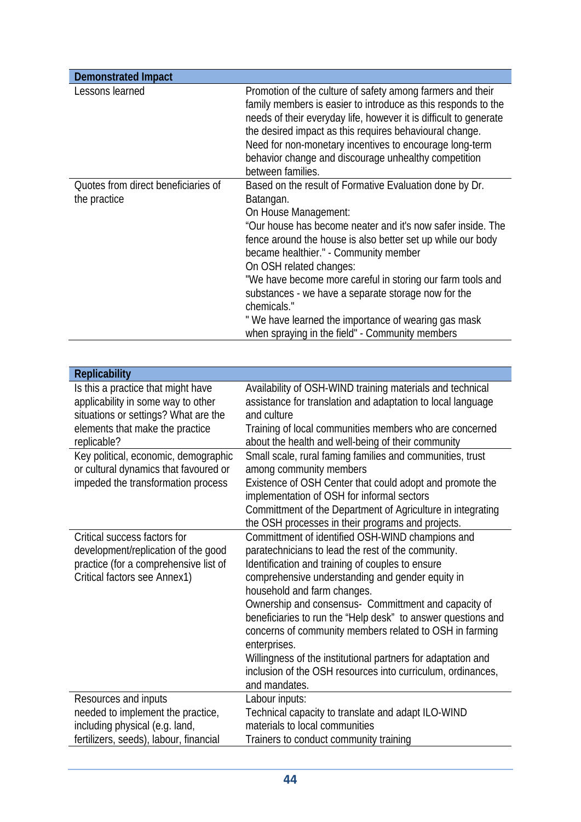| <b>Demonstrated Impact</b>                                                                                                                                                                                                                          |                                                                                                                                                                                                                                                                                                                                                                                                                                                                                                                                                                                                                    |
|-----------------------------------------------------------------------------------------------------------------------------------------------------------------------------------------------------------------------------------------------------|--------------------------------------------------------------------------------------------------------------------------------------------------------------------------------------------------------------------------------------------------------------------------------------------------------------------------------------------------------------------------------------------------------------------------------------------------------------------------------------------------------------------------------------------------------------------------------------------------------------------|
| Lessons learned                                                                                                                                                                                                                                     | Promotion of the culture of safety among farmers and their<br>family members is easier to introduce as this responds to the<br>needs of their everyday life, however it is difficult to generate<br>the desired impact as this requires behavioural change.<br>Need for non-monetary incentives to encourage long-term<br>behavior change and discourage unhealthy competition<br>between families.                                                                                                                                                                                                                |
| Quotes from direct beneficiaries of<br>the practice                                                                                                                                                                                                 | Based on the result of Formative Evaluation done by Dr.<br>Batangan.<br>On House Management:<br>"Our house has become neater and it's now safer inside. The<br>fence around the house is also better set up while our body<br>became healthier." - Community member<br>On OSH related changes:<br>"We have become more careful in storing our farm tools and<br>substances - we have a separate storage now for the<br>chemicals."<br>"We have learned the importance of wearing gas mask<br>when spraying in the field" - Community members                                                                       |
|                                                                                                                                                                                                                                                     |                                                                                                                                                                                                                                                                                                                                                                                                                                                                                                                                                                                                                    |
| <b>Replicability</b>                                                                                                                                                                                                                                |                                                                                                                                                                                                                                                                                                                                                                                                                                                                                                                                                                                                                    |
| Is this a practice that might have<br>applicability in some way to other<br>situations or settings? What are the<br>elements that make the practice<br>replicable?<br>Key political, economic, demographic<br>or cultural dynamics that favoured or | Availability of OSH-WIND training materials and technical<br>assistance for translation and adaptation to local language<br>and culture<br>Training of local communities members who are concerned<br>about the health and well-being of their community<br>Small scale, rural faming families and communities, trust<br>among community members                                                                                                                                                                                                                                                                   |
| impeded the transformation process                                                                                                                                                                                                                  | Existence of OSH Center that could adopt and promote the<br>implementation of OSH for informal sectors<br>Committment of the Department of Agriculture in integrating<br>the OSH processes in their programs and projects.                                                                                                                                                                                                                                                                                                                                                                                         |
| Critical success factors for<br>development/replication of the good<br>practice (for a comprehensive list of<br>Critical factors see Annex1)<br>Resources and inputs                                                                                | Committment of identified OSH-WIND champions and<br>paratechnicians to lead the rest of the community.<br>Identification and training of couples to ensure<br>comprehensive understanding and gender equity in<br>household and farm changes.<br>Ownership and consensus- Committment and capacity of<br>beneficiaries to run the "Help desk" to answer questions and<br>concerns of community members related to OSH in farming<br>enterprises.<br>Willingness of the institutional partners for adaptation and<br>inclusion of the OSH resources into curriculum, ordinances,<br>and mandates.<br>Labour inputs: |
| needed to implement the practice,<br>including physical (e.g. land,<br>fertilizers, seeds), labour, financial                                                                                                                                       | Technical capacity to translate and adapt ILO-WIND<br>materials to local communities<br>Trainers to conduct community training                                                                                                                                                                                                                                                                                                                                                                                                                                                                                     |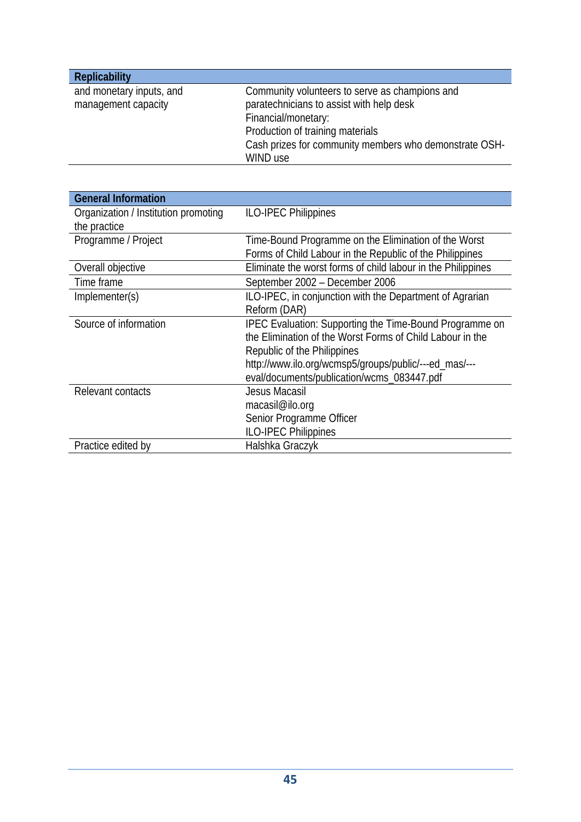| <b>Replicability</b>     |                                                        |
|--------------------------|--------------------------------------------------------|
| and monetary inputs, and | Community volunteers to serve as champions and         |
| management capacity      | paratechnicians to assist with help desk               |
|                          | Financial/monetary:                                    |
|                          | Production of training materials                       |
|                          | Cash prizes for community members who demonstrate OSH- |
|                          | WIND use                                               |

| <b>General Information</b>           |                                                                |
|--------------------------------------|----------------------------------------------------------------|
| Organization / Institution promoting | <b>ILO-IPEC Philippines</b>                                    |
| the practice                         |                                                                |
| Programme / Project                  | Time-Bound Programme on the Elimination of the Worst           |
|                                      | Forms of Child Labour in the Republic of the Philippines       |
| Overall objective                    | Eliminate the worst forms of child labour in the Philippines   |
| Time frame                           | September 2002 - December 2006                                 |
| Implementer(s)                       | ILO-IPEC, in conjunction with the Department of Agrarian       |
|                                      | Reform (DAR)                                                   |
| Source of information                | <b>IPEC Evaluation: Supporting the Time-Bound Programme on</b> |
|                                      | the Elimination of the Worst Forms of Child Labour in the      |
|                                      | Republic of the Philippines                                    |
|                                      | http://www.ilo.org/wcmsp5/groups/public/---ed_mas/---          |
|                                      | eval/documents/publication/wcms_083447.pdf                     |
| Relevant contacts                    | Jesus Macasil                                                  |
|                                      | macasil@ilo.org                                                |
|                                      | Senior Programme Officer                                       |
|                                      | <b>ILO-IPEC Philippines</b>                                    |
| Practice edited by                   | Halshka Graczyk                                                |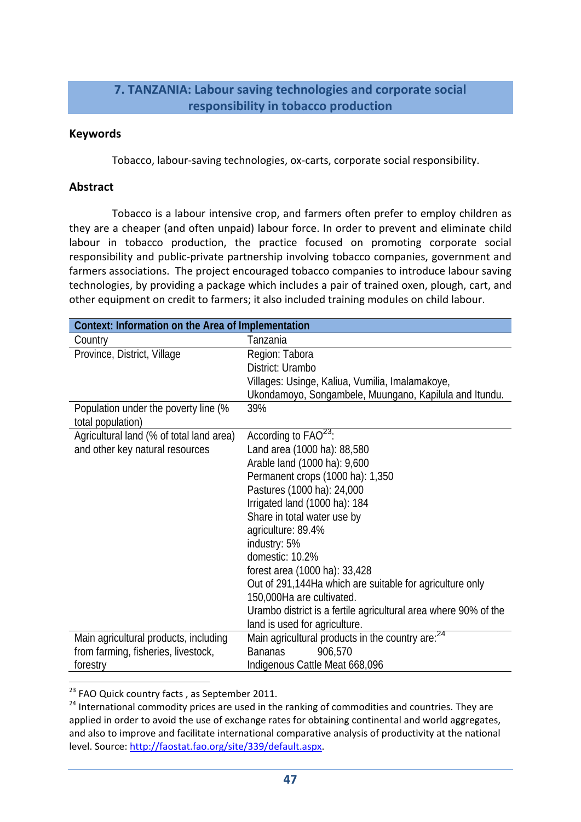### **7. TANZANIA: Labour saving technologies and corporate social responsibility in tobacco production**

#### **Keywords**

Tobacco, labour‐saving technologies, ox‐carts, corporate social responsibility.

### **Abstract**

Tobacco is a labour intensive crop, and farmers often prefer to employ children as they are a cheaper (and often unpaid) labour force. In order to prevent and eliminate child labour in tobacco production, the practice focused on promoting corporate social responsibility and public‐private partnership involving tobacco companies, government and farmers associations. The project encouraged tobacco companies to introduce labour saving technologies, by providing a package which includes a pair of trained oxen, plough, cart, and other equipment on credit to farmers; it also included training modules on child labour.

| Context: Information on the Area of Implementation        |                                                                 |
|-----------------------------------------------------------|-----------------------------------------------------------------|
| Country                                                   | Tanzania                                                        |
| Province, District, Village                               | Region: Tabora                                                  |
|                                                           | District: Urambo                                                |
|                                                           | Villages: Usinge, Kaliua, Vumilia, Imalamakoye,                 |
|                                                           | Ukondamoyo, Songambele, Muungano, Kapilula and Itundu.          |
| Population under the poverty line (%<br>total population) | 39%                                                             |
| Agricultural land (% of total land area)                  | According to $FAO23$ :                                          |
| and other key natural resources                           | Land area (1000 ha): 88,580                                     |
|                                                           | Arable land (1000 ha): 9,600                                    |
|                                                           | Permanent crops (1000 ha): 1,350                                |
|                                                           | Pastures (1000 ha): 24,000                                      |
|                                                           | Irrigated land (1000 ha): 184                                   |
|                                                           | Share in total water use by                                     |
|                                                           | agriculture: 89.4%                                              |
|                                                           | industry: 5%                                                    |
|                                                           | domestic: 10.2%                                                 |
|                                                           | forest area (1000 ha): 33,428                                   |
|                                                           | Out of 291,144Ha which are suitable for agriculture only        |
|                                                           | 150,000Ha are cultivated.                                       |
|                                                           | Urambo district is a fertile agricultural area where 90% of the |
|                                                           | land is used for agriculture.                                   |
| Main agricultural products, including                     | Main agricultural products in the country are: <sup>24</sup>    |
| from farming, fisheries, livestock,                       | <b>Bananas</b><br>906,570                                       |
| forestry                                                  | Indigenous Cattle Meat 668,096                                  |
|                                                           |                                                                 |

<sup>23</sup> FAO Quick country facts, as September 2011.

<sup>&</sup>lt;sup>24</sup> International commodity prices are used in the ranking of commodities and countries. They are applied in order to avoid the use of exchange rates for obtaining continental and world aggregates, and also to improve and facilitate international comparative analysis of productivity at the national level. Source: http://faostat.fao.org/site/339/default.aspx.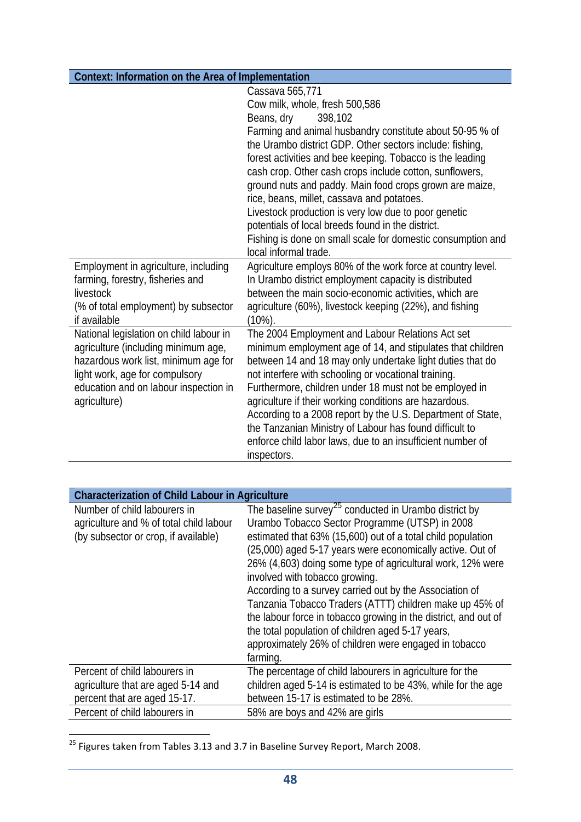| Context: Information on the Area of Implementation                                                                                                                                                                |                                                                                                                                                                                                                                                                                                                                                                                                                                                                                                                                                                |
|-------------------------------------------------------------------------------------------------------------------------------------------------------------------------------------------------------------------|----------------------------------------------------------------------------------------------------------------------------------------------------------------------------------------------------------------------------------------------------------------------------------------------------------------------------------------------------------------------------------------------------------------------------------------------------------------------------------------------------------------------------------------------------------------|
|                                                                                                                                                                                                                   | Cassava 565,771                                                                                                                                                                                                                                                                                                                                                                                                                                                                                                                                                |
|                                                                                                                                                                                                                   | Cow milk, whole, fresh 500,586                                                                                                                                                                                                                                                                                                                                                                                                                                                                                                                                 |
|                                                                                                                                                                                                                   | Beans, dry<br>398,102                                                                                                                                                                                                                                                                                                                                                                                                                                                                                                                                          |
|                                                                                                                                                                                                                   | Farming and animal husbandry constitute about 50-95 % of<br>the Urambo district GDP. Other sectors include: fishing,<br>forest activities and bee keeping. Tobacco is the leading<br>cash crop. Other cash crops include cotton, sunflowers,                                                                                                                                                                                                                                                                                                                   |
|                                                                                                                                                                                                                   | ground nuts and paddy. Main food crops grown are maize,                                                                                                                                                                                                                                                                                                                                                                                                                                                                                                        |
|                                                                                                                                                                                                                   | rice, beans, millet, cassava and potatoes.                                                                                                                                                                                                                                                                                                                                                                                                                                                                                                                     |
|                                                                                                                                                                                                                   | Livestock production is very low due to poor genetic                                                                                                                                                                                                                                                                                                                                                                                                                                                                                                           |
|                                                                                                                                                                                                                   | potentials of local breeds found in the district.                                                                                                                                                                                                                                                                                                                                                                                                                                                                                                              |
|                                                                                                                                                                                                                   | Fishing is done on small scale for domestic consumption and<br>local informal trade.                                                                                                                                                                                                                                                                                                                                                                                                                                                                           |
| Employment in agriculture, including                                                                                                                                                                              | Agriculture employs 80% of the work force at country level.                                                                                                                                                                                                                                                                                                                                                                                                                                                                                                    |
| farming, forestry, fisheries and                                                                                                                                                                                  | In Urambo district employment capacity is distributed                                                                                                                                                                                                                                                                                                                                                                                                                                                                                                          |
| livestock                                                                                                                                                                                                         | between the main socio-economic activities, which are                                                                                                                                                                                                                                                                                                                                                                                                                                                                                                          |
| (% of total employment) by subsector<br>if available                                                                                                                                                              | agriculture (60%), livestock keeping (22%), and fishing<br>$(10\%)$ .                                                                                                                                                                                                                                                                                                                                                                                                                                                                                          |
| National legislation on child labour in<br>agriculture (including minimum age,<br>hazardous work list, minimum age for<br>light work, age for compulsory<br>education and on labour inspection in<br>agriculture) | The 2004 Employment and Labour Relations Act set<br>minimum employment age of 14, and stipulates that children<br>between 14 and 18 may only undertake light duties that do<br>not interfere with schooling or vocational training.<br>Furthermore, children under 18 must not be employed in<br>agriculture if their working conditions are hazardous.<br>According to a 2008 report by the U.S. Department of State,<br>the Tanzanian Ministry of Labour has found difficult to<br>enforce child labor laws, due to an insufficient number of<br>inspectors. |

| <b>Characterization of Child Labour in Agriculture</b>                                                          |                                                                                                                                                                                                                                                                                                                                                                                                                                                                                                                                                                                                                                                                    |
|-----------------------------------------------------------------------------------------------------------------|--------------------------------------------------------------------------------------------------------------------------------------------------------------------------------------------------------------------------------------------------------------------------------------------------------------------------------------------------------------------------------------------------------------------------------------------------------------------------------------------------------------------------------------------------------------------------------------------------------------------------------------------------------------------|
| Number of child labourers in<br>agriculture and % of total child labour<br>(by subsector or crop, if available) | The baseline survey <sup>25</sup> conducted in Urambo district by<br>Urambo Tobacco Sector Programme (UTSP) in 2008<br>estimated that 63% (15,600) out of a total child population<br>(25,000) aged 5-17 years were economically active. Out of<br>26% (4,603) doing some type of agricultural work, 12% were<br>involved with tobacco growing.<br>According to a survey carried out by the Association of<br>Tanzania Tobacco Traders (ATTT) children make up 45% of<br>the labour force in tobacco growing in the district, and out of<br>the total population of children aged 5-17 years,<br>approximately 26% of children were engaged in tobacco<br>farming. |
| Percent of child labourers in<br>agriculture that are aged 5-14 and<br>percent that are aged 15-17.             | The percentage of child labourers in agriculture for the<br>children aged 5-14 is estimated to be 43%, while for the age<br>between 15-17 is estimated to be 28%.                                                                                                                                                                                                                                                                                                                                                                                                                                                                                                  |
| Percent of child labourers in                                                                                   | 58% are boys and 42% are girls                                                                                                                                                                                                                                                                                                                                                                                                                                                                                                                                                                                                                                     |

<sup>&</sup>lt;sup>25</sup> Figures taken from Tables 3.13 and 3.7 in Baseline Survey Report, March 2008.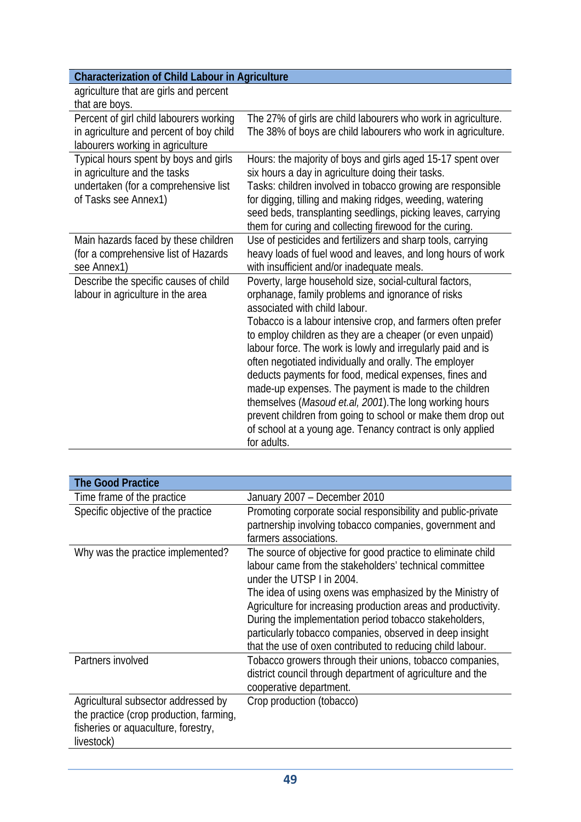| agriculture that are girls and percent  |                                                                  |
|-----------------------------------------|------------------------------------------------------------------|
| that are boys.                          |                                                                  |
| Percent of girl child labourers working | The 27% of girls are child labourers who work in agriculture.    |
| in agriculture and percent of boy child | The 38% of boys are child labourers who work in agriculture.     |
| labourers working in agriculture        |                                                                  |
| Typical hours spent by boys and girls   | Hours: the majority of boys and girls aged 15-17 spent over      |
| in agriculture and the tasks            | six hours a day in agriculture doing their tasks.                |
| undertaken (for a comprehensive list    | Tasks: children involved in tobacco growing are responsible      |
| of Tasks see Annex1)                    | for digging, tilling and making ridges, weeding, watering        |
|                                         | seed beds, transplanting seedlings, picking leaves, carrying     |
|                                         | them for curing and collecting firewood for the curing.          |
| Main hazards faced by these children    | Use of pesticides and fertilizers and sharp tools, carrying      |
| (for a comprehensive list of Hazards)   | heavy loads of fuel wood and leaves, and long hours of work      |
| see Annex1)                             | with insufficient and/or inadequate meals.                       |
| Describe the specific causes of child   | Poverty, large household size, social-cultural factors,          |
| labour in agriculture in the area       | orphanage, family problems and ignorance of risks                |
|                                         | associated with child labour.                                    |
|                                         | Tobacco is a labour intensive crop, and farmers often prefer     |
|                                         | to employ children as they are a cheaper (or even unpaid)        |
|                                         | labour force. The work is lowly and irregularly paid and is      |
|                                         | often negotiated individually and orally. The employer           |
|                                         | deducts payments for food, medical expenses, fines and           |
|                                         | made-up expenses. The payment is made to the children            |
|                                         | themselves ( <i>Masoud et.al, 2001</i> ). The long working hours |
|                                         | prevent children from going to school or make them drop out      |
|                                         | of school at a young age. Tenancy contract is only applied       |
|                                         | for adults.                                                      |

| <b>The Good Practice</b>                                                                                                            |                                                                                                                                                                                                                                                                                                                                                                                                                                                                       |
|-------------------------------------------------------------------------------------------------------------------------------------|-----------------------------------------------------------------------------------------------------------------------------------------------------------------------------------------------------------------------------------------------------------------------------------------------------------------------------------------------------------------------------------------------------------------------------------------------------------------------|
| Time frame of the practice                                                                                                          | January 2007 - December 2010                                                                                                                                                                                                                                                                                                                                                                                                                                          |
| Specific objective of the practice                                                                                                  | Promoting corporate social responsibility and public-private<br>partnership involving tobacco companies, government and<br>farmers associations.                                                                                                                                                                                                                                                                                                                      |
| Why was the practice implemented?                                                                                                   | The source of objective for good practice to eliminate child<br>labour came from the stakeholders' technical committee<br>under the UTSP I in 2004.<br>The idea of using oxens was emphasized by the Ministry of<br>Agriculture for increasing production areas and productivity.<br>During the implementation period tobacco stakeholders,<br>particularly tobacco companies, observed in deep insight<br>that the use of oxen contributed to reducing child labour. |
| Partners involved                                                                                                                   | Tobacco growers through their unions, tobacco companies,<br>district council through department of agriculture and the<br>cooperative department.                                                                                                                                                                                                                                                                                                                     |
| Agricultural subsector addressed by<br>the practice (crop production, farming,<br>fisheries or aquaculture, forestry,<br>livestock) | Crop production (tobacco)                                                                                                                                                                                                                                                                                                                                                                                                                                             |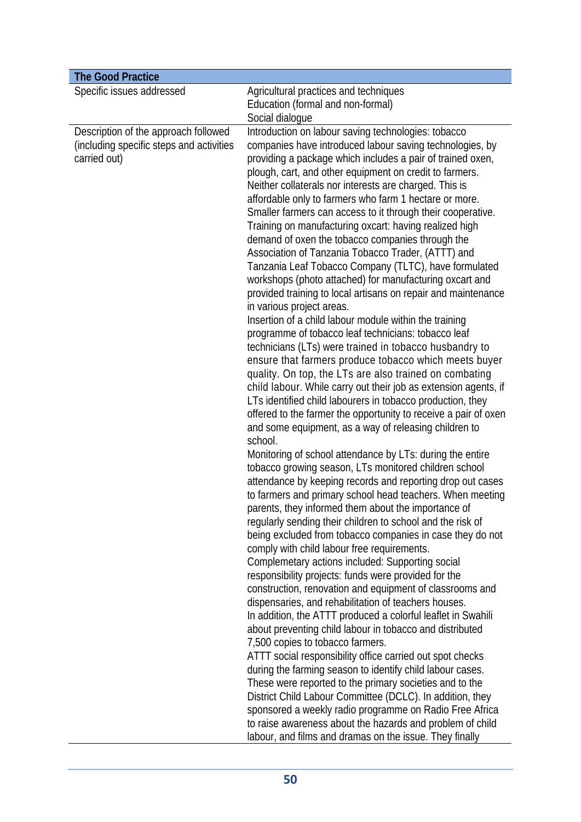| <b>The Good Practice</b>                                                                         |                                                                                                                                                                                                                                                                                                                                                                                                                                                                                                                                                                                                                                                                                                                                                                                                                                                                                                                                                                                                                                                                                                                                                                                                                                                                                                                                                                                                                                                                                                                                                                                                                                                                                                                                                                                                                                                                                                                                                                                                                                                                                                                                                                                                                                                                                                                                                                                                                                                                                                                                                                                                                                                                                                                |
|--------------------------------------------------------------------------------------------------|----------------------------------------------------------------------------------------------------------------------------------------------------------------------------------------------------------------------------------------------------------------------------------------------------------------------------------------------------------------------------------------------------------------------------------------------------------------------------------------------------------------------------------------------------------------------------------------------------------------------------------------------------------------------------------------------------------------------------------------------------------------------------------------------------------------------------------------------------------------------------------------------------------------------------------------------------------------------------------------------------------------------------------------------------------------------------------------------------------------------------------------------------------------------------------------------------------------------------------------------------------------------------------------------------------------------------------------------------------------------------------------------------------------------------------------------------------------------------------------------------------------------------------------------------------------------------------------------------------------------------------------------------------------------------------------------------------------------------------------------------------------------------------------------------------------------------------------------------------------------------------------------------------------------------------------------------------------------------------------------------------------------------------------------------------------------------------------------------------------------------------------------------------------------------------------------------------------------------------------------------------------------------------------------------------------------------------------------------------------------------------------------------------------------------------------------------------------------------------------------------------------------------------------------------------------------------------------------------------------------------------------------------------------------------------------------------------------|
| Specific issues addressed                                                                        | Agricultural practices and techniques<br>Education (formal and non-formal)<br>Social dialogue                                                                                                                                                                                                                                                                                                                                                                                                                                                                                                                                                                                                                                                                                                                                                                                                                                                                                                                                                                                                                                                                                                                                                                                                                                                                                                                                                                                                                                                                                                                                                                                                                                                                                                                                                                                                                                                                                                                                                                                                                                                                                                                                                                                                                                                                                                                                                                                                                                                                                                                                                                                                                  |
| Description of the approach followed<br>(including specific steps and activities<br>carried out) | Introduction on labour saving technologies: tobacco<br>companies have introduced labour saving technologies, by<br>providing a package which includes a pair of trained oxen,<br>plough, cart, and other equipment on credit to farmers.<br>Neither collaterals nor interests are charged. This is<br>affordable only to farmers who farm 1 hectare or more.<br>Smaller farmers can access to it through their cooperative.<br>Training on manufacturing oxcart: having realized high<br>demand of oxen the tobacco companies through the<br>Association of Tanzania Tobacco Trader, (ATTT) and<br>Tanzania Leaf Tobacco Company (TLTC), have formulated<br>workshops (photo attached) for manufacturing oxcart and<br>provided training to local artisans on repair and maintenance<br>in various project areas.<br>Insertion of a child labour module within the training<br>programme of tobacco leaf technicians: tobacco leaf<br>technicians (LTs) were trained in tobacco husbandry to<br>ensure that farmers produce tobacco which meets buyer<br>quality. On top, the LTs are also trained on combating<br>child labour. While carry out their job as extension agents, if<br>LTs identified child labourers in tobacco production, they<br>offered to the farmer the opportunity to receive a pair of oxen<br>and some equipment, as a way of releasing children to<br>school.<br>Monitoring of school attendance by LTs: during the entire<br>tobacco growing season, LTs monitored children school<br>attendance by keeping records and reporting drop out cases<br>to farmers and primary school head teachers. When meeting<br>parents, they informed them about the importance of<br>regularly sending their children to school and the risk of<br>being excluded from tobacco companies in case they do not<br>comply with child labour free requirements.<br>Complemetary actions included: Supporting social<br>responsibility projects: funds were provided for the<br>construction, renovation and equipment of classrooms and<br>dispensaries, and rehabilitation of teachers houses.<br>In addition, the ATTT produced a colorful leaflet in Swahili<br>about preventing child labour in tobacco and distributed<br>7,500 copies to tobacco farmers.<br>ATTT social responsibility office carried out spot checks<br>during the farming season to identify child labour cases.<br>These were reported to the primary societies and to the<br>District Child Labour Committee (DCLC). In addition, they<br>sponsored a weekly radio programme on Radio Free Africa<br>to raise awareness about the hazards and problem of child<br>labour, and films and dramas on the issue. They finally |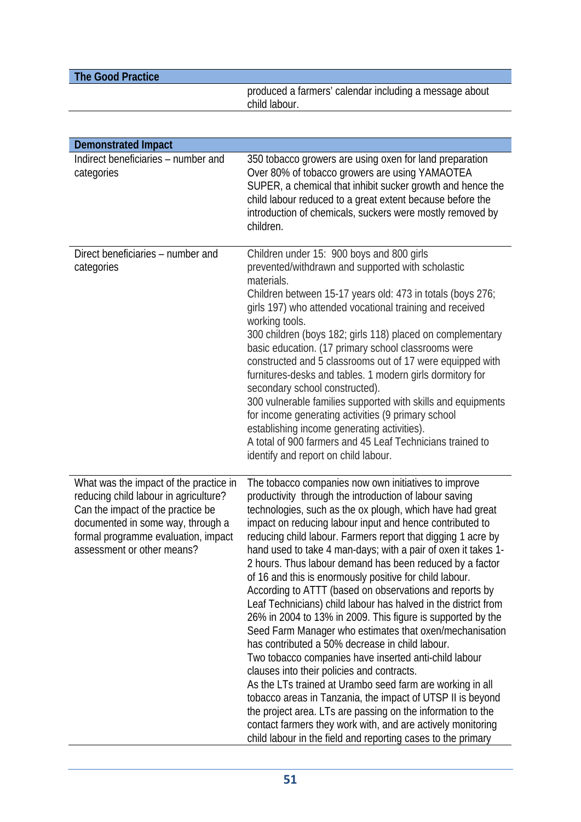| The Good Practice |                                                                         |
|-------------------|-------------------------------------------------------------------------|
|                   | produced a farmers' calendar including a message about<br>child labour. |

| <b>Demonstrated Impact</b>                                                                                                                                                                                                     |                                                                                                                                                                                                                                                                                                                                                                                                                                                                                                                                                                                                                                                                                                                                                                                                                                                                                                                                                                                                                                                                                                                                                                                                                                           |
|--------------------------------------------------------------------------------------------------------------------------------------------------------------------------------------------------------------------------------|-------------------------------------------------------------------------------------------------------------------------------------------------------------------------------------------------------------------------------------------------------------------------------------------------------------------------------------------------------------------------------------------------------------------------------------------------------------------------------------------------------------------------------------------------------------------------------------------------------------------------------------------------------------------------------------------------------------------------------------------------------------------------------------------------------------------------------------------------------------------------------------------------------------------------------------------------------------------------------------------------------------------------------------------------------------------------------------------------------------------------------------------------------------------------------------------------------------------------------------------|
| Indirect beneficiaries - number and<br>categories                                                                                                                                                                              | 350 tobacco growers are using oxen for land preparation<br>Over 80% of tobacco growers are using YAMAOTEA<br>SUPER, a chemical that inhibit sucker growth and hence the<br>child labour reduced to a great extent because before the<br>introduction of chemicals, suckers were mostly removed by<br>children.                                                                                                                                                                                                                                                                                                                                                                                                                                                                                                                                                                                                                                                                                                                                                                                                                                                                                                                            |
| Direct beneficiaries – number and<br>categories                                                                                                                                                                                | Children under 15: 900 boys and 800 girls<br>prevented/withdrawn and supported with scholastic<br>materials.<br>Children between 15-17 years old: 473 in totals (boys 276;<br>girls 197) who attended vocational training and received<br>working tools.<br>300 children (boys 182; girls 118) placed on complementary<br>basic education. (17 primary school classrooms were<br>constructed and 5 classrooms out of 17 were equipped with<br>furnitures-desks and tables. 1 modern girls dormitory for<br>secondary school constructed).<br>300 vulnerable families supported with skills and equipments<br>for income generating activities (9 primary school<br>establishing income generating activities).<br>A total of 900 farmers and 45 Leaf Technicians trained to<br>identify and report on child labour.                                                                                                                                                                                                                                                                                                                                                                                                                       |
| What was the impact of the practice in<br>reducing child labour in agriculture?<br>Can the impact of the practice be<br>documented in some way, through a<br>formal programme evaluation, impact<br>assessment or other means? | The tobacco companies now own initiatives to improve<br>productivity through the introduction of labour saving<br>technologies, such as the ox plough, which have had great<br>impact on reducing labour input and hence contributed to<br>reducing child labour. Farmers report that digging 1 acre by<br>hand used to take 4 man-days; with a pair of oxen it takes 1-<br>2 hours. Thus labour demand has been reduced by a factor<br>of 16 and this is enormously positive for child labour.<br>According to ATTT (based on observations and reports by<br>Leaf Technicians) child labour has halved in the district from<br>26% in 2004 to 13% in 2009. This figure is supported by the<br>Seed Farm Manager who estimates that oxen/mechanisation<br>has contributed a 50% decrease in child labour.<br>Two tobacco companies have inserted anti-child labour<br>clauses into their policies and contracts.<br>As the LTs trained at Urambo seed farm are working in all<br>tobacco areas in Tanzania, the impact of UTSP II is beyond<br>the project area. LTs are passing on the information to the<br>contact farmers they work with, and are actively monitoring<br>child labour in the field and reporting cases to the primary |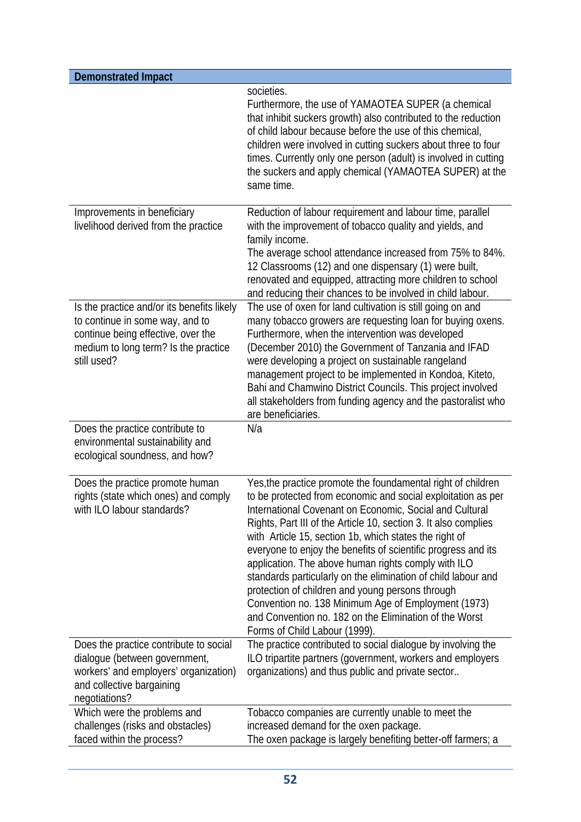| <b>Demonstrated Impact</b>                                                                                                                                                 |                                                                                                                                                                                                                                                                                                                                                                                                                                                                                                                                                                                                                                                                                                                     |
|----------------------------------------------------------------------------------------------------------------------------------------------------------------------------|---------------------------------------------------------------------------------------------------------------------------------------------------------------------------------------------------------------------------------------------------------------------------------------------------------------------------------------------------------------------------------------------------------------------------------------------------------------------------------------------------------------------------------------------------------------------------------------------------------------------------------------------------------------------------------------------------------------------|
|                                                                                                                                                                            | societies.<br>Furthermore, the use of YAMAOTEA SUPER (a chemical<br>that inhibit suckers growth) also contributed to the reduction<br>of child labour because before the use of this chemical,<br>children were involved in cutting suckers about three to four<br>times. Currently only one person (adult) is involved in cutting<br>the suckers and apply chemical (YAMAOTEA SUPER) at the<br>same time.                                                                                                                                                                                                                                                                                                          |
| Improvements in beneficiary<br>livelihood derived from the practice                                                                                                        | Reduction of labour requirement and labour time, parallel<br>with the improvement of tobacco quality and yields, and<br>family income.<br>The average school attendance increased from 75% to 84%.<br>12 Classrooms (12) and one dispensary (1) were built,<br>renovated and equipped, attracting more children to school<br>and reducing their chances to be involved in child labour.                                                                                                                                                                                                                                                                                                                             |
| Is the practice and/or its benefits likely<br>to continue in some way, and to<br>continue being effective, over the<br>medium to long term? Is the practice<br>still used? | The use of oxen for land cultivation is still going on and<br>many tobacco growers are requesting loan for buying oxens.<br>Furthermore, when the intervention was developed<br>(December 2010) the Government of Tanzania and IFAD<br>were developing a project on sustainable rangeland<br>management project to be implemented in Kondoa, Kiteto,<br>Bahi and Chamwino District Councils. This project involved<br>all stakeholders from funding agency and the pastoralist who<br>are beneficiaries.                                                                                                                                                                                                            |
| Does the practice contribute to<br>environmental sustainability and<br>ecological soundness, and how?                                                                      | N/a                                                                                                                                                                                                                                                                                                                                                                                                                                                                                                                                                                                                                                                                                                                 |
| Does the practice promote human<br>rights (state which ones) and comply<br>with ILO labour standards?                                                                      | Yes, the practice promote the foundamental right of children<br>to be protected from economic and social exploitation as per<br>International Covenant on Economic, Social and Cultural<br>Rights, Part III of the Article 10, section 3. It also complies<br>with Article 15, section 1b, which states the right of<br>everyone to enjoy the benefits of scientific progress and its<br>application. The above human rights comply with ILO<br>standards particularly on the elimination of child labour and<br>protection of children and young persons through<br>Convention no. 138 Minimum Age of Employment (1973)<br>and Convention no. 182 on the Elimination of the Worst<br>Forms of Child Labour (1999). |
| Does the practice contribute to social<br>dialogue (between government,<br>workers' and employers' organization)<br>and collective bargaining<br>negotiations?             | The practice contributed to social dialogue by involving the<br>ILO tripartite partners (government, workers and employers<br>organizations) and thus public and private sector                                                                                                                                                                                                                                                                                                                                                                                                                                                                                                                                     |
| Which were the problems and<br>challenges (risks and obstacles)<br>faced within the process?                                                                               | Tobacco companies are currently unable to meet the<br>increased demand for the oxen package.<br>The oxen package is largely benefiting better-off farmers; a                                                                                                                                                                                                                                                                                                                                                                                                                                                                                                                                                        |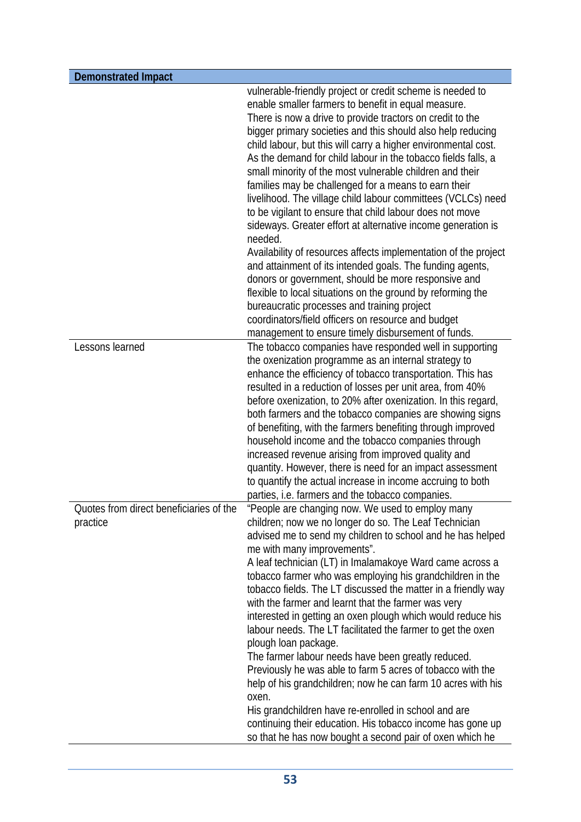| <b>Demonstrated Impact</b>                          |                                                                                                                                                                                                                                                                                                                                                                                                                                                                                                                                                                                                                                                                                                                                                                                                                                                                                                                                                                                                                                                                                                                             |
|-----------------------------------------------------|-----------------------------------------------------------------------------------------------------------------------------------------------------------------------------------------------------------------------------------------------------------------------------------------------------------------------------------------------------------------------------------------------------------------------------------------------------------------------------------------------------------------------------------------------------------------------------------------------------------------------------------------------------------------------------------------------------------------------------------------------------------------------------------------------------------------------------------------------------------------------------------------------------------------------------------------------------------------------------------------------------------------------------------------------------------------------------------------------------------------------------|
|                                                     | vulnerable-friendly project or credit scheme is needed to<br>enable smaller farmers to benefit in equal measure.<br>There is now a drive to provide tractors on credit to the<br>bigger primary societies and this should also help reducing<br>child labour, but this will carry a higher environmental cost.<br>As the demand for child labour in the tobacco fields falls, a<br>small minority of the most vulnerable children and their<br>families may be challenged for a means to earn their<br>livelihood. The village child labour committees (VCLCs) need<br>to be vigilant to ensure that child labour does not move<br>sideways. Greater effort at alternative income generation is<br>needed.<br>Availability of resources affects implementation of the project<br>and attainment of its intended goals. The funding agents,<br>donors or government, should be more responsive and<br>flexible to local situations on the ground by reforming the<br>bureaucratic processes and training project<br>coordinators/field officers on resource and budget<br>management to ensure timely disbursement of funds. |
| Lessons learned                                     | The tobacco companies have responded well in supporting<br>the oxenization programme as an internal strategy to<br>enhance the efficiency of tobacco transportation. This has<br>resulted in a reduction of losses per unit area, from 40%<br>before oxenization, to 20% after oxenization. In this regard,<br>both farmers and the tobacco companies are showing signs<br>of benefiting, with the farmers benefiting through improved<br>household income and the tobacco companies through<br>increased revenue arising from improved quality and<br>quantity. However, there is need for an impact assessment<br>to quantify the actual increase in income accruing to both<br>parties, i.e. farmers and the tobacco companies.                                                                                                                                                                                                                                                                                                                                                                                          |
| Quotes from direct beneficiaries of the<br>practice | "People are changing now. We used to employ many<br>children; now we no longer do so. The Leaf Technician<br>advised me to send my children to school and he has helped<br>me with many improvements".<br>A leaf technician (LT) in Imalamakoye Ward came across a<br>tobacco farmer who was employing his grandchildren in the<br>tobacco fields. The LT discussed the matter in a friendly way<br>with the farmer and learnt that the farmer was very<br>interested in getting an oxen plough which would reduce his<br>labour needs. The LT facilitated the farmer to get the oxen<br>plough loan package.<br>The farmer labour needs have been greatly reduced.<br>Previously he was able to farm 5 acres of tobacco with the<br>help of his grandchildren; now he can farm 10 acres with his<br>oxen.<br>His grandchildren have re-enrolled in school and are<br>continuing their education. His tobacco income has gone up<br>so that he has now bought a second pair of oxen which he                                                                                                                                |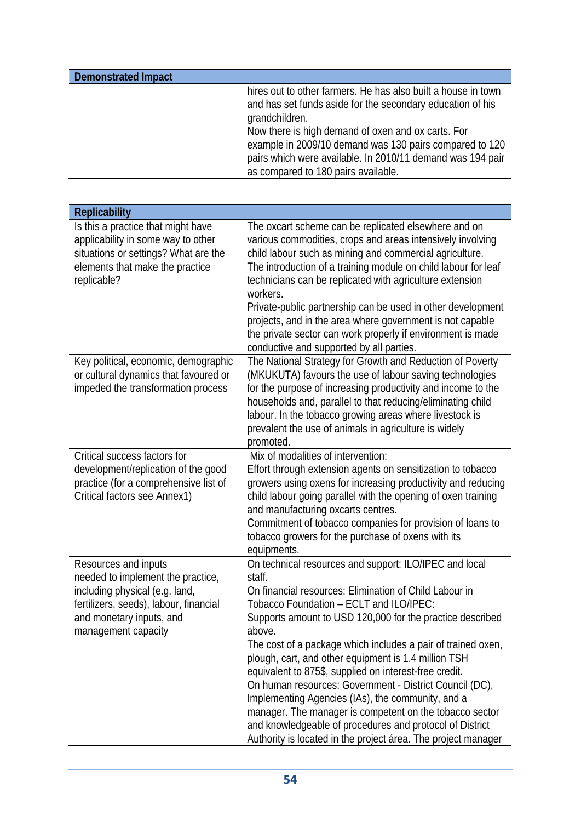| hires out to other farmers. He has also built a house in town<br>and has set funds aside for the secondary education of his                             | <b>Demonstrated Impact</b> |                                                                           |
|---------------------------------------------------------------------------------------------------------------------------------------------------------|----------------------------|---------------------------------------------------------------------------|
| Now there is high demand of oxen and ox carts. For<br>pairs which were available. In 2010/11 demand was 194 pair<br>as compared to 180 pairs available. |                            | grandchildren.<br>example in 2009/10 demand was 130 pairs compared to 120 |

| <b>Replicability</b>                                                                                                                                                                     |                                                                                                                                                                                                                                                                                                                                                                                                                                                                                                                                                                                                                                                                                                                                        |
|------------------------------------------------------------------------------------------------------------------------------------------------------------------------------------------|----------------------------------------------------------------------------------------------------------------------------------------------------------------------------------------------------------------------------------------------------------------------------------------------------------------------------------------------------------------------------------------------------------------------------------------------------------------------------------------------------------------------------------------------------------------------------------------------------------------------------------------------------------------------------------------------------------------------------------------|
| Is this a practice that might have<br>applicability in some way to other<br>situations or settings? What are the<br>elements that make the practice<br>replicable?                       | The oxcart scheme can be replicated elsewhere and on<br>various commodities, crops and areas intensively involving<br>child labour such as mining and commercial agriculture.<br>The introduction of a training module on child labour for leaf<br>technicians can be replicated with agriculture extension<br>workers.<br>Private-public partnership can be used in other development<br>projects, and in the area where government is not capable<br>the private sector can work properly if environment is made<br>conductive and supported by all parties.                                                                                                                                                                         |
| Key political, economic, demographic<br>or cultural dynamics that favoured or<br>impeded the transformation process                                                                      | The National Strategy for Growth and Reduction of Poverty<br>(MKUKUTA) favours the use of labour saving technologies<br>for the purpose of increasing productivity and income to the<br>households and, parallel to that reducing/eliminating child<br>labour. In the tobacco growing areas where livestock is<br>prevalent the use of animals in agriculture is widely<br>promoted.                                                                                                                                                                                                                                                                                                                                                   |
| Critical success factors for<br>development/replication of the good<br>practice (for a comprehensive list of<br>Critical factors see Annex1)                                             | Mix of modalities of intervention:<br>Effort through extension agents on sensitization to tobacco<br>growers using oxens for increasing productivity and reducing<br>child labour going parallel with the opening of oxen training<br>and manufacturing oxcarts centres.<br>Commitment of tobacco companies for provision of loans to<br>tobacco growers for the purchase of oxens with its<br>equipments.                                                                                                                                                                                                                                                                                                                             |
| Resources and inputs<br>needed to implement the practice,<br>including physical (e.g. land,<br>fertilizers, seeds), labour, financial<br>and monetary inputs, and<br>management capacity | On technical resources and support: ILO/IPEC and local<br>staff.<br>On financial resources: Elimination of Child Labour in<br>Tobacco Foundation - ECLT and ILO/IPEC:<br>Supports amount to USD 120,000 for the practice described<br>above.<br>The cost of a package which includes a pair of trained oxen,<br>plough, cart, and other equipment is 1.4 million TSH<br>equivalent to 875\$, supplied on interest-free credit.<br>On human resources: Government - District Council (DC),<br>Implementing Agencies (IAs), the community, and a<br>manager. The manager is competent on the tobacco sector<br>and knowledgeable of procedures and protocol of District<br>Authority is located in the project área. The project manager |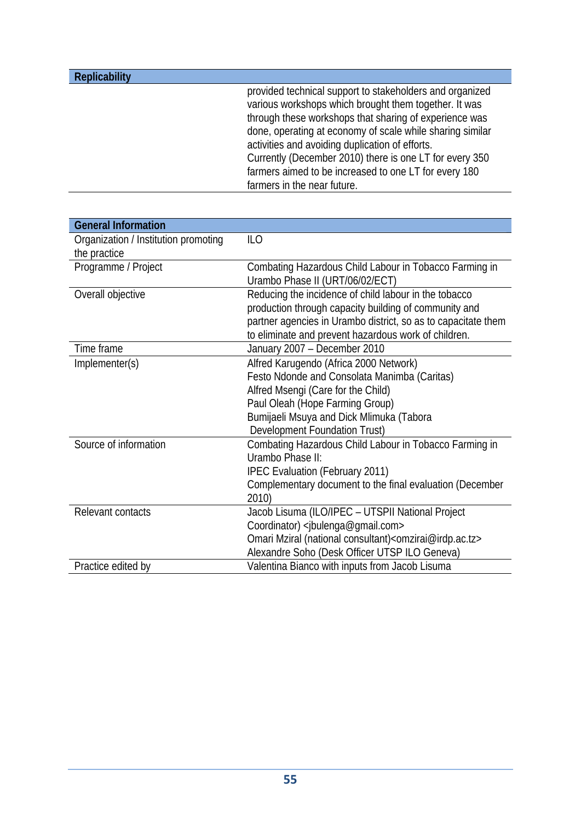| <b>Replicability</b> |                                                           |
|----------------------|-----------------------------------------------------------|
|                      | provided technical support to stakeholders and organized  |
|                      | various workshops which brought them together. It was     |
|                      | through these workshops that sharing of experience was    |
|                      | done, operating at economy of scale while sharing similar |
|                      | activities and avoiding duplication of efforts.           |
|                      | Currently (December 2010) there is one LT for every 350   |
|                      | farmers aimed to be increased to one LT for every 180     |
|                      | farmers in the near future.                               |

| <b>General Information</b>           |                                                                              |
|--------------------------------------|------------------------------------------------------------------------------|
| Organization / Institution promoting | <b>ILO</b>                                                                   |
| the practice                         |                                                                              |
| Programme / Project                  | Combating Hazardous Child Labour in Tobacco Farming in                       |
|                                      | Urambo Phase II (URT/06/02/ECT)                                              |
| Overall objective                    | Reducing the incidence of child labour in the tobacco                        |
|                                      | production through capacity building of community and                        |
|                                      | partner agencies in Urambo district, so as to capacitate them                |
|                                      | to eliminate and prevent hazardous work of children.                         |
| Time frame                           | January 2007 - December 2010                                                 |
| Implementer(s)                       | Alfred Karugendo (Africa 2000 Network)                                       |
|                                      | Festo Ndonde and Consolata Manimba (Caritas)                                 |
|                                      | Alfred Msengi (Care for the Child)                                           |
|                                      | Paul Oleah (Hope Farming Group)                                              |
|                                      | Bumijaeli Msuya and Dick Mlimuka (Tabora                                     |
|                                      | Development Foundation Trust)                                                |
| Source of information                | Combating Hazardous Child Labour in Tobacco Farming in                       |
|                                      | Urambo Phase II:                                                             |
|                                      | <b>IPEC Evaluation (February 2011)</b>                                       |
|                                      | Complementary document to the final evaluation (December                     |
|                                      | 2010)                                                                        |
| Relevant contacts                    | Jacob Lisuma (ILO/IPEC - UTSPII National Project                             |
|                                      | Coordinator) <jbulenga@gmail.com></jbulenga@gmail.com>                       |
|                                      | Omari Mziral (national consultant) <omzirai@irdp.ac.tz></omzirai@irdp.ac.tz> |
|                                      | Alexandre Soho (Desk Officer UTSP ILO Geneva)                                |
| Practice edited by                   | Valentina Bianco with inputs from Jacob Lisuma                               |
|                                      |                                                                              |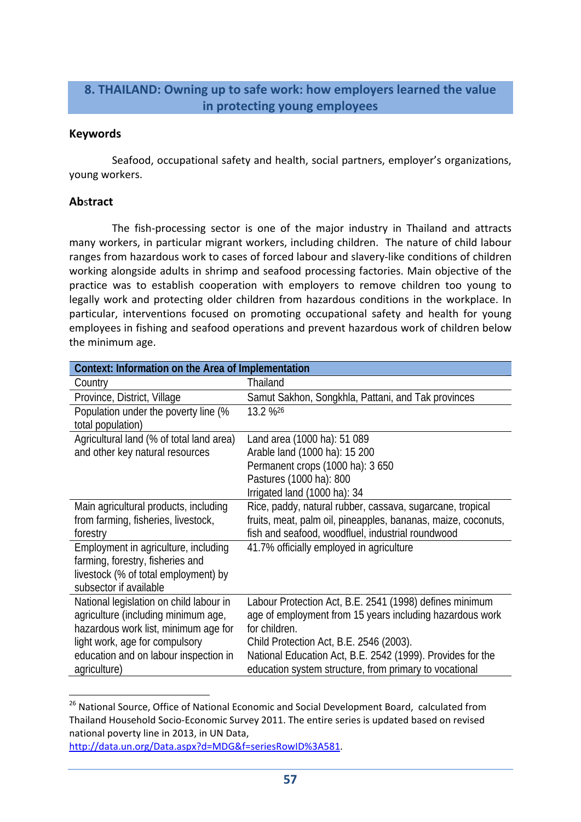### **8. THAILAND: Owning up to safe work: how employers learned the value in protecting young employees**

#### **Keywords**

Seafood, occupational safety and health, social partners, employer's organizations, young workers.

#### **Ab**s**tract**

The fish-processing sector is one of the major industry in Thailand and attracts many workers, in particular migrant workers, including children. The nature of child labour ranges from hazardous work to cases of forced labour and slavery‐like conditions of children working alongside adults in shrimp and seafood processing factories. Main objective of the practice was to establish cooperation with employers to remove children too young to legally work and protecting older children from hazardous conditions in the workplace. In particular, interventions focused on promoting occupational safety and health for young employees in fishing and seafood operations and prevent hazardous work of children below the minimum age.

| Context: Information on the Area of Implementation        |                                                               |
|-----------------------------------------------------------|---------------------------------------------------------------|
| Country                                                   | Thailand                                                      |
| Province, District, Village                               | Samut Sakhon, Songkhla, Pattani, and Tak provinces            |
| Population under the poverty line (%<br>total population) | 13.2 % 26                                                     |
| Agricultural land (% of total land area)                  | Land area (1000 ha): 51 089                                   |
| and other key natural resources                           | Arable land (1000 ha): 15 200                                 |
|                                                           | Permanent crops (1000 ha): 3 650                              |
|                                                           | Pastures (1000 ha): 800                                       |
|                                                           | Irrigated land (1000 ha): 34                                  |
| Main agricultural products, including                     | Rice, paddy, natural rubber, cassava, sugarcane, tropical     |
| from farming, fisheries, livestock,                       | fruits, meat, palm oil, pineapples, bananas, maize, coconuts, |
| forestry                                                  | fish and seafood, woodfluel, industrial roundwood             |
| Employment in agriculture, including                      | 41.7% officially employed in agriculture                      |
| farming, forestry, fisheries and                          |                                                               |
| livestock (% of total employment) by                      |                                                               |
| subsector if available                                    |                                                               |
| National legislation on child labour in                   | Labour Protection Act, B.E. 2541 (1998) defines minimum       |
| agriculture (including minimum age,                       | age of employment from 15 years including hazardous work      |
| hazardous work list, minimum age for                      | for children.                                                 |
| light work, age for compulsory                            | Child Protection Act, B.E. 2546 (2003).                       |
| education and on labour inspection in                     | National Education Act, B.E. 2542 (1999). Provides for the    |
| agriculture)                                              | education system structure, from primary to vocational        |

<sup>&</sup>lt;sup>26</sup> National Source, Office of National Economic and Social Development Board, calculated from Thailand Household Socio‐Economic Survey 2011. The entire series is updated based on revised national poverty line in 2013, in UN Data,

http://data.un.org/Data.aspx?d=MDG&f=seriesRowID%3A581.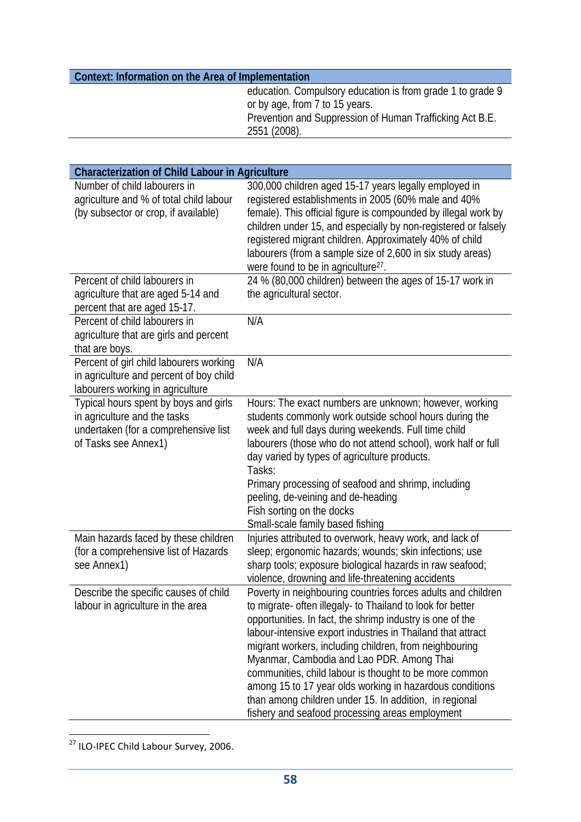| education. Compulsory education is from grade 1 to grade 9<br>or by age, from 7 to 15 years.<br>Prevention and Suppression of Human Trafficking Act B.E. | Context: Information on the Area of Implementation |
|----------------------------------------------------------------------------------------------------------------------------------------------------------|----------------------------------------------------|
|                                                                                                                                                          |                                                    |
|                                                                                                                                                          |                                                    |
|                                                                                                                                                          |                                                    |
| 2551 (2008).                                                                                                                                             |                                                    |

| <b>Characterization of Child Labour in Agriculture</b>                                                                                |                                                                                                                                                                                                                                                                                                                                                                                                                                                                                                                                                                                                  |
|---------------------------------------------------------------------------------------------------------------------------------------|--------------------------------------------------------------------------------------------------------------------------------------------------------------------------------------------------------------------------------------------------------------------------------------------------------------------------------------------------------------------------------------------------------------------------------------------------------------------------------------------------------------------------------------------------------------------------------------------------|
| Number of child labourers in<br>agriculture and % of total child labour<br>(by subsector or crop, if available)                       | 300,000 children aged 15-17 years legally employed in<br>registered establishments in 2005 (60% male and 40%<br>female). This official figure is compounded by illegal work by<br>children under 15, and especially by non-registered or falsely<br>registered migrant children. Approximately 40% of child<br>labourers (from a sample size of 2,600 in six study areas)<br>were found to be in agriculture <sup>27</sup> .                                                                                                                                                                     |
| Percent of child labourers in<br>agriculture that are aged 5-14 and<br>percent that are aged 15-17.                                   | 24 % (80,000 children) between the ages of 15-17 work in<br>the agricultural sector.                                                                                                                                                                                                                                                                                                                                                                                                                                                                                                             |
| Percent of child labourers in<br>agriculture that are girls and percent<br>that are boys.                                             | N/A                                                                                                                                                                                                                                                                                                                                                                                                                                                                                                                                                                                              |
| Percent of girl child labourers working<br>in agriculture and percent of boy child<br>labourers working in agriculture                | N/A                                                                                                                                                                                                                                                                                                                                                                                                                                                                                                                                                                                              |
| Typical hours spent by boys and girls<br>in agriculture and the tasks<br>undertaken (for a comprehensive list<br>of Tasks see Annex1) | Hours: The exact numbers are unknown; however, working<br>students commonly work outside school hours during the<br>week and full days during weekends. Full time child<br>labourers (those who do not attend school), work half or full<br>day varied by types of agriculture products.<br>Tasks:<br>Primary processing of seafood and shrimp, including<br>peeling, de-veining and de-heading<br>Fish sorting on the docks<br>Small-scale family based fishing                                                                                                                                 |
| Main hazards faced by these children<br>(for a comprehensive list of Hazards<br>see Annex1)                                           | Injuries attributed to overwork, heavy work, and lack of<br>sleep; ergonomic hazards; wounds; skin infections; use<br>sharp tools; exposure biological hazards in raw seafood;<br>violence, drowning and life-threatening accidents                                                                                                                                                                                                                                                                                                                                                              |
| Describe the specific causes of child<br>labour in agriculture in the area                                                            | Poverty in neighbouring countries forces adults and children<br>to migrate- often illegaly- to Thailand to look for better<br>opportunities. In fact, the shrimp industry is one of the<br>labour-intensive export industries in Thailand that attract<br>migrant workers, including children, from neighbouring<br>Myanmar, Cambodia and Lao PDR. Among Thai<br>communities, child labour is thought to be more common<br>among 15 to 17 year olds working in hazardous conditions<br>than among children under 15. In addition, in regional<br>fishery and seafood processing areas employment |

<sup>27</sup> ILO-IPEC Child Labour Survey, 2006.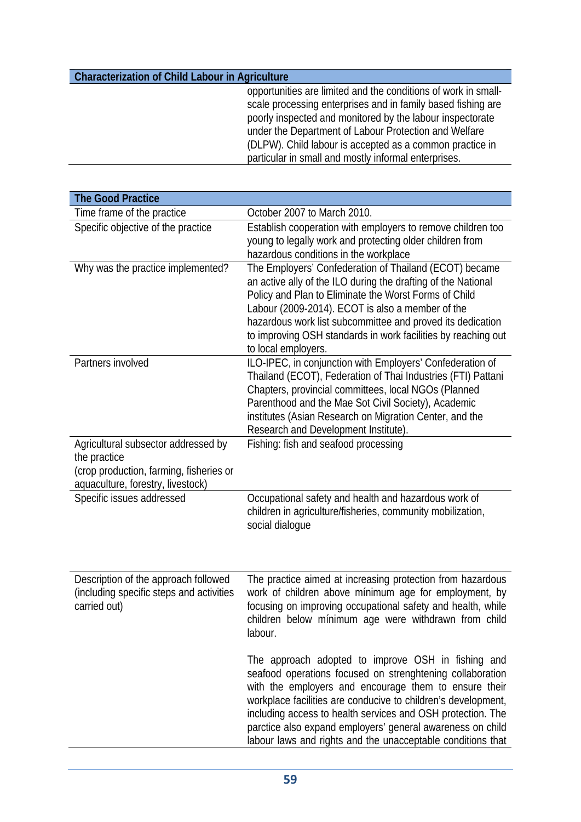### **Characterization of Child Labour in Agriculture**

opportunities are limited and the conditions of work in smallscale processing enterprises and in family based fishing are poorly inspected and monitored by the labour inspectorate under the Department of Labour Protection and Welfare (DLPW). Child labour is accepted as a common practice in particular in small and mostly informal enterprises.

| <b>The Good Practice</b>                                                                                                            |                                                                                                                                                                                                                                                                                                                                                                                                                                       |
|-------------------------------------------------------------------------------------------------------------------------------------|---------------------------------------------------------------------------------------------------------------------------------------------------------------------------------------------------------------------------------------------------------------------------------------------------------------------------------------------------------------------------------------------------------------------------------------|
| Time frame of the practice                                                                                                          | October 2007 to March 2010.                                                                                                                                                                                                                                                                                                                                                                                                           |
| Specific objective of the practice                                                                                                  | Establish cooperation with employers to remove children too<br>young to legally work and protecting older children from<br>hazardous conditions in the workplace                                                                                                                                                                                                                                                                      |
| Why was the practice implemented?                                                                                                   | The Employers' Confederation of Thailand (ECOT) became<br>an active ally of the ILO during the drafting of the National<br>Policy and Plan to Eliminate the Worst Forms of Child<br>Labour (2009-2014). ECOT is also a member of the<br>hazardous work list subcommittee and proved its dedication<br>to improving OSH standards in work facilities by reaching out<br>to local employers.                                            |
| Partners involved                                                                                                                   | ILO-IPEC, in conjunction with Employers' Confederation of<br>Thailand (ECOT), Federation of Thai Industries (FTI) Pattani<br>Chapters, provincial committees, local NGOs (Planned<br>Parenthood and the Mae Sot Civil Society), Academic<br>institutes (Asian Research on Migration Center, and the<br>Research and Development Institute).                                                                                           |
| Agricultural subsector addressed by<br>the practice<br>(crop production, farming, fisheries or<br>aquaculture, forestry, livestock) | Fishing: fish and seafood processing                                                                                                                                                                                                                                                                                                                                                                                                  |
| Specific issues addressed                                                                                                           | Occupational safety and health and hazardous work of<br>children in agriculture/fisheries, community mobilization,<br>social dialogue                                                                                                                                                                                                                                                                                                 |
| Description of the approach followed<br>(including specific steps and activities<br>carried out)                                    | The practice aimed at increasing protection from hazardous<br>work of children above mínimum age for employment, by<br>focusing on improving occupational safety and health, while<br>children below mínimum age were withdrawn from child<br>labour.                                                                                                                                                                                 |
|                                                                                                                                     | The approach adopted to improve OSH in fishing and<br>seafood operations focused on strenghtening collaboration<br>with the employers and encourage them to ensure their<br>workplace facilities are conducive to children's development,<br>including access to health services and OSH protection. The<br>parctice also expand employers' general awareness on child<br>labour laws and rights and the unacceptable conditions that |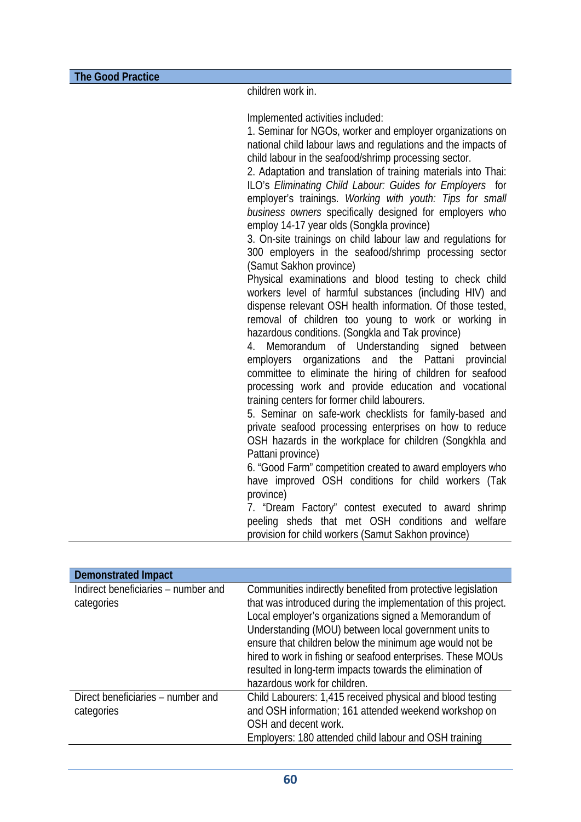children work in.

Implemented activities included:

1. Seminar for NGOs, worker and employer organizations on national child labour laws and regulations and the impacts of child labour in the seafood/shrimp processing sector.

2. Adaptation and translation of training materials into Thai: ILO's *Eliminating Child Labour: Guides for Employers* for employer's trainings. *Working with youth: Tips for small business owners* specifically designed for employers who employ 14-17 year olds (Songkla province)

3. On-site trainings on child labour law and regulations for 300 employers in the seafood/shrimp processing sector (Samut Sakhon province)

Physical examinations and blood testing to check child workers level of harmful substances (including HIV) and dispense relevant OSH health information. Of those tested, removal of children too young to work or working in hazardous conditions. (Songkla and Tak province)

4. Memorandum of Understanding signed between employers organizations and the Pattani provincial committee to eliminate the hiring of children for seafood processing work and provide education and vocational training centers for former child labourers.

5. Seminar on safe-work checklists for family-based and private seafood processing enterprises on how to reduce OSH hazards in the workplace for children (Songkhla and Pattani province)

6. "Good Farm" competition created to award employers who have improved OSH conditions for child workers (Tak province)

7. "Dream Factory" contest executed to award shrimp peeling sheds that met OSH conditions and welfare provision for child workers (Samut Sakhon province)

| <b>Demonstrated Impact</b>                        |                                                                                                                                                                                                                                                                                                                                                                                                                                                                        |
|---------------------------------------------------|------------------------------------------------------------------------------------------------------------------------------------------------------------------------------------------------------------------------------------------------------------------------------------------------------------------------------------------------------------------------------------------------------------------------------------------------------------------------|
| Indirect beneficiaries – number and<br>categories | Communities indirectly benefited from protective legislation<br>that was introduced during the implementation of this project.<br>Local employer's organizations signed a Memorandum of<br>Understanding (MOU) between local government units to<br>ensure that children below the minimum age would not be<br>hired to work in fishing or seafood enterprises. These MOUs<br>resulted in long-term impacts towards the elimination of<br>hazardous work for children. |
| Direct beneficiaries – number and<br>categories   | Child Labourers: 1,415 received physical and blood testing<br>and OSH information; 161 attended weekend workshop on<br>OSH and decent work.<br>Employers: 180 attended child labour and OSH training                                                                                                                                                                                                                                                                   |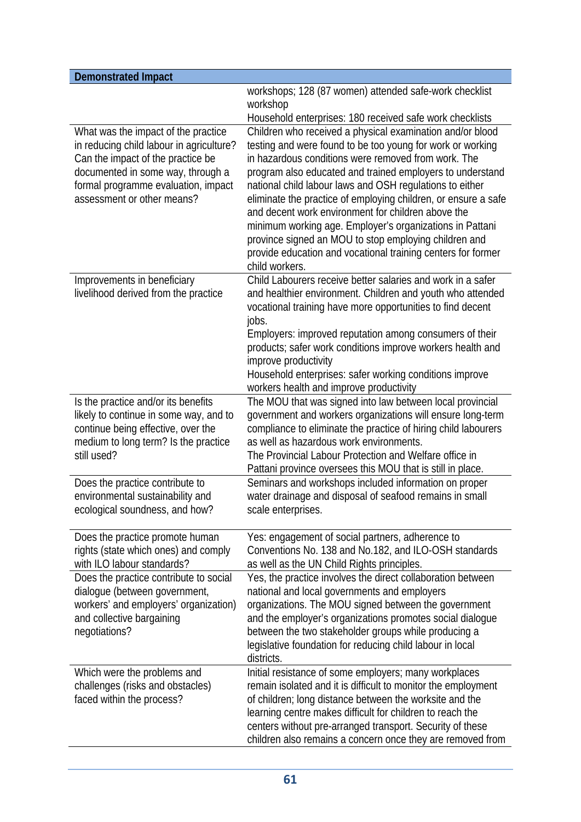| <b>Demonstrated Impact</b>                                                                                                                                                                                                     |                                                                                                                                                                                                                                                                                                                                                                                                                                                                                                                                                                                                                                                                                                    |
|--------------------------------------------------------------------------------------------------------------------------------------------------------------------------------------------------------------------------------|----------------------------------------------------------------------------------------------------------------------------------------------------------------------------------------------------------------------------------------------------------------------------------------------------------------------------------------------------------------------------------------------------------------------------------------------------------------------------------------------------------------------------------------------------------------------------------------------------------------------------------------------------------------------------------------------------|
|                                                                                                                                                                                                                                | workshops; 128 (87 women) attended safe-work checklist<br>workshop                                                                                                                                                                                                                                                                                                                                                                                                                                                                                                                                                                                                                                 |
| What was the impact of the practice<br>in reducing child labour in agriculture?<br>Can the impact of the practice be<br>documented in some way, through a<br>formal programme evaluation, impact<br>assessment or other means? | Household enterprises: 180 received safe work checklists<br>Children who received a physical examination and/or blood<br>testing and were found to be too young for work or working<br>in hazardous conditions were removed from work. The<br>program also educated and trained employers to understand<br>national child labour laws and OSH regulations to either<br>eliminate the practice of employing children, or ensure a safe<br>and decent work environment for children above the<br>minimum working age. Employer's organizations in Pattani<br>province signed an MOU to stop employing children and<br>provide education and vocational training centers for former<br>child workers. |
| Improvements in beneficiary<br>livelihood derived from the practice                                                                                                                                                            | Child Labourers receive better salaries and work in a safer<br>and healthier environment. Children and youth who attended<br>vocational training have more opportunities to find decent<br>jobs.<br>Employers: improved reputation among consumers of their<br>products; safer work conditions improve workers health and<br>improve productivity<br>Household enterprises: safer working conditions improve<br>workers health and improve productivity                                                                                                                                                                                                                                            |
| Is the practice and/or its benefits<br>likely to continue in some way, and to<br>continue being effective, over the<br>medium to long term? Is the practice<br>still used?                                                     | The MOU that was signed into law between local provincial<br>government and workers organizations will ensure long-term<br>compliance to eliminate the practice of hiring child labourers<br>as well as hazardous work environments.<br>The Provincial Labour Protection and Welfare office in<br>Pattani province oversees this MOU that is still in place.                                                                                                                                                                                                                                                                                                                                       |
| Does the practice contribute to<br>environmental sustainability and<br>ecological soundness, and how?                                                                                                                          | Seminars and workshops included information on proper<br>water drainage and disposal of seafood remains in small<br>scale enterprises.                                                                                                                                                                                                                                                                                                                                                                                                                                                                                                                                                             |
| Does the practice promote human<br>rights (state which ones) and comply<br>with ILO labour standards?                                                                                                                          | Yes: engagement of social partners, adherence to<br>Conventions No. 138 and No.182, and ILO-OSH standards<br>as well as the UN Child Rights principles.                                                                                                                                                                                                                                                                                                                                                                                                                                                                                                                                            |
| Does the practice contribute to social<br>dialogue (between government,<br>workers' and employers' organization)<br>and collective bargaining<br>negotiations?                                                                 | Yes, the practice involves the direct collaboration between<br>national and local governments and employers<br>organizations. The MOU signed between the government<br>and the employer's organizations promotes social dialogue<br>between the two stakeholder groups while producing a<br>legislative foundation for reducing child labour in local<br>districts.                                                                                                                                                                                                                                                                                                                                |
| Which were the problems and<br>challenges (risks and obstacles)<br>faced within the process?                                                                                                                                   | Initial resistance of some employers; many workplaces<br>remain isolated and it is difficult to monitor the employment<br>of children; long distance between the worksite and the<br>learning centre makes difficult for children to reach the<br>centers without pre-arranged transport. Security of these<br>children also remains a concern once they are removed from                                                                                                                                                                                                                                                                                                                          |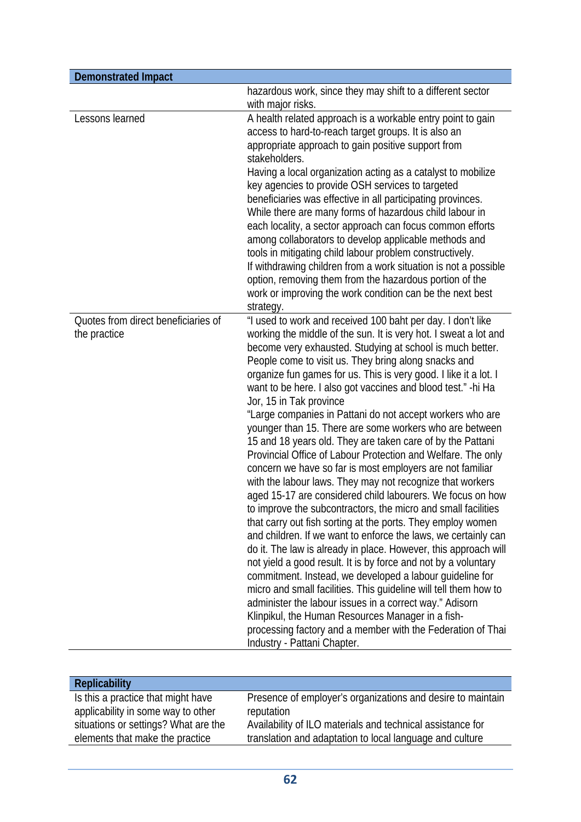| <b>Demonstrated Impact</b>                          |                                                                                                                                                                                                                                                                                                                                                                                                                                                                                                                                                                                                                                                                                                                                                                                                                                                                                                                                                                                                                                                                                                                                                                                                                                                                                                                                                                                                                                                                                                                                                         |
|-----------------------------------------------------|---------------------------------------------------------------------------------------------------------------------------------------------------------------------------------------------------------------------------------------------------------------------------------------------------------------------------------------------------------------------------------------------------------------------------------------------------------------------------------------------------------------------------------------------------------------------------------------------------------------------------------------------------------------------------------------------------------------------------------------------------------------------------------------------------------------------------------------------------------------------------------------------------------------------------------------------------------------------------------------------------------------------------------------------------------------------------------------------------------------------------------------------------------------------------------------------------------------------------------------------------------------------------------------------------------------------------------------------------------------------------------------------------------------------------------------------------------------------------------------------------------------------------------------------------------|
|                                                     | hazardous work, since they may shift to a different sector<br>with major risks.                                                                                                                                                                                                                                                                                                                                                                                                                                                                                                                                                                                                                                                                                                                                                                                                                                                                                                                                                                                                                                                                                                                                                                                                                                                                                                                                                                                                                                                                         |
| Lessons learned                                     | A health related approach is a workable entry point to gain<br>access to hard-to-reach target groups. It is also an<br>appropriate approach to gain positive support from<br>stakeholders.<br>Having a local organization acting as a catalyst to mobilize<br>key agencies to provide OSH services to targeted<br>beneficiaries was effective in all participating provinces.<br>While there are many forms of hazardous child labour in<br>each locality, a sector approach can focus common efforts<br>among collaborators to develop applicable methods and<br>tools in mitigating child labour problem constructively.<br>If withdrawing children from a work situation is not a possible<br>option, removing them from the hazardous portion of the<br>work or improving the work condition can be the next best<br>strategy.                                                                                                                                                                                                                                                                                                                                                                                                                                                                                                                                                                                                                                                                                                                      |
| Quotes from direct beneficiaries of<br>the practice | "I used to work and received 100 baht per day. I don't like<br>working the middle of the sun. It is very hot. I sweat a lot and<br>become very exhausted. Studying at school is much better.<br>People come to visit us. They bring along snacks and<br>organize fun games for us. This is very good. I like it a lot. I<br>want to be here. I also got vaccines and blood test." - hi Ha<br>Jor, 15 in Tak province<br>"Large companies in Pattani do not accept workers who are<br>younger than 15. There are some workers who are between<br>15 and 18 years old. They are taken care of by the Pattani<br>Provincial Office of Labour Protection and Welfare. The only<br>concern we have so far is most employers are not familiar<br>with the labour laws. They may not recognize that workers<br>aged 15-17 are considered child labourers. We focus on how<br>to improve the subcontractors, the micro and small facilities<br>that carry out fish sorting at the ports. They employ women<br>and children. If we want to enforce the laws, we certainly can<br>do it. The law is already in place. However, this approach will<br>not yield a good result. It is by force and not by a voluntary<br>commitment. Instead, we developed a labour guideline for<br>micro and small facilities. This guideline will tell them how to<br>administer the labour issues in a correct way." Adisorn<br>Klinpikul, the Human Resources Manager in a fish-<br>processing factory and a member with the Federation of Thai<br>Industry - Pattani Chapter. |

| <b>Replicability</b>                 |                                                             |
|--------------------------------------|-------------------------------------------------------------|
| Is this a practice that might have   | Presence of employer's organizations and desire to maintain |
| applicability in some way to other   | reputation                                                  |
| situations or settings? What are the | Availability of ILO materials and technical assistance for  |
| elements that make the practice      | translation and adaptation to local language and culture    |
|                                      |                                                             |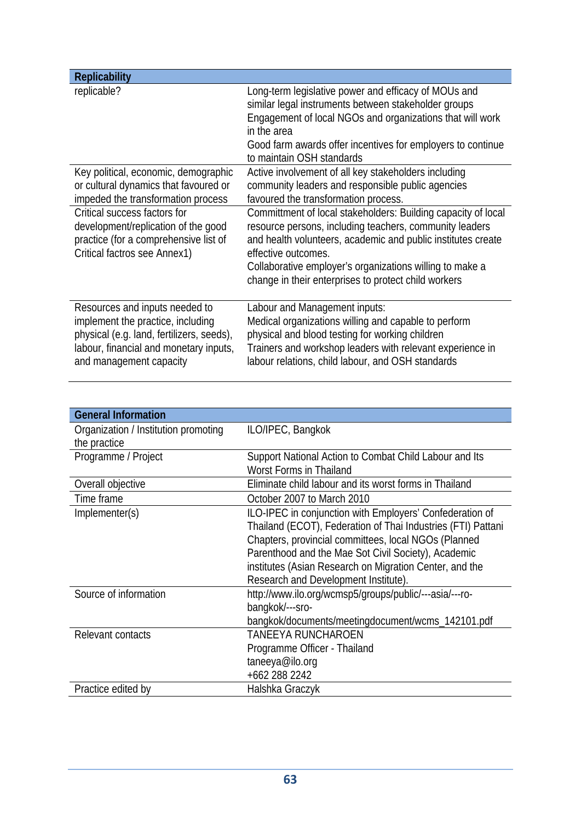| <b>Replicability</b>                                                                                                                                                                  |                                                                                                                                                                                                                                                                                                                                     |
|---------------------------------------------------------------------------------------------------------------------------------------------------------------------------------------|-------------------------------------------------------------------------------------------------------------------------------------------------------------------------------------------------------------------------------------------------------------------------------------------------------------------------------------|
| replicable?                                                                                                                                                                           | Long-term legislative power and efficacy of MOUs and<br>similar legal instruments between stakeholder groups<br>Engagement of local NGOs and organizations that will work<br>in the area<br>Good farm awards offer incentives for employers to continue<br>to maintain OSH standards                                                |
| Key political, economic, demographic                                                                                                                                                  | Active involvement of all key stakeholders including                                                                                                                                                                                                                                                                                |
| or cultural dynamics that favoured or<br>impeded the transformation process                                                                                                           | community leaders and responsible public agencies<br>favoured the transformation process.                                                                                                                                                                                                                                           |
| Critical success factors for<br>development/replication of the good<br>practice (for a comprehensive list of<br>Critical factros see Annex1)                                          | Committment of local stakeholders: Building capacity of local<br>resource persons, including teachers, community leaders<br>and health volunteers, academic and public institutes create<br>effective outcomes.<br>Collaborative employer's organizations willing to make a<br>change in their enterprises to protect child workers |
| Resources and inputs needed to<br>implement the practice, including<br>physical (e.g. land, fertilizers, seeds),<br>labour, financial and monetary inputs,<br>and management capacity | Labour and Management inputs:<br>Medical organizations willing and capable to perform<br>physical and blood testing for working children<br>Trainers and workshop leaders with relevant experience in<br>labour relations, child labour, and OSH standards                                                                          |

| <b>General Information</b>           |                                                              |
|--------------------------------------|--------------------------------------------------------------|
| Organization / Institution promoting | ILO/IPEC, Bangkok                                            |
| the practice                         |                                                              |
| Programme / Project                  | Support National Action to Combat Child Labour and Its       |
|                                      | Worst Forms in Thailand                                      |
| Overall objective                    | Eliminate child labour and its worst forms in Thailand       |
| Time frame                           | October 2007 to March 2010                                   |
| Implementer(s)                       | ILO-IPEC in conjunction with Employers' Confederation of     |
|                                      | Thailand (ECOT), Federation of Thai Industries (FTI) Pattani |
|                                      | Chapters, provincial committees, local NGOs (Planned         |
|                                      | Parenthood and the Mae Sot Civil Society), Academic          |
|                                      | institutes (Asian Research on Migration Center, and the      |
|                                      | Research and Development Institute).                         |
| Source of information                | http://www.ilo.org/wcmsp5/groups/public/---asia/---ro-       |
|                                      | bangkok/---sro-                                              |
|                                      | bangkok/documents/meetingdocument/wcms_142101.pdf            |
| Relevant contacts                    | <b>TANEEYA RUNCHAROEN</b>                                    |
|                                      | Programme Officer - Thailand                                 |
|                                      | taneeya@ilo.org                                              |
|                                      | +662 288 2242                                                |
| Practice edited by                   | Halshka Graczyk                                              |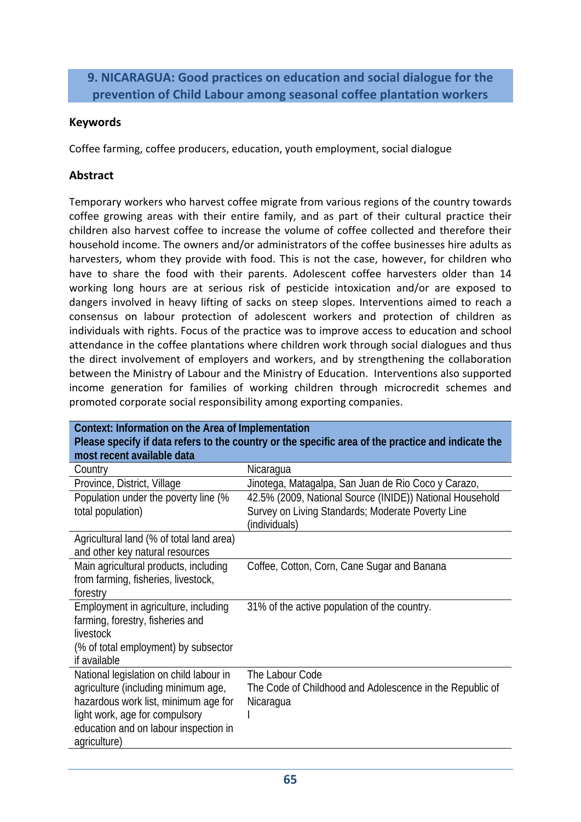### **9. NICARAGUA: Good practices on education and social dialogue for the prevention of Child Labour among seasonal coffee plantation workers**

### **Keywords**

Coffee farming, coffee producers, education, youth employment, social dialogue

### **Abstract**

Temporary workers who harvest coffee migrate from various regions of the country towards coffee growing areas with their entire family, and as part of their cultural practice their children also harvest coffee to increase the volume of coffee collected and therefore their household income. The owners and/or administrators of the coffee businesses hire adults as harvesters, whom they provide with food. This is not the case, however, for children who have to share the food with their parents. Adolescent coffee harvesters older than 14 working long hours are at serious risk of pesticide intoxication and/or are exposed to dangers involved in heavy lifting of sacks on steep slopes. Interventions aimed to reach a consensus on labour protection of adolescent workers and protection of children as individuals with rights. Focus of the practice was to improve access to education and school attendance in the coffee plantations where children work through social dialogues and thus the direct involvement of employers and workers, and by strengthening the collaboration between the Ministry of Labour and the Ministry of Education. Interventions also supported income generation for families of working children through microcredit schemes and promoted corporate social responsibility among exporting companies.

| Context: Information on the Area of Implementation                                                 |                                                          |
|----------------------------------------------------------------------------------------------------|----------------------------------------------------------|
| Please specify if data refers to the country or the specific area of the practice and indicate the |                                                          |
| most recent available data                                                                         |                                                          |
| Country                                                                                            | Nicaragua                                                |
| Province, District, Village                                                                        | Jinotega, Matagalpa, San Juan de Rio Coco y Carazo,      |
| Population under the poverty line (%                                                               | 42.5% (2009, National Source (INIDE)) National Household |
| total population)                                                                                  | Survey on Living Standards; Moderate Poverty Line        |
|                                                                                                    | (individuals)                                            |
| Agricultural land (% of total land area)                                                           |                                                          |
| and other key natural resources                                                                    |                                                          |
| Main agricultural products, including                                                              | Coffee, Cotton, Corn, Cane Sugar and Banana              |
| from farming, fisheries, livestock,                                                                |                                                          |
| forestry                                                                                           |                                                          |
| Employment in agriculture, including                                                               | 31% of the active population of the country.             |
| farming, forestry, fisheries and                                                                   |                                                          |
| livestock                                                                                          |                                                          |
| (% of total employment) by subsector                                                               |                                                          |
| if available                                                                                       |                                                          |
| National legislation on child labour in                                                            | The Labour Code                                          |
| agriculture (including minimum age,                                                                | The Code of Childhood and Adolescence in the Republic of |
| hazardous work list, minimum age for                                                               | Nicaragua                                                |
| light work, age for compulsory                                                                     |                                                          |
| education and on labour inspection in                                                              |                                                          |
| agriculture)                                                                                       |                                                          |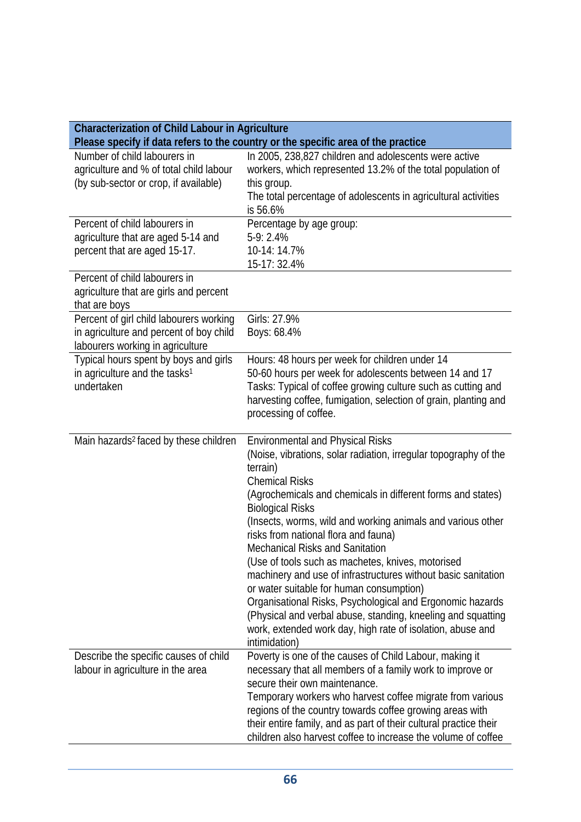| <b>Characterization of Child Labour in Agriculture</b>                                                                 |                                                                                                                                                                                                                                                                                                                                                                                                                                                                                                                                                                                                                                                                                                                                                                           |
|------------------------------------------------------------------------------------------------------------------------|---------------------------------------------------------------------------------------------------------------------------------------------------------------------------------------------------------------------------------------------------------------------------------------------------------------------------------------------------------------------------------------------------------------------------------------------------------------------------------------------------------------------------------------------------------------------------------------------------------------------------------------------------------------------------------------------------------------------------------------------------------------------------|
|                                                                                                                        | Please specify if data refers to the country or the specific area of the practice                                                                                                                                                                                                                                                                                                                                                                                                                                                                                                                                                                                                                                                                                         |
| Number of child labourers in<br>agriculture and % of total child labour<br>(by sub-sector or crop, if available)       | In 2005, 238,827 children and adolescents were active<br>workers, which represented 13.2% of the total population of<br>this group.<br>The total percentage of adolescents in agricultural activities<br>is 56.6%                                                                                                                                                                                                                                                                                                                                                                                                                                                                                                                                                         |
| Percent of child labourers in<br>agriculture that are aged 5-14 and<br>percent that are aged 15-17.                    | Percentage by age group:<br>$5-9:2.4%$<br>10-14: 14.7%<br>15-17: 32.4%                                                                                                                                                                                                                                                                                                                                                                                                                                                                                                                                                                                                                                                                                                    |
| Percent of child labourers in<br>agriculture that are girls and percent<br>that are boys                               |                                                                                                                                                                                                                                                                                                                                                                                                                                                                                                                                                                                                                                                                                                                                                                           |
| Percent of girl child labourers working<br>in agriculture and percent of boy child<br>labourers working in agriculture | Girls: 27.9%<br>Boys: 68.4%                                                                                                                                                                                                                                                                                                                                                                                                                                                                                                                                                                                                                                                                                                                                               |
| Typical hours spent by boys and girls<br>in agriculture and the tasks <sup>1</sup><br>undertaken                       | Hours: 48 hours per week for children under 14<br>50-60 hours per week for adolescents between 14 and 17<br>Tasks: Typical of coffee growing culture such as cutting and<br>harvesting coffee, fumigation, selection of grain, planting and<br>processing of coffee.                                                                                                                                                                                                                                                                                                                                                                                                                                                                                                      |
| Main hazards <sup>2</sup> faced by these children                                                                      | <b>Environmental and Physical Risks</b><br>(Noise, vibrations, solar radiation, irregular topography of the<br>terrain)<br><b>Chemical Risks</b><br>(Agrochemicals and chemicals in different forms and states)<br><b>Biological Risks</b><br>(Insects, worms, wild and working animals and various other<br>risks from national flora and fauna)<br><b>Mechanical Risks and Sanitation</b><br>(Use of tools such as machetes, knives, motorised<br>machinery and use of infrastructures without basic sanitation<br>or water suitable for human consumption)<br>Organisational Risks, Psychological and Ergonomic hazards<br>(Physical and verbal abuse, standing, kneeling and squatting<br>work, extended work day, high rate of isolation, abuse and<br>intimidation) |
| Describe the specific causes of child<br>labour in agriculture in the area                                             | Poverty is one of the causes of Child Labour, making it<br>necessary that all members of a family work to improve or<br>secure their own maintenance.<br>Temporary workers who harvest coffee migrate from various<br>regions of the country towards coffee growing areas with<br>their entire family, and as part of their cultural practice their<br>children also harvest coffee to increase the volume of coffee                                                                                                                                                                                                                                                                                                                                                      |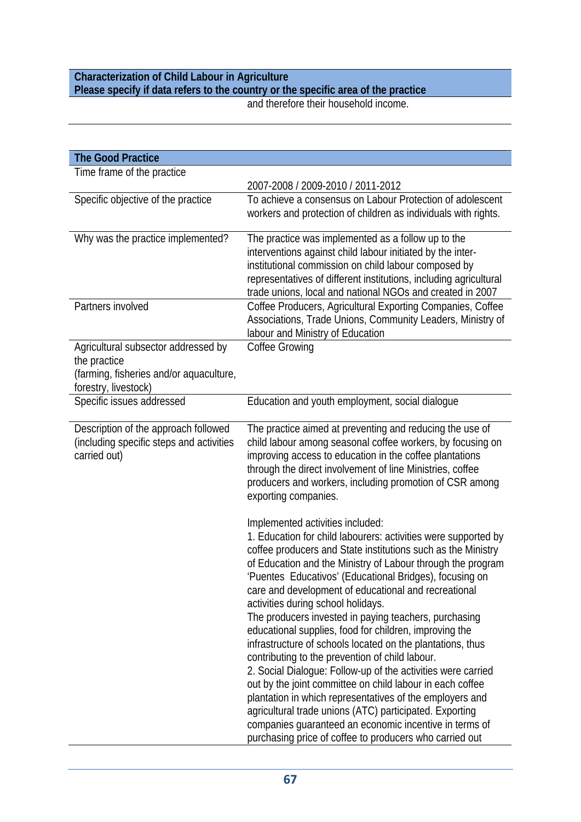## **Characterization of Child Labour in Agriculture Please specify if data refers to the country or the specific area of the practice**

and therefore their household income.

| <b>The Good Practice</b>                                                                                               |                                                                                                                                                                                                                                                                                                                                                                                                                                                                                                                                                                                                                                                                                                                                                                                                                                                                                                                                                                                                         |
|------------------------------------------------------------------------------------------------------------------------|---------------------------------------------------------------------------------------------------------------------------------------------------------------------------------------------------------------------------------------------------------------------------------------------------------------------------------------------------------------------------------------------------------------------------------------------------------------------------------------------------------------------------------------------------------------------------------------------------------------------------------------------------------------------------------------------------------------------------------------------------------------------------------------------------------------------------------------------------------------------------------------------------------------------------------------------------------------------------------------------------------|
| Time frame of the practice                                                                                             |                                                                                                                                                                                                                                                                                                                                                                                                                                                                                                                                                                                                                                                                                                                                                                                                                                                                                                                                                                                                         |
|                                                                                                                        | 2007-2008 / 2009-2010 / 2011-2012                                                                                                                                                                                                                                                                                                                                                                                                                                                                                                                                                                                                                                                                                                                                                                                                                                                                                                                                                                       |
| Specific objective of the practice                                                                                     | To achieve a consensus on Labour Protection of adolescent<br>workers and protection of children as individuals with rights.                                                                                                                                                                                                                                                                                                                                                                                                                                                                                                                                                                                                                                                                                                                                                                                                                                                                             |
| Why was the practice implemented?                                                                                      | The practice was implemented as a follow up to the<br>interventions against child labour initiated by the inter-<br>institutional commission on child labour composed by<br>representatives of different institutions, including agricultural<br>trade unions, local and national NGOs and created in 2007                                                                                                                                                                                                                                                                                                                                                                                                                                                                                                                                                                                                                                                                                              |
| Partners involved                                                                                                      | Coffee Producers, Agricultural Exporting Companies, Coffee<br>Associations, Trade Unions, Community Leaders, Ministry of<br>labour and Ministry of Education                                                                                                                                                                                                                                                                                                                                                                                                                                                                                                                                                                                                                                                                                                                                                                                                                                            |
| Agricultural subsector addressed by<br>the practice<br>(farming, fisheries and/or aquaculture,<br>forestry, livestock) | <b>Coffee Growing</b>                                                                                                                                                                                                                                                                                                                                                                                                                                                                                                                                                                                                                                                                                                                                                                                                                                                                                                                                                                                   |
| Specific issues addressed                                                                                              | Education and youth employment, social dialogue                                                                                                                                                                                                                                                                                                                                                                                                                                                                                                                                                                                                                                                                                                                                                                                                                                                                                                                                                         |
| Description of the approach followed<br>(including specific steps and activities<br>carried out)                       | The practice aimed at preventing and reducing the use of<br>child labour among seasonal coffee workers, by focusing on<br>improving access to education in the coffee plantations<br>through the direct involvement of line Ministries, coffee<br>producers and workers, including promotion of CSR among<br>exporting companies.                                                                                                                                                                                                                                                                                                                                                                                                                                                                                                                                                                                                                                                                       |
|                                                                                                                        | Implemented activities included:<br>1. Education for child labourers: activities were supported by<br>coffee producers and State institutions such as the Ministry<br>of Education and the Ministry of Labour through the program<br>'Puentes Educativos' (Educational Bridges), focusing on<br>care and development of educational and recreational<br>activities during school holidays.<br>The producers invested in paying teachers, purchasing<br>educational supplies, food for children, improving the<br>infrastructure of schools located on the plantations, thus<br>contributing to the prevention of child labour.<br>2. Social Dialogue: Follow-up of the activities were carried<br>out by the joint committee on child labour in each coffee<br>plantation in which representatives of the employers and<br>agricultural trade unions (ATC) participated. Exporting<br>companies guaranteed an economic incentive in terms of<br>purchasing price of coffee to producers who carried out |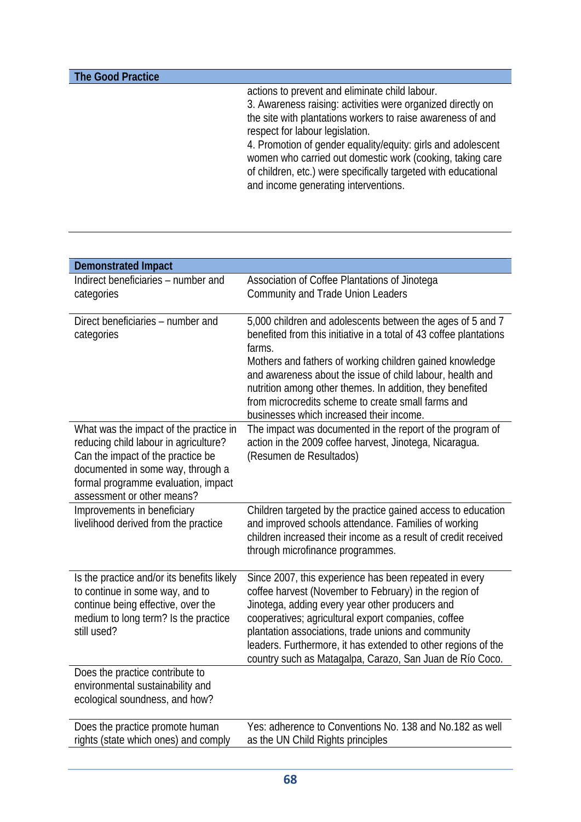| actions to prevent and eliminate child labour.<br>3. Awareness raising: activities were organized directly on<br>the site with plantations workers to raise awareness of and<br>respect for labour legislation.<br>4. Promotion of gender equality/equity: girls and adolescent<br>women who carried out domestic work (cooking, taking care<br>of children, etc.) were specifically targeted with educational<br>and income generating interventions. |
|--------------------------------------------------------------------------------------------------------------------------------------------------------------------------------------------------------------------------------------------------------------------------------------------------------------------------------------------------------------------------------------------------------------------------------------------------------|
|                                                                                                                                                                                                                                                                                                                                                                                                                                                        |

| <b>Demonstrated Impact</b>                                                                                                                                                                                                     |                                                                                                                                                                                                                                                                                                                                                                                                                                    |
|--------------------------------------------------------------------------------------------------------------------------------------------------------------------------------------------------------------------------------|------------------------------------------------------------------------------------------------------------------------------------------------------------------------------------------------------------------------------------------------------------------------------------------------------------------------------------------------------------------------------------------------------------------------------------|
| Indirect beneficiaries - number and<br>categories                                                                                                                                                                              | Association of Coffee Plantations of Jinotega<br><b>Community and Trade Union Leaders</b>                                                                                                                                                                                                                                                                                                                                          |
| Direct beneficiaries - number and<br>categories                                                                                                                                                                                | 5,000 children and adolescents between the ages of 5 and 7<br>benefited from this initiative in a total of 43 coffee plantations<br>farms.<br>Mothers and fathers of working children gained knowledge<br>and awareness about the issue of child labour, health and<br>nutrition among other themes. In addition, they benefited<br>from microcredits scheme to create small farms and<br>businesses which increased their income. |
| What was the impact of the practice in<br>reducing child labour in agriculture?<br>Can the impact of the practice be<br>documented in some way, through a<br>formal programme evaluation, impact<br>assessment or other means? | The impact was documented in the report of the program of<br>action in the 2009 coffee harvest, Jinotega, Nicaragua.<br>(Resumen de Resultados)                                                                                                                                                                                                                                                                                    |
| Improvements in beneficiary<br>livelihood derived from the practice                                                                                                                                                            | Children targeted by the practice gained access to education<br>and improved schools attendance. Families of working<br>children increased their income as a result of credit received<br>through microfinance programmes.                                                                                                                                                                                                         |
| Is the practice and/or its benefits likely<br>to continue in some way, and to<br>continue being effective, over the<br>medium to long term? Is the practice<br>still used?                                                     | Since 2007, this experience has been repeated in every<br>coffee harvest (November to February) in the region of<br>Jinotega, adding every year other producers and<br>cooperatives; agricultural export companies, coffee<br>plantation associations, trade unions and community<br>leaders. Furthermore, it has extended to other regions of the<br>country such as Matagalpa, Carazo, San Juan de Río Coco.                     |
| Does the practice contribute to<br>environmental sustainability and<br>ecological soundness, and how?                                                                                                                          |                                                                                                                                                                                                                                                                                                                                                                                                                                    |
| Does the practice promote human<br>rights (state which ones) and comply                                                                                                                                                        | Yes: adherence to Conventions No. 138 and No.182 as well<br>as the UN Child Rights principles                                                                                                                                                                                                                                                                                                                                      |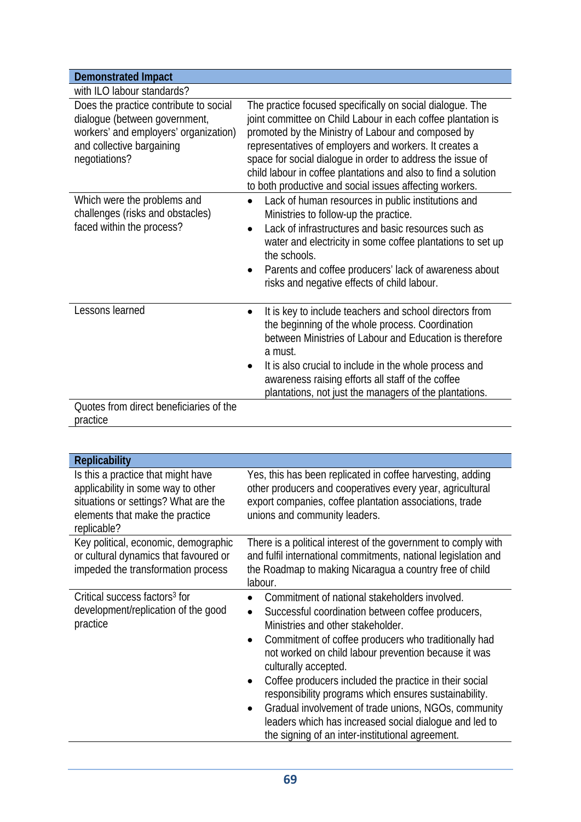| <b>Demonstrated Impact</b>                                                                                                                                     |                                                                                                                                                                                                                                                                                                                                                                                                                                      |
|----------------------------------------------------------------------------------------------------------------------------------------------------------------|--------------------------------------------------------------------------------------------------------------------------------------------------------------------------------------------------------------------------------------------------------------------------------------------------------------------------------------------------------------------------------------------------------------------------------------|
| with ILO labour standards?                                                                                                                                     |                                                                                                                                                                                                                                                                                                                                                                                                                                      |
| Does the practice contribute to social<br>dialogue (between government,<br>workers' and employers' organization)<br>and collective bargaining<br>negotiations? | The practice focused specifically on social dialogue. The<br>joint committee on Child Labour in each coffee plantation is<br>promoted by the Ministry of Labour and composed by<br>representatives of employers and workers. It creates a<br>space for social dialogue in order to address the issue of<br>child labour in coffee plantations and also to find a solution<br>to both productive and social issues affecting workers. |
| Which were the problems and<br>challenges (risks and obstacles)<br>faced within the process?                                                                   | Lack of human resources in public institutions and<br>Ministries to follow-up the practice.<br>Lack of infrastructures and basic resources such as<br>water and electricity in some coffee plantations to set up<br>the schools.<br>Parents and coffee producers' lack of awareness about<br>$\bullet$<br>risks and negative effects of child labour.                                                                                |
| Lessons learned                                                                                                                                                | It is key to include teachers and school directors from<br>$\bullet$<br>the beginning of the whole process. Coordination<br>between Ministries of Labour and Education is therefore<br>a must.<br>It is also crucial to include in the whole process and<br>awareness raising efforts all staff of the coffee<br>plantations, not just the managers of the plantations.                                                              |
| Quotes from direct beneficiaries of the<br>practice                                                                                                            |                                                                                                                                                                                                                                                                                                                                                                                                                                      |

| <b>Replicability</b>                                                                                                                                               |                                                                                                                                                                                                                                                                                                                                                                                                                                                                                                                                                                                                    |
|--------------------------------------------------------------------------------------------------------------------------------------------------------------------|----------------------------------------------------------------------------------------------------------------------------------------------------------------------------------------------------------------------------------------------------------------------------------------------------------------------------------------------------------------------------------------------------------------------------------------------------------------------------------------------------------------------------------------------------------------------------------------------------|
| Is this a practice that might have<br>applicability in some way to other<br>situations or settings? What are the<br>elements that make the practice<br>replicable? | Yes, this has been replicated in coffee harvesting, adding<br>other producers and cooperatives every year, agricultural<br>export companies, coffee plantation associations, trade<br>unions and community leaders.                                                                                                                                                                                                                                                                                                                                                                                |
| Key political, economic, demographic<br>or cultural dynamics that favoured or<br>impeded the transformation process                                                | There is a political interest of the government to comply with<br>and fulfil international commitments, national legislation and<br>the Roadmap to making Nicaragua a country free of child<br>labour.                                                                                                                                                                                                                                                                                                                                                                                             |
| Critical success factors <sup>3</sup> for<br>development/replication of the good<br>practice                                                                       | Commitment of national stakeholders involved.<br>Successful coordination between coffee producers,<br>Ministries and other stakeholder.<br>Commitment of coffee producers who traditionally had<br>$\bullet$<br>not worked on child labour prevention because it was<br>culturally accepted.<br>Coffee producers included the practice in their social<br>responsibility programs which ensures sustainability.<br>Gradual involvement of trade unions, NGOs, community<br>$\bullet$<br>leaders which has increased social dialogue and led to<br>the signing of an inter-institutional agreement. |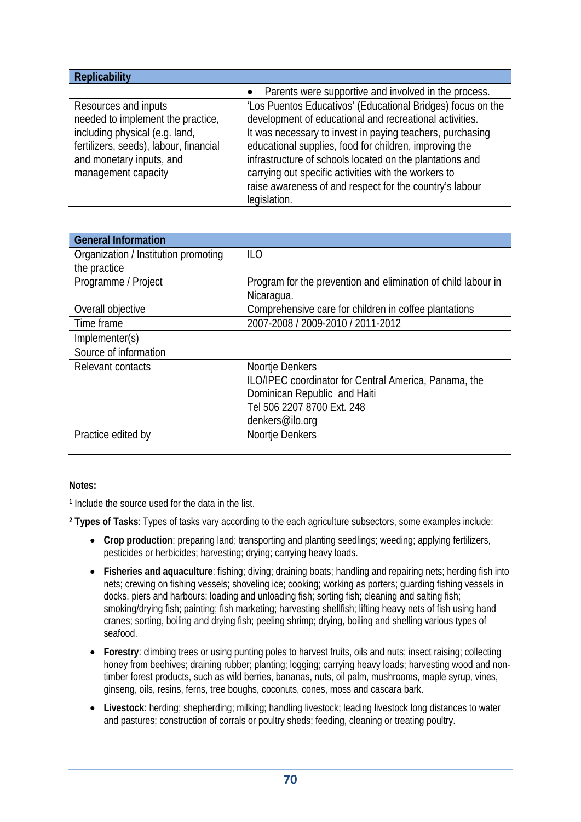| <b>Replicability</b>                                                                                                                                                                     |                                                                                                                                                                                                                                                                                                                                                                   |
|------------------------------------------------------------------------------------------------------------------------------------------------------------------------------------------|-------------------------------------------------------------------------------------------------------------------------------------------------------------------------------------------------------------------------------------------------------------------------------------------------------------------------------------------------------------------|
|                                                                                                                                                                                          | Parents were supportive and involved in the process.<br>$\bullet$                                                                                                                                                                                                                                                                                                 |
| Resources and inputs<br>needed to implement the practice,<br>including physical (e.g. land,<br>fertilizers, seeds), labour, financial<br>and monetary inputs, and<br>management capacity | 'Los Puentos Educativos' (Educational Bridges) focus on the<br>development of educational and recreational activities.<br>It was necessary to invest in paying teachers, purchasing<br>educational supplies, food for children, improving the<br>infrastructure of schools located on the plantations and<br>carrying out specific activities with the workers to |
|                                                                                                                                                                                          | raise awareness of and respect for the country's labour<br>legislation.                                                                                                                                                                                                                                                                                           |
|                                                                                                                                                                                          |                                                                                                                                                                                                                                                                                                                                                                   |

| <b>General Information</b>           |                                                               |
|--------------------------------------|---------------------------------------------------------------|
| Organization / Institution promoting | ILO                                                           |
| the practice                         |                                                               |
| Programme / Project                  | Program for the prevention and elimination of child labour in |
|                                      | Nicaragua.                                                    |
| Overall objective                    | Comprehensive care for children in coffee plantations         |
| Time frame                           | 2007-2008 / 2009-2010 / 2011-2012                             |
| Implementer(s)                       |                                                               |
| Source of information                |                                                               |
| Relevant contacts                    | Noortje Denkers                                               |
|                                      | ILO/IPEC coordinator for Central America, Panama, the         |
|                                      | Dominican Republic and Haiti                                  |
|                                      | Tel 506 2207 8700 Ext. 248                                    |
|                                      | denkers@ilo.org                                               |
| Practice edited by                   | Noortje Denkers                                               |

#### **Notes:**

**<sup>1</sup>** Include the source used for the data in the list.

**<sup>2</sup> Types of Tasks**: Types of tasks vary according to the each agriculture subsectors, some examples include:

- **Crop production**: preparing land; transporting and planting seedlings; weeding; applying fertilizers, pesticides or herbicides; harvesting; drying; carrying heavy loads.
- **Fisheries and aquaculture**: fishing; diving; draining boats; handling and repairing nets; herding fish into nets; crewing on fishing vessels; shoveling ice; cooking; working as porters; guarding fishing vessels in docks, piers and harbours; loading and unloading fish; sorting fish; cleaning and salting fish; smoking/drying fish; painting; fish marketing; harvesting shellfish; lifting heavy nets of fish using hand cranes; sorting, boiling and drying fish; peeling shrimp; drying, boiling and shelling various types of seafood.
- **Forestry**: climbing trees or using punting poles to harvest fruits, oils and nuts; insect raising; collecting honey from beehives; draining rubber; planting; logging; carrying heavy loads; harvesting wood and nontimber forest products, such as wild berries, bananas, nuts, oil palm, mushrooms, maple syrup, vines, ginseng, oils, resins, ferns, tree boughs, coconuts, cones, moss and cascara bark.
- **Livestock**: herding; shepherding; milking; handling livestock; leading livestock long distances to water and pastures; construction of corrals or poultry sheds; feeding, cleaning or treating poultry.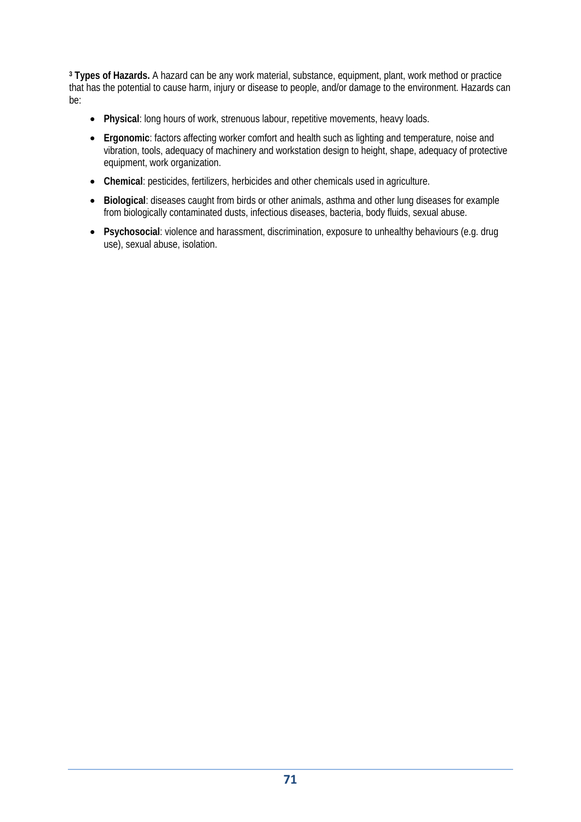**<sup>3</sup> Types of Hazards.** A hazard can be any work material, substance, equipment, plant, work method or practice that has the potential to cause harm, injury or disease to people, and/or damage to the environment. Hazards can be:

- **Physical**: long hours of work, strenuous labour, repetitive movements, heavy loads.
- **Ergonomic**: factors affecting worker comfort and health such as lighting and temperature, noise and vibration, tools, adequacy of machinery and workstation design to height, shape, adequacy of protective equipment, work organization.
- **Chemical**: pesticides, fertilizers, herbicides and other chemicals used in agriculture.
- **Biological**: diseases caught from birds or other animals, asthma and other lung diseases for example from biologically contaminated dusts, infectious diseases, bacteria, body fluids, sexual abuse.
- **Psychosocial**: violence and harassment, discrimination, exposure to unhealthy behaviours (e.g. drug use), sexual abuse, isolation.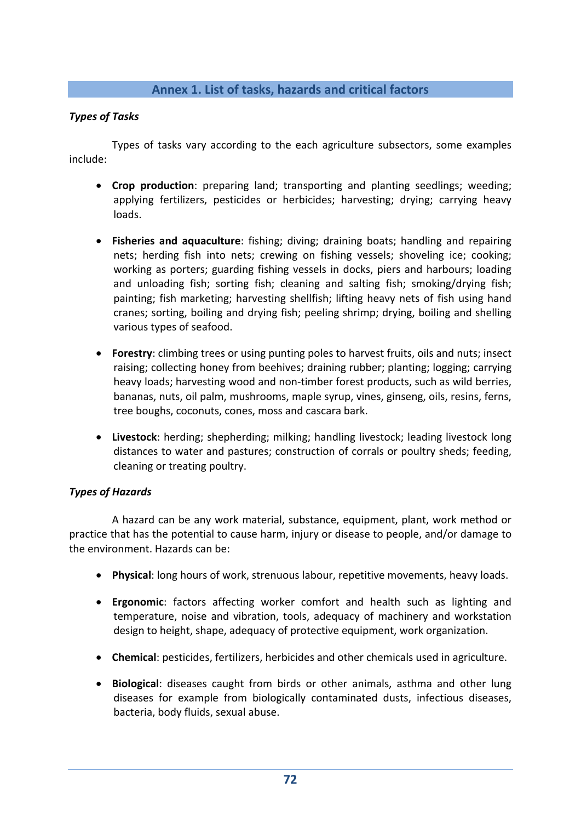## **Annex 1. List of tasks, hazards and critical factors**

#### *Types of Tasks*

Types of tasks vary according to the each agriculture subsectors, some examples include:

- **Crop production**: preparing land; transporting and planting seedlings; weeding; applying fertilizers, pesticides or herbicides; harvesting; drying; carrying heavy loads.
- **Fisheries and aquaculture**: fishing; diving; draining boats; handling and repairing nets; herding fish into nets; crewing on fishing vessels; shoveling ice; cooking; working as porters; guarding fishing vessels in docks, piers and harbours; loading and unloading fish; sorting fish; cleaning and salting fish; smoking/drying fish; painting; fish marketing; harvesting shellfish; lifting heavy nets of fish using hand cranes; sorting, boiling and drying fish; peeling shrimp; drying, boiling and shelling various types of seafood.
- **Forestry**: climbing trees or using punting poles to harvest fruits, oils and nuts; insect raising; collecting honey from beehives; draining rubber; planting; logging; carrying heavy loads; harvesting wood and non‐timber forest products, such as wild berries, bananas, nuts, oil palm, mushrooms, maple syrup, vines, ginseng, oils, resins, ferns, tree boughs, coconuts, cones, moss and cascara bark.
- **Livestock**: herding; shepherding; milking; handling livestock; leading livestock long distances to water and pastures; construction of corrals or poultry sheds; feeding, cleaning or treating poultry.

#### *Types of Hazards*

A hazard can be any work material, substance, equipment, plant, work method or practice that has the potential to cause harm, injury or disease to people, and/or damage to the environment. Hazards can be:

- **Physical**: long hours of work, strenuous labour, repetitive movements, heavy loads.
- **Ergonomic**: factors affecting worker comfort and health such as lighting and temperature, noise and vibration, tools, adequacy of machinery and workstation design to height, shape, adequacy of protective equipment, work organization.
- **Chemical**: pesticides, fertilizers, herbicides and other chemicals used in agriculture.
- **Biological**: diseases caught from birds or other animals, asthma and other lung diseases for example from biologically contaminated dusts, infectious diseases, bacteria, body fluids, sexual abuse.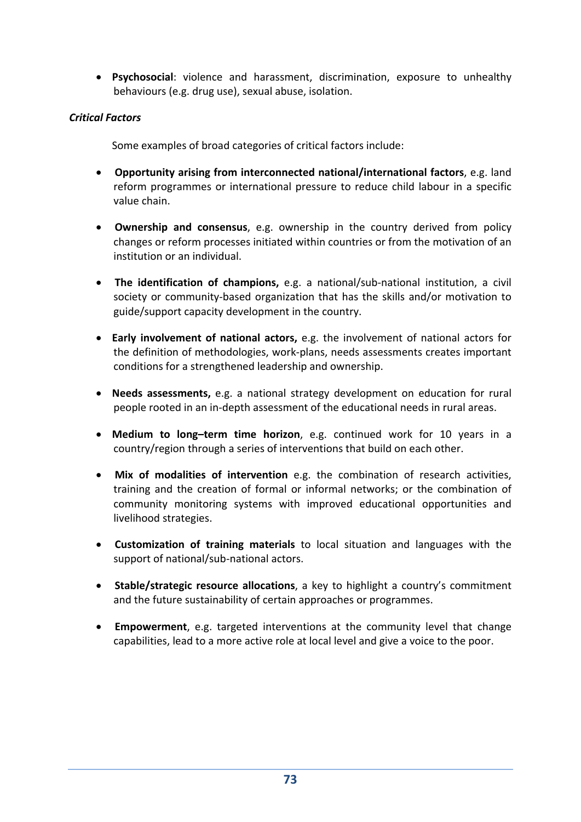**Psychosocial**: violence and harassment, discrimination, exposure to unhealthy behaviours (e.g. drug use), sexual abuse, isolation.

#### *Critical Factors*

Some examples of broad categories of critical factors include:

- **Opportunity arising from interconnected national/international factors**, e.g. land reform programmes or international pressure to reduce child labour in a specific value chain.
- **Ownership and consensus**, e.g. ownership in the country derived from policy changes or reform processes initiated within countries or from the motivation of an institution or an individual.
- **The identification of champions,** e.g. a national/sub‐national institution, a civil society or community‐based organization that has the skills and/or motivation to guide/support capacity development in the country.
- **Early involvement of national actors,** e.g. the involvement of national actors for the definition of methodologies, work‐plans, needs assessments creates important conditions for a strengthened leadership and ownership.
- **Needs assessments,** e.g. a national strategy development on education for rural people rooted in an in‐depth assessment of the educational needs in rural areas.
- **Medium to long–term time horizon**, e.g. continued work for 10 years in a country/region through a series of interventions that build on each other.
- **Mix of modalities of intervention** e.g. the combination of research activities, training and the creation of formal or informal networks; or the combination of community monitoring systems with improved educational opportunities and livelihood strategies.
- **Customization of training materials** to local situation and languages with the support of national/sub-national actors.
- **Stable/strategic resource allocations**, a key to highlight a country's commitment and the future sustainability of certain approaches or programmes.
- **Empowerment**, e.g. targeted interventions at the community level that change capabilities, lead to a more active role at local level and give a voice to the poor.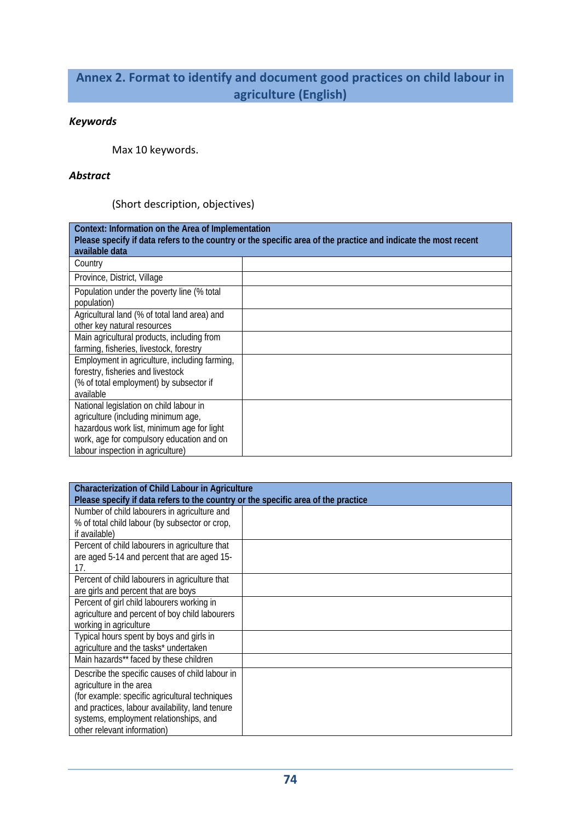# **Annex 2. Format to identify and document good practices on child labour in agriculture (English)**

### *Keywords*

Max 10 keywords.

#### *Abstract*

(Short description, objectives)

| Context: Information on the Area of Implementation<br>Please specify if data refers to the country or the specific area of the practice and indicate the most recent<br>available data |  |
|----------------------------------------------------------------------------------------------------------------------------------------------------------------------------------------|--|
| Country                                                                                                                                                                                |  |
| Province, District, Village                                                                                                                                                            |  |
| Population under the poverty line (% total<br>population)                                                                                                                              |  |
| Agricultural land (% of total land area) and                                                                                                                                           |  |
| other key natural resources                                                                                                                                                            |  |
| Main agricultural products, including from                                                                                                                                             |  |
| farming, fisheries, livestock, forestry                                                                                                                                                |  |
| Employment in agriculture, including farming,                                                                                                                                          |  |
| forestry, fisheries and livestock                                                                                                                                                      |  |
| (% of total employment) by subsector if                                                                                                                                                |  |
| available                                                                                                                                                                              |  |
| National legislation on child labour in                                                                                                                                                |  |
| agriculture (including minimum age,                                                                                                                                                    |  |
| hazardous work list, minimum age for light                                                                                                                                             |  |
| work, age for compulsory education and on                                                                                                                                              |  |
| labour inspection in agriculture)                                                                                                                                                      |  |

| <b>Characterization of Child Labour in Agriculture</b>                            |  |
|-----------------------------------------------------------------------------------|--|
| Please specify if data refers to the country or the specific area of the practice |  |
| Number of child labourers in agriculture and                                      |  |
| % of total child labour (by subsector or crop,                                    |  |
| if available)                                                                     |  |
| Percent of child labourers in agriculture that                                    |  |
| are aged 5-14 and percent that are aged 15-                                       |  |
| 17.                                                                               |  |
| Percent of child labourers in agriculture that                                    |  |
| are girls and percent that are boys                                               |  |
| Percent of girl child labourers working in                                        |  |
| agriculture and percent of boy child labourers                                    |  |
| working in agriculture                                                            |  |
| Typical hours spent by boys and girls in                                          |  |
| agriculture and the tasks* undertaken                                             |  |
| Main hazards** faced by these children                                            |  |
| Describe the specific causes of child labour in                                   |  |
| agriculture in the area                                                           |  |
| (for example: specific agricultural techniques                                    |  |
| and practices, labour availability, land tenure                                   |  |
| systems, employment relationships, and                                            |  |
| other relevant information)                                                       |  |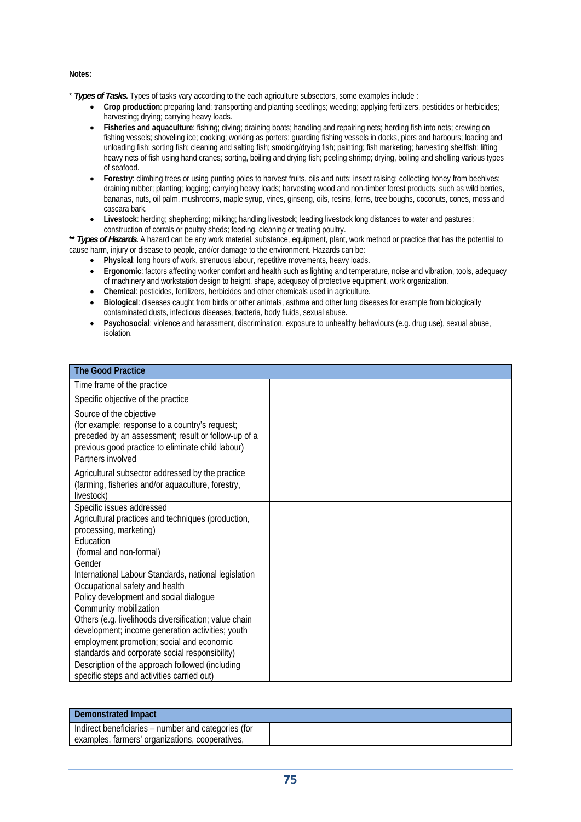#### **Notes:**

- \* *Types of Tasks.* Types of tasks vary according to the each agriculture subsectors, some examples include :
	- Crop production: preparing land; transporting and planting seedlings; weeding; applying fertilizers, pesticides or herbicides; harvesting; drying; carrying heavy loads.
	- **Fisheries and aquaculture**: fishing; diving; draining boats; handling and repairing nets; herding fish into nets; crewing on fishing vessels; shoveling ice; cooking; working as porters; guarding fishing vessels in docks, piers and harbours; loading and unloading fish; sorting fish; cleaning and salting fish; smoking/drying fish; painting; fish marketing; harvesting shellfish; lifting heavy nets of fish using hand cranes; sorting, boiling and drying fish; peeling shrimp; drying, boiling and shelling various types of seafood.
	- **Forestry:** climbing trees or using punting poles to harvest fruits, oils and nuts; insect raising; collecting honey from beehives; draining rubber; planting; logging; carrying heavy loads; harvesting wood and non-timber forest products, such as wild berries, bananas, nuts, oil palm, mushrooms, maple syrup, vines, ginseng, oils, resins, ferns, tree boughs, coconuts, cones, moss and cascara bark.
	- **Livestock**: herding; shepherding; milking; handling livestock; leading livestock long distances to water and pastures; construction of corrals or poultry sheds; feeding, cleaning or treating poultry.

**\*\*** *Types of Hazards***.** A hazard can be any work material, substance, equipment, plant, work method or practice that has the potential to cause harm, injury or disease to people, and/or damage to the environment. Hazards can be:

- **Physical**: long hours of work, strenuous labour, repetitive movements, heavy loads.
- **Ergonomic**: factors affecting worker comfort and health such as lighting and temperature, noise and vibration, tools, adequacy of machinery and workstation design to height, shape, adequacy of protective equipment, work organization.
- **Chemical**: pesticides, fertilizers, herbicides and other chemicals used in agriculture.
- **Biological**: diseases caught from birds or other animals, asthma and other lung diseases for example from biologically contaminated dusts, infectious diseases, bacteria, body fluids, sexual abuse.
- **Psychosocial**: violence and harassment, discrimination, exposure to unhealthy behaviours (e.g. drug use), sexual abuse, isolation.

| <b>The Good Practice</b>                                                                                                                                                                                                                                                                                                                                               |  |
|------------------------------------------------------------------------------------------------------------------------------------------------------------------------------------------------------------------------------------------------------------------------------------------------------------------------------------------------------------------------|--|
| Time frame of the practice                                                                                                                                                                                                                                                                                                                                             |  |
| Specific objective of the practice                                                                                                                                                                                                                                                                                                                                     |  |
| Source of the objective<br>(for example: response to a country's request;<br>preceded by an assessment; result or follow-up of a<br>previous good practice to eliminate child labour)                                                                                                                                                                                  |  |
| Partners involved                                                                                                                                                                                                                                                                                                                                                      |  |
| Agricultural subsector addressed by the practice<br>(farming, fisheries and/or aquaculture, forestry,<br>livestock)                                                                                                                                                                                                                                                    |  |
| Specific issues addressed<br>Agricultural practices and techniques (production,<br>processing, marketing)<br>Education<br>(formal and non-formal)<br>Gender                                                                                                                                                                                                            |  |
| International Labour Standards, national legislation<br>Occupational safety and health<br>Policy development and social dialogue<br>Community mobilization<br>Others (e.g. livelihoods diversification; value chain<br>development; income generation activities; youth<br>employment promotion; social and economic<br>standards and corporate social responsibility) |  |
| Description of the approach followed (including<br>specific steps and activities carried out)                                                                                                                                                                                                                                                                          |  |

| <b>Demonstrated Impact</b>                          |  |
|-----------------------------------------------------|--|
| Indirect beneficiaries – number and categories (for |  |
| examples, farmers' organizations, cooperatives,     |  |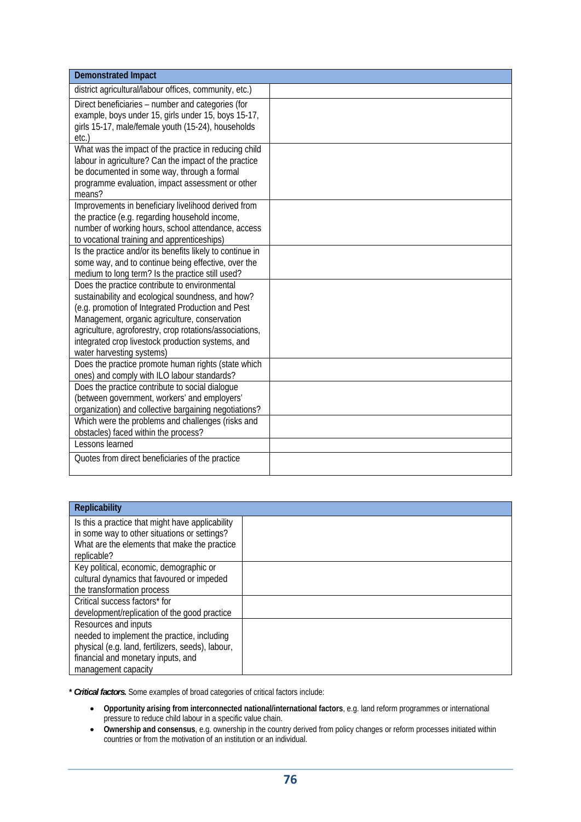| <b>Demonstrated Impact</b>                                                                                                                                                                                                                                                                                                                            |  |
|-------------------------------------------------------------------------------------------------------------------------------------------------------------------------------------------------------------------------------------------------------------------------------------------------------------------------------------------------------|--|
| district agricultural/labour offices, community, etc.)                                                                                                                                                                                                                                                                                                |  |
| Direct beneficiaries - number and categories (for<br>example, boys under 15, girls under 15, boys 15-17,<br>girls 15-17, male/female youth (15-24), households<br>etc.)                                                                                                                                                                               |  |
| What was the impact of the practice in reducing child<br>labour in agriculture? Can the impact of the practice<br>be documented in some way, through a formal<br>programme evaluation, impact assessment or other<br>means?                                                                                                                           |  |
| Improvements in beneficiary livelihood derived from<br>the practice (e.g. regarding household income,<br>number of working hours, school attendance, access<br>to vocational training and apprenticeships)                                                                                                                                            |  |
| Is the practice and/or its benefits likely to continue in<br>some way, and to continue being effective, over the<br>medium to long term? Is the practice still used?                                                                                                                                                                                  |  |
| Does the practice contribute to environmental<br>sustainability and ecological soundness, and how?<br>(e.g. promotion of Integrated Production and Pest<br>Management, organic agriculture, conservation<br>agriculture, agroforestry, crop rotations/associations,<br>integrated crop livestock production systems, and<br>water harvesting systems) |  |
| Does the practice promote human rights (state which<br>ones) and comply with ILO labour standards?                                                                                                                                                                                                                                                    |  |
| Does the practice contribute to social dialogue<br>(between government, workers' and employers'<br>organization) and collective bargaining negotiations?                                                                                                                                                                                              |  |
| Which were the problems and challenges (risks and<br>obstacles) faced within the process?<br>Lessons learned                                                                                                                                                                                                                                          |  |
| Quotes from direct beneficiaries of the practice                                                                                                                                                                                                                                                                                                      |  |

| <b>Replicability</b>                                                                             |  |
|--------------------------------------------------------------------------------------------------|--|
| Is this a practice that might have applicability<br>in some way to other situations or settings? |  |
| What are the elements that make the practice<br>replicable?                                      |  |
| Key political, economic, demographic or                                                          |  |
| cultural dynamics that favoured or impeded                                                       |  |
| the transformation process                                                                       |  |
| Critical success factors* for                                                                    |  |
| development/replication of the good practice                                                     |  |
| Resources and inputs                                                                             |  |
| needed to implement the practice, including                                                      |  |
| physical (e.g. land, fertilizers, seeds), labour,                                                |  |
| financial and monetary inputs, and                                                               |  |
| management capacity                                                                              |  |

**\*** *Critical factors***.** Some examples of broad categories of critical factors include:

- **Opportunity arising from interconnected national/international factors**, e.g. land reform programmes or international pressure to reduce child labour in a specific value chain.
- **Ownership and consensus**, e.g. ownership in the country derived from policy changes or reform processes initiated within countries or from the motivation of an institution or an individual.